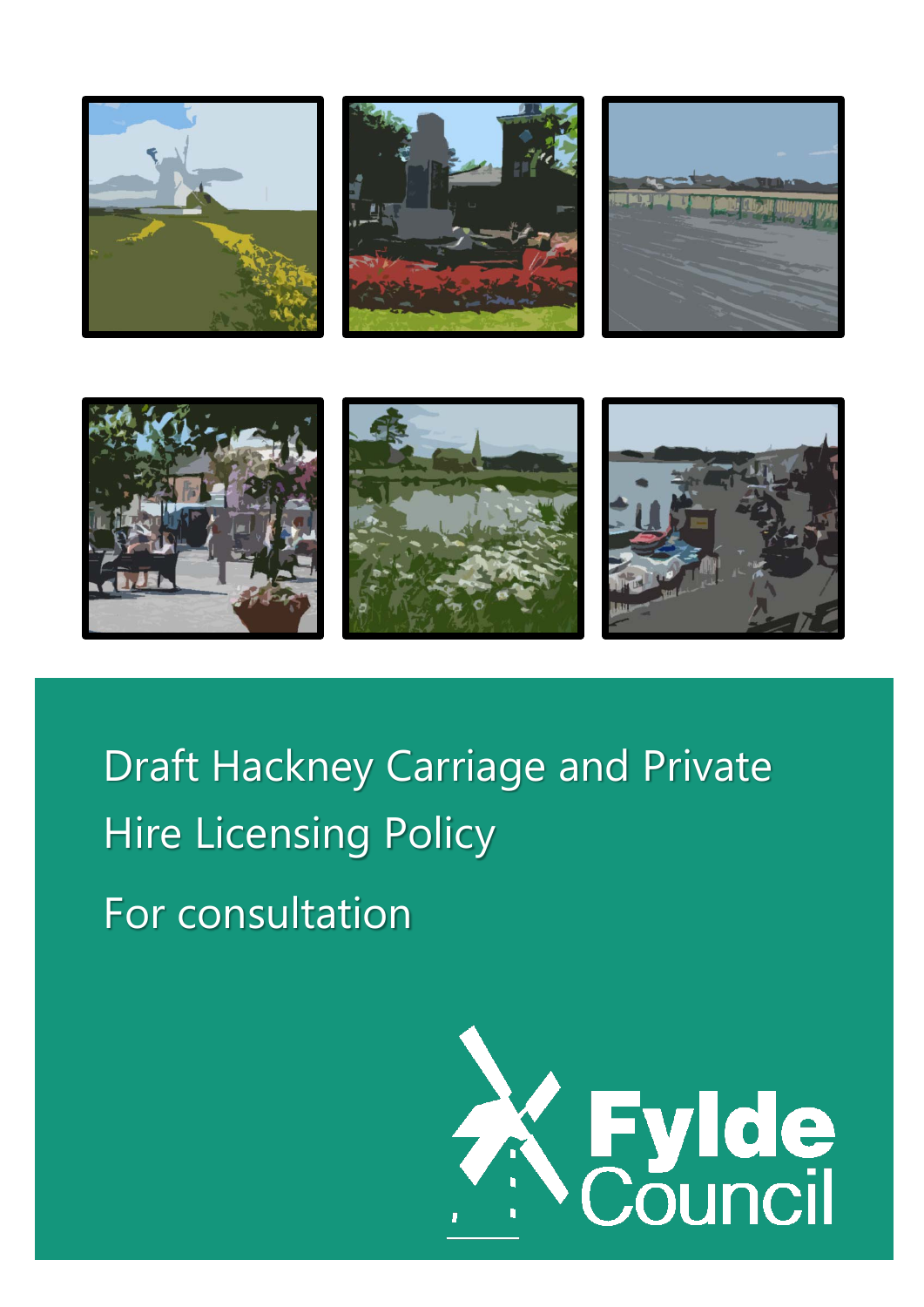











Draft Hackney Carriage and Private Hire Licensing Policy For consultation

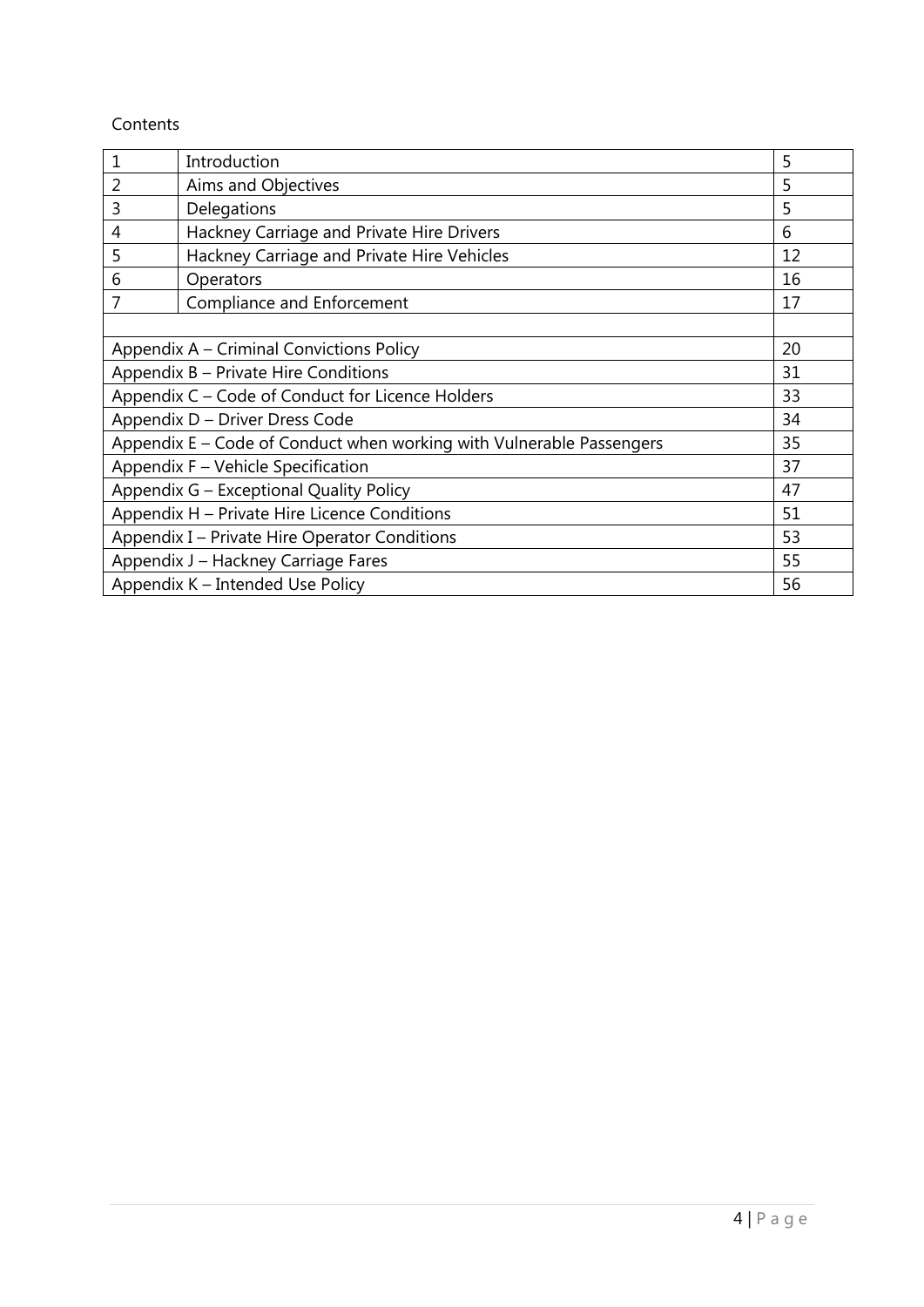## Contents

| 1                                                                          | Introduction                               | 5  |
|----------------------------------------------------------------------------|--------------------------------------------|----|
| $\overline{2}$                                                             | Aims and Objectives                        | 5  |
| $\overline{3}$                                                             | Delegations                                | 5  |
| 4                                                                          | Hackney Carriage and Private Hire Drivers  | 6  |
| 5                                                                          | Hackney Carriage and Private Hire Vehicles | 12 |
| 6                                                                          | Operators                                  | 16 |
| 7                                                                          | Compliance and Enforcement                 | 17 |
|                                                                            |                                            |    |
| 20<br>Appendix A – Criminal Convictions Policy                             |                                            |    |
| Appendix B - Private Hire Conditions<br>31                                 |                                            |    |
| Appendix C - Code of Conduct for Licence Holders<br>33                     |                                            |    |
| Appendix D - Driver Dress Code                                             |                                            | 34 |
| Appendix E - Code of Conduct when working with Vulnerable Passengers<br>35 |                                            |    |
| Appendix F - Vehicle Specification<br>37                                   |                                            |    |
| Appendix G - Exceptional Quality Policy                                    |                                            | 47 |
| Appendix H - Private Hire Licence Conditions                               |                                            | 51 |
| Appendix I - Private Hire Operator Conditions<br>53                        |                                            |    |
| Appendix J - Hackney Carriage Fares<br>55                                  |                                            |    |
|                                                                            | Appendix K - Intended Use Policy           | 56 |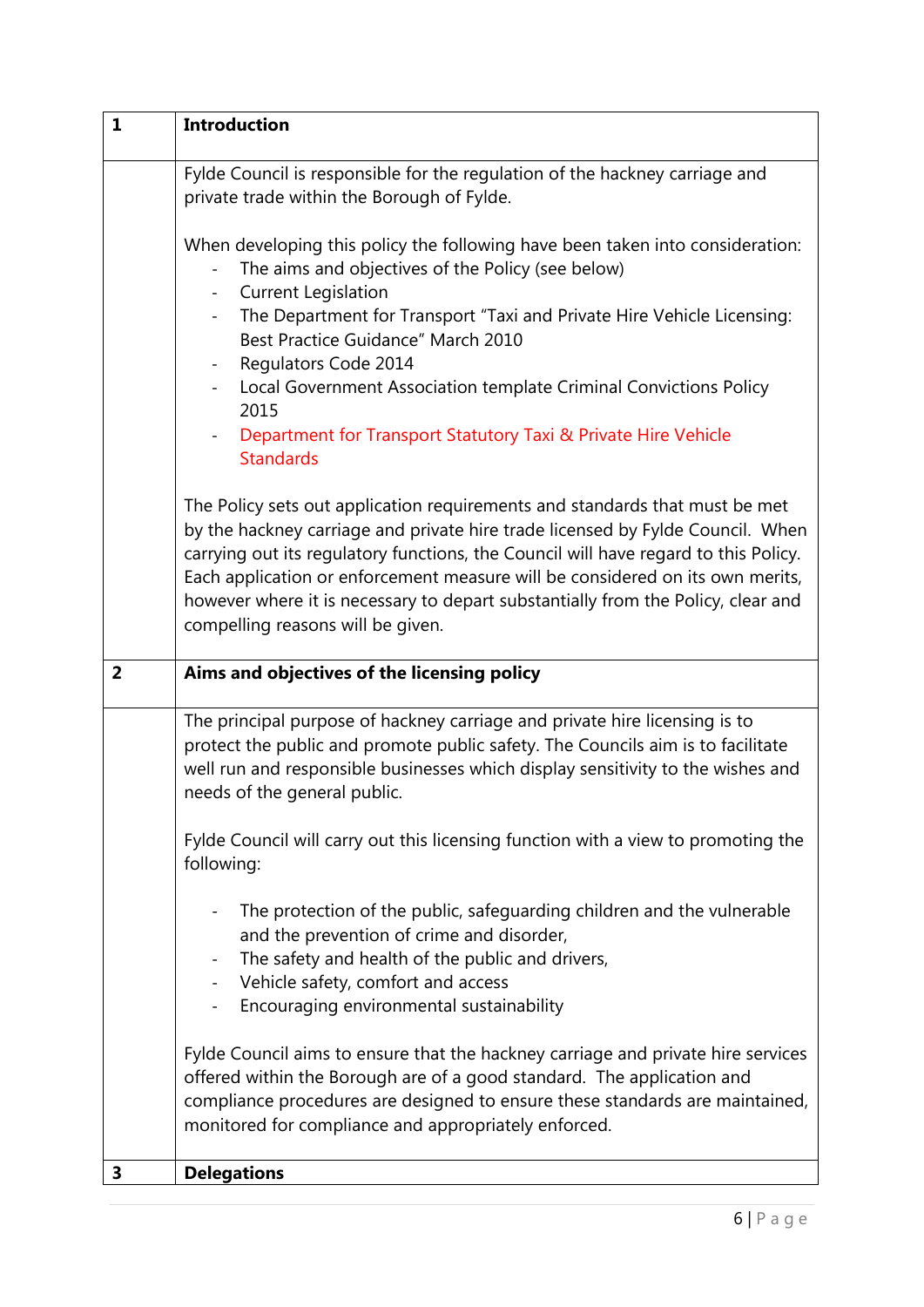| $\mathbf{1}$   | <b>Introduction</b>                                                                                                                                                                                                                                                                                                                                                                                                                                            |
|----------------|----------------------------------------------------------------------------------------------------------------------------------------------------------------------------------------------------------------------------------------------------------------------------------------------------------------------------------------------------------------------------------------------------------------------------------------------------------------|
|                | Fylde Council is responsible for the regulation of the hackney carriage and<br>private trade within the Borough of Fylde.                                                                                                                                                                                                                                                                                                                                      |
|                | When developing this policy the following have been taken into consideration:<br>The aims and objectives of the Policy (see below)<br><b>Current Legislation</b><br>$\equiv$                                                                                                                                                                                                                                                                                   |
|                | The Department for Transport "Taxi and Private Hire Vehicle Licensing:<br>$ \,$<br>Best Practice Guidance" March 2010                                                                                                                                                                                                                                                                                                                                          |
|                | Regulators Code 2014<br>$\sim$<br>Local Government Association template Criminal Convictions Policy<br>$\sim$<br>2015                                                                                                                                                                                                                                                                                                                                          |
|                | Department for Transport Statutory Taxi & Private Hire Vehicle<br>$\overline{\phantom{0}}$<br><b>Standards</b>                                                                                                                                                                                                                                                                                                                                                 |
|                | The Policy sets out application requirements and standards that must be met<br>by the hackney carriage and private hire trade licensed by Fylde Council. When<br>carrying out its regulatory functions, the Council will have regard to this Policy.<br>Each application or enforcement measure will be considered on its own merits,<br>however where it is necessary to depart substantially from the Policy, clear and<br>compelling reasons will be given. |
| $\overline{2}$ | Aims and objectives of the licensing policy                                                                                                                                                                                                                                                                                                                                                                                                                    |
|                | The principal purpose of hackney carriage and private hire licensing is to<br>protect the public and promote public safety. The Councils aim is to facilitate<br>well run and responsible businesses which display sensitivity to the wishes and<br>needs of the general public.                                                                                                                                                                               |
|                | Fylde Council will carry out this licensing function with a view to promoting the<br>following:                                                                                                                                                                                                                                                                                                                                                                |
|                | The protection of the public, safeguarding children and the vulnerable<br>and the prevention of crime and disorder,<br>The safety and health of the public and drivers,<br>$\overline{\phantom{a}}$<br>- Vehicle safety, comfort and access<br>Encouraging environmental sustainability                                                                                                                                                                        |
|                | Fylde Council aims to ensure that the hackney carriage and private hire services<br>offered within the Borough are of a good standard. The application and<br>compliance procedures are designed to ensure these standards are maintained,<br>monitored for compliance and appropriately enforced.                                                                                                                                                             |
| 3              | <b>Delegations</b>                                                                                                                                                                                                                                                                                                                                                                                                                                             |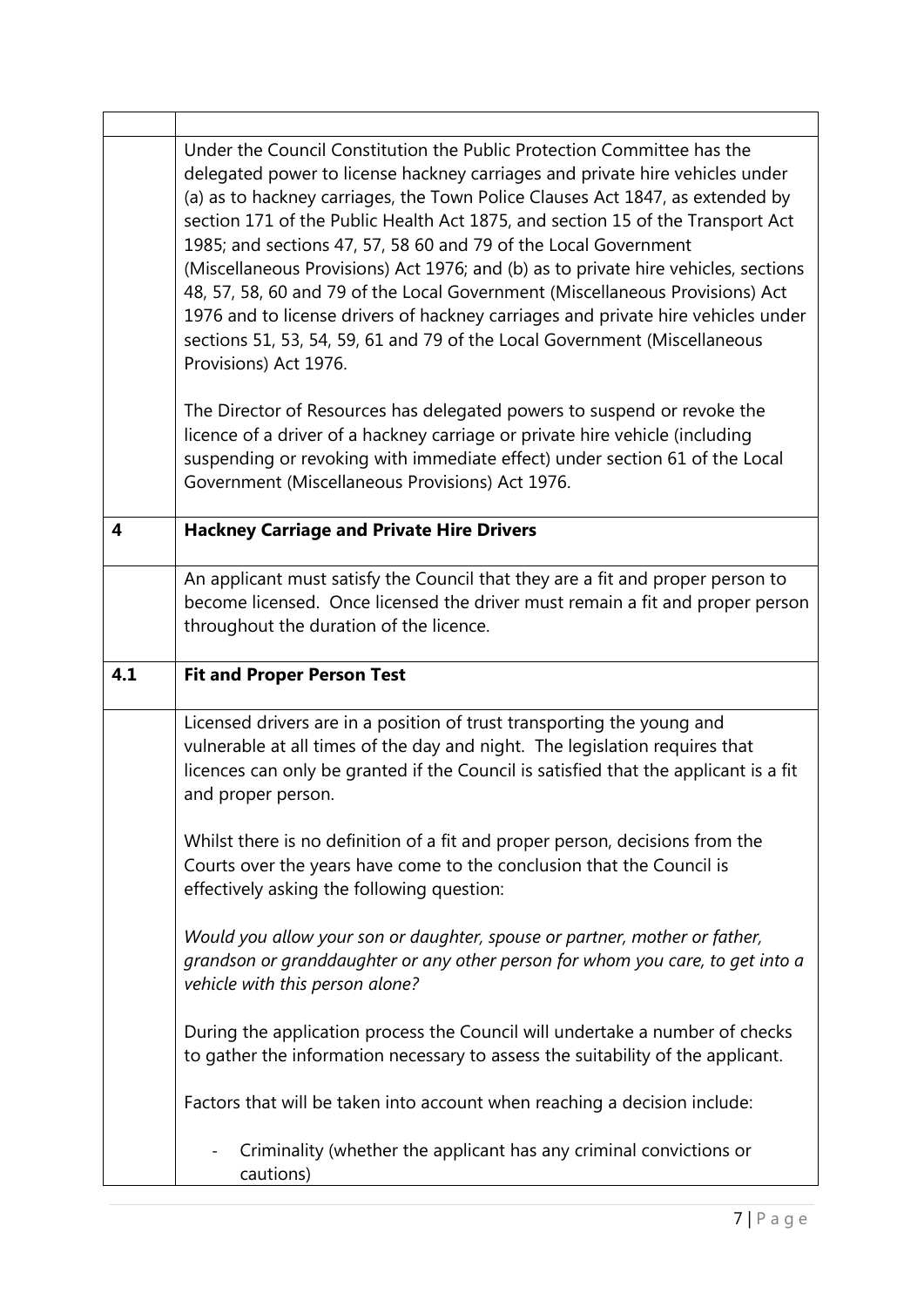|                         | Under the Council Constitution the Public Protection Committee has the<br>delegated power to license hackney carriages and private hire vehicles under<br>(a) as to hackney carriages, the Town Police Clauses Act 1847, as extended by<br>section 171 of the Public Health Act 1875, and section 15 of the Transport Act<br>1985; and sections 47, 57, 58 60 and 79 of the Local Government<br>(Miscellaneous Provisions) Act 1976; and (b) as to private hire vehicles, sections<br>48, 57, 58, 60 and 79 of the Local Government (Miscellaneous Provisions) Act<br>1976 and to license drivers of hackney carriages and private hire vehicles under<br>sections 51, 53, 54, 59, 61 and 79 of the Local Government (Miscellaneous<br>Provisions) Act 1976. |
|-------------------------|--------------------------------------------------------------------------------------------------------------------------------------------------------------------------------------------------------------------------------------------------------------------------------------------------------------------------------------------------------------------------------------------------------------------------------------------------------------------------------------------------------------------------------------------------------------------------------------------------------------------------------------------------------------------------------------------------------------------------------------------------------------|
|                         | The Director of Resources has delegated powers to suspend or revoke the<br>licence of a driver of a hackney carriage or private hire vehicle (including<br>suspending or revoking with immediate effect) under section 61 of the Local<br>Government (Miscellaneous Provisions) Act 1976.                                                                                                                                                                                                                                                                                                                                                                                                                                                                    |
| $\overline{\mathbf{4}}$ | <b>Hackney Carriage and Private Hire Drivers</b>                                                                                                                                                                                                                                                                                                                                                                                                                                                                                                                                                                                                                                                                                                             |
|                         | An applicant must satisfy the Council that they are a fit and proper person to<br>become licensed. Once licensed the driver must remain a fit and proper person<br>throughout the duration of the licence.                                                                                                                                                                                                                                                                                                                                                                                                                                                                                                                                                   |
|                         |                                                                                                                                                                                                                                                                                                                                                                                                                                                                                                                                                                                                                                                                                                                                                              |
| 4.1                     | <b>Fit and Proper Person Test</b>                                                                                                                                                                                                                                                                                                                                                                                                                                                                                                                                                                                                                                                                                                                            |
|                         | Licensed drivers are in a position of trust transporting the young and<br>vulnerable at all times of the day and night. The legislation requires that<br>licences can only be granted if the Council is satisfied that the applicant is a fit<br>and proper person.                                                                                                                                                                                                                                                                                                                                                                                                                                                                                          |
|                         | Whilst there is no definition of a fit and proper person, decisions from the<br>Courts over the years have come to the conclusion that the Council is<br>effectively asking the following question:                                                                                                                                                                                                                                                                                                                                                                                                                                                                                                                                                          |
|                         | Would you allow your son or daughter, spouse or partner, mother or father,<br>grandson or granddaughter or any other person for whom you care, to get into a<br>vehicle with this person alone?                                                                                                                                                                                                                                                                                                                                                                                                                                                                                                                                                              |
|                         | During the application process the Council will undertake a number of checks<br>to gather the information necessary to assess the suitability of the applicant.                                                                                                                                                                                                                                                                                                                                                                                                                                                                                                                                                                                              |
|                         | Factors that will be taken into account when reaching a decision include:                                                                                                                                                                                                                                                                                                                                                                                                                                                                                                                                                                                                                                                                                    |

 $\mathbf{r}$ 

٦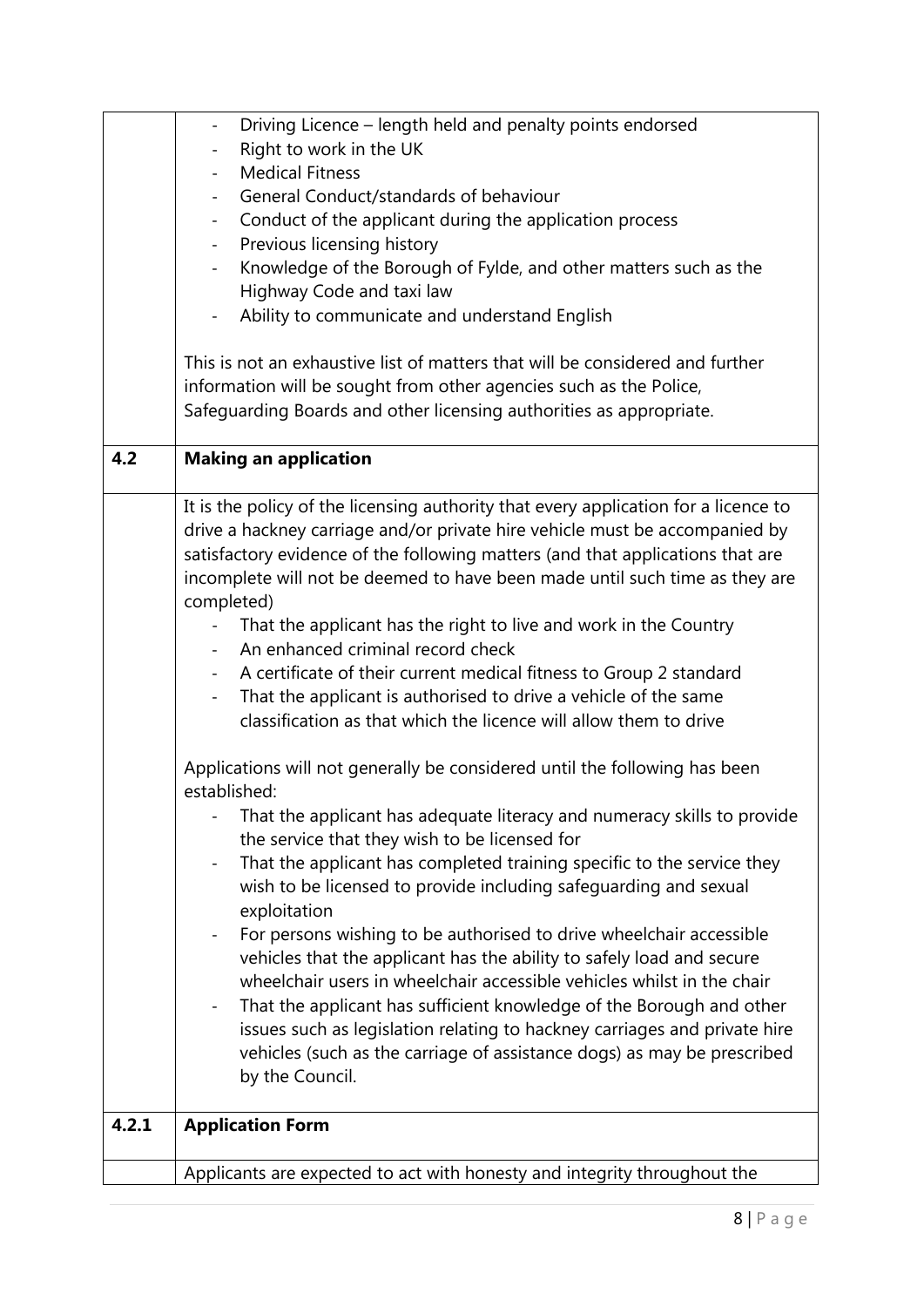|       | Driving Licence – length held and penalty points endorsed<br>$\blacksquare$                        |
|-------|----------------------------------------------------------------------------------------------------|
|       | Right to work in the UK                                                                            |
|       | <b>Medical Fitness</b>                                                                             |
|       | General Conduct/standards of behaviour                                                             |
|       | Conduct of the applicant during the application process<br>$\sim 10$                               |
|       | Previous licensing history<br>$\blacksquare$                                                       |
|       | Knowledge of the Borough of Fylde, and other matters such as the                                   |
|       | Highway Code and taxi law                                                                          |
|       | Ability to communicate and understand English                                                      |
|       | This is not an exhaustive list of matters that will be considered and further                      |
|       | information will be sought from other agencies such as the Police,                                 |
|       | Safeguarding Boards and other licensing authorities as appropriate.                                |
|       |                                                                                                    |
| 4.2   | <b>Making an application</b>                                                                       |
|       | It is the policy of the licensing authority that every application for a licence to                |
|       | drive a hackney carriage and/or private hire vehicle must be accompanied by                        |
|       | satisfactory evidence of the following matters (and that applications that are                     |
|       | incomplete will not be deemed to have been made until such time as they are                        |
|       | completed)                                                                                         |
|       | That the applicant has the right to live and work in the Country                                   |
|       | An enhanced criminal record check                                                                  |
|       | A certificate of their current medical fitness to Group 2 standard<br>$\sim$                       |
|       | That the applicant is authorised to drive a vehicle of the same                                    |
|       | classification as that which the licence will allow them to drive                                  |
|       |                                                                                                    |
|       | Applications will not generally be considered until the following has been                         |
|       | established:                                                                                       |
|       | That the applicant has adequate literacy and numeracy skills to provide                            |
|       | the service that they wish to be licensed for                                                      |
|       | That the applicant has completed training specific to the service they<br>$\overline{\phantom{0}}$ |
|       | wish to be licensed to provide including safeguarding and sexual                                   |
|       | exploitation                                                                                       |
|       | For persons wishing to be authorised to drive wheelchair accessible<br>$\overline{\phantom{a}}$    |
|       | vehicles that the applicant has the ability to safely load and secure                              |
|       | wheelchair users in wheelchair accessible vehicles whilst in the chair                             |
|       | That the applicant has sufficient knowledge of the Borough and other<br>$\overline{\phantom{a}}$   |
|       | issues such as legislation relating to hackney carriages and private hire                          |
|       | vehicles (such as the carriage of assistance dogs) as may be prescribed                            |
|       | by the Council.                                                                                    |
|       |                                                                                                    |
| 4.2.1 | <b>Application Form</b>                                                                            |
|       | Applicants are expected to act with honesty and integrity throughout the                           |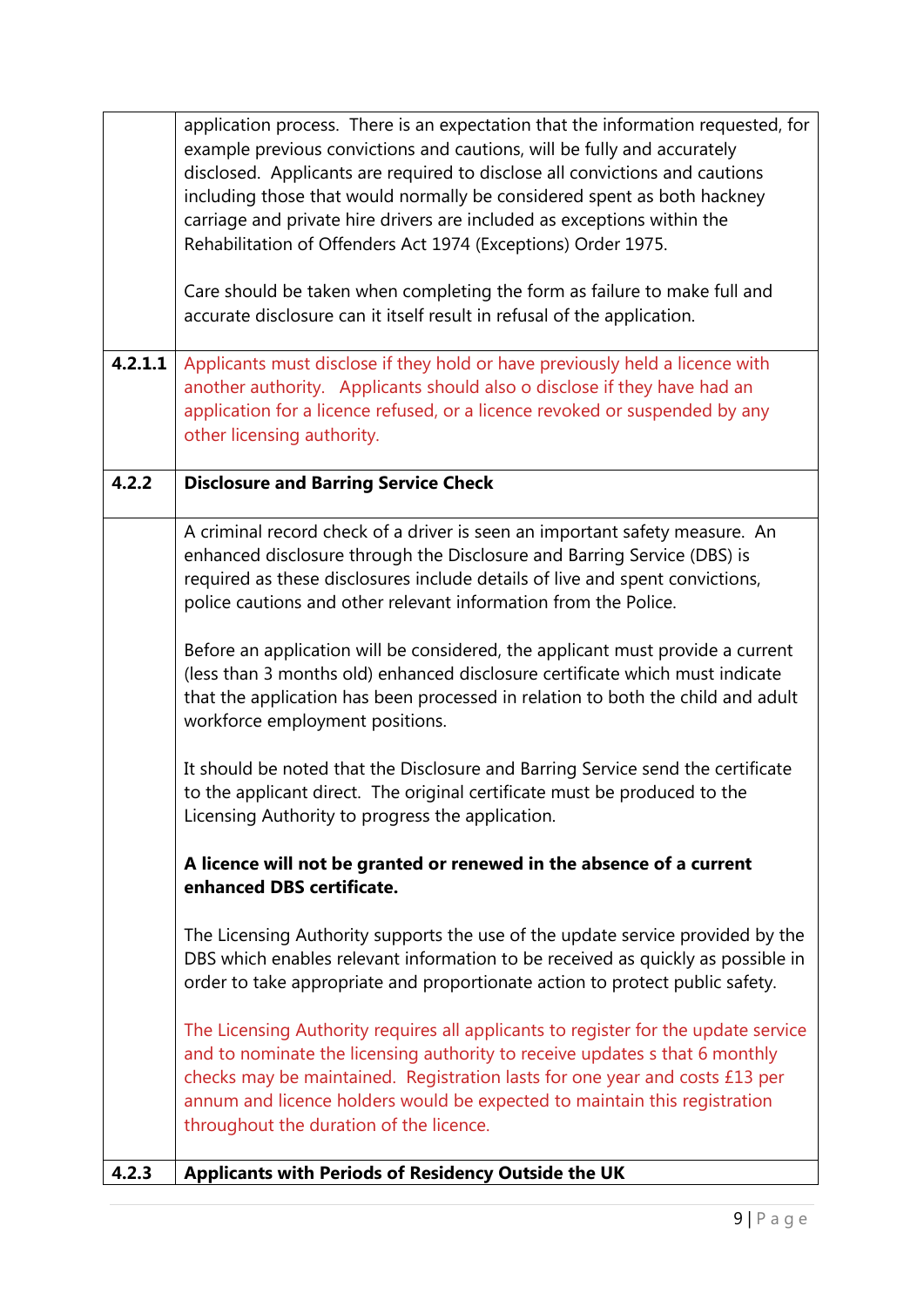|         | application process. There is an expectation that the information requested, for<br>example previous convictions and cautions, will be fully and accurately<br>disclosed. Applicants are required to disclose all convictions and cautions<br>including those that would normally be considered spent as both hackney<br>carriage and private hire drivers are included as exceptions within the |
|---------|--------------------------------------------------------------------------------------------------------------------------------------------------------------------------------------------------------------------------------------------------------------------------------------------------------------------------------------------------------------------------------------------------|
|         | Rehabilitation of Offenders Act 1974 (Exceptions) Order 1975.                                                                                                                                                                                                                                                                                                                                    |
|         | Care should be taken when completing the form as failure to make full and<br>accurate disclosure can it itself result in refusal of the application.                                                                                                                                                                                                                                             |
| 4.2.1.1 | Applicants must disclose if they hold or have previously held a licence with<br>another authority. Applicants should also o disclose if they have had an<br>application for a licence refused, or a licence revoked or suspended by any<br>other licensing authority.                                                                                                                            |
| 4.2.2   | <b>Disclosure and Barring Service Check</b>                                                                                                                                                                                                                                                                                                                                                      |
|         | A criminal record check of a driver is seen an important safety measure. An<br>enhanced disclosure through the Disclosure and Barring Service (DBS) is<br>required as these disclosures include details of live and spent convictions,<br>police cautions and other relevant information from the Police.                                                                                        |
|         | Before an application will be considered, the applicant must provide a current<br>(less than 3 months old) enhanced disclosure certificate which must indicate<br>that the application has been processed in relation to both the child and adult<br>workforce employment positions.                                                                                                             |
|         | It should be noted that the Disclosure and Barring Service send the certificate<br>to the applicant direct. The original certificate must be produced to the<br>Licensing Authority to progress the application.                                                                                                                                                                                 |
|         | A licence will not be granted or renewed in the absence of a current<br>enhanced DBS certificate.                                                                                                                                                                                                                                                                                                |
|         | The Licensing Authority supports the use of the update service provided by the<br>DBS which enables relevant information to be received as quickly as possible in<br>order to take appropriate and proportionate action to protect public safety.                                                                                                                                                |
|         | The Licensing Authority requires all applicants to register for the update service<br>and to nominate the licensing authority to receive updates s that 6 monthly<br>checks may be maintained. Registration lasts for one year and costs £13 per<br>annum and licence holders would be expected to maintain this registration<br>throughout the duration of the licence.                         |
| 4.2.3   | Applicants with Periods of Residency Outside the UK                                                                                                                                                                                                                                                                                                                                              |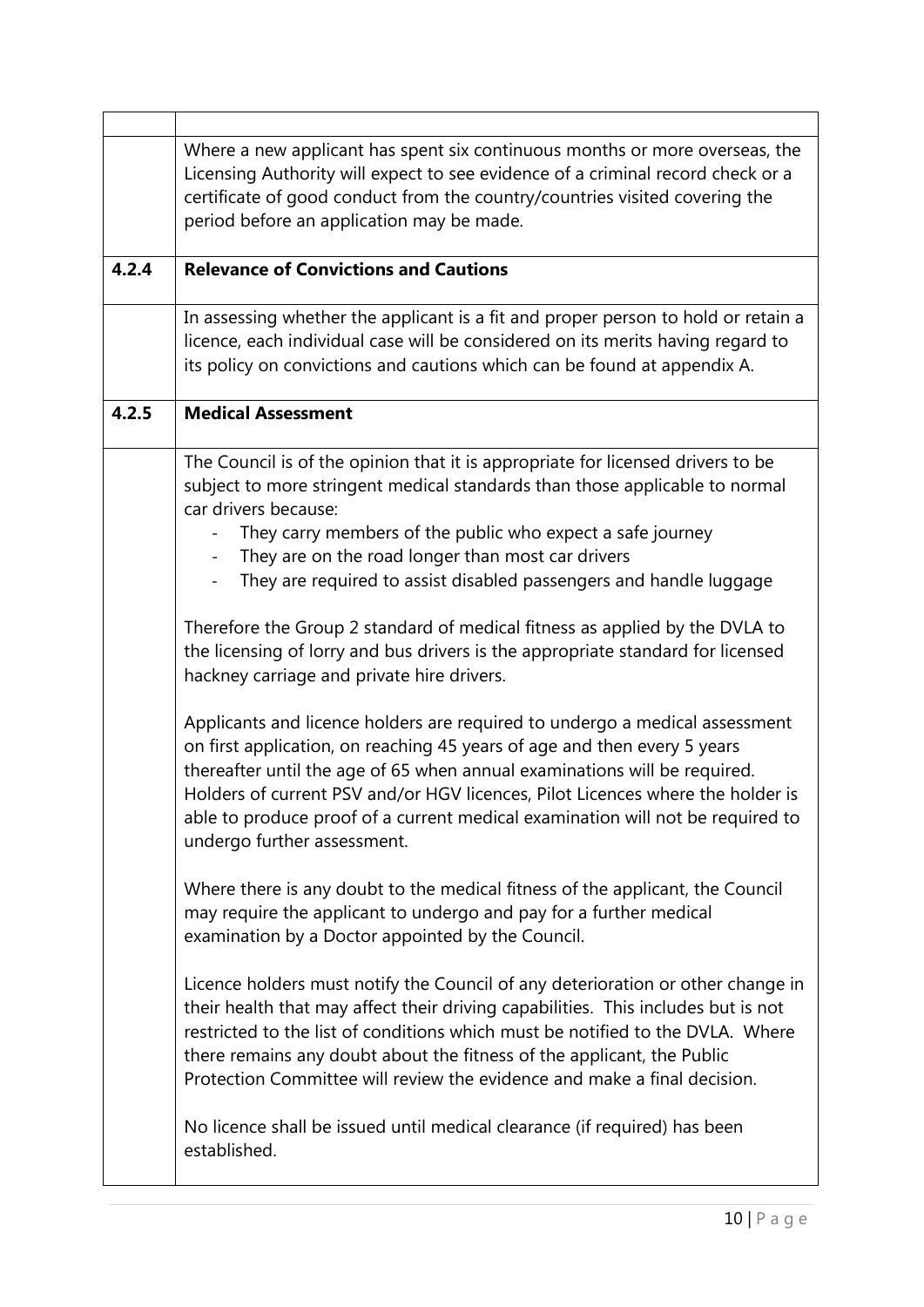|       | Where a new applicant has spent six continuous months or more overseas, the<br>Licensing Authority will expect to see evidence of a criminal record check or a<br>certificate of good conduct from the country/countries visited covering the<br>period before an application may be made.                                                                                                                                              |
|-------|-----------------------------------------------------------------------------------------------------------------------------------------------------------------------------------------------------------------------------------------------------------------------------------------------------------------------------------------------------------------------------------------------------------------------------------------|
| 4.2.4 | <b>Relevance of Convictions and Cautions</b>                                                                                                                                                                                                                                                                                                                                                                                            |
|       | In assessing whether the applicant is a fit and proper person to hold or retain a<br>licence, each individual case will be considered on its merits having regard to<br>its policy on convictions and cautions which can be found at appendix A.                                                                                                                                                                                        |
| 4.2.5 | <b>Medical Assessment</b>                                                                                                                                                                                                                                                                                                                                                                                                               |
|       | The Council is of the opinion that it is appropriate for licensed drivers to be<br>subject to more stringent medical standards than those applicable to normal<br>car drivers because:                                                                                                                                                                                                                                                  |
|       | They carry members of the public who expect a safe journey                                                                                                                                                                                                                                                                                                                                                                              |
|       | They are on the road longer than most car drivers<br>$\overline{\phantom{a}}$                                                                                                                                                                                                                                                                                                                                                           |
|       | They are required to assist disabled passengers and handle luggage                                                                                                                                                                                                                                                                                                                                                                      |
|       | Therefore the Group 2 standard of medical fitness as applied by the DVLA to<br>the licensing of lorry and bus drivers is the appropriate standard for licensed<br>hackney carriage and private hire drivers.                                                                                                                                                                                                                            |
|       | Applicants and licence holders are required to undergo a medical assessment<br>on first application, on reaching 45 years of age and then every 5 years<br>thereafter until the age of 65 when annual examinations will be required.<br>Holders of current PSV and/or HGV licences, Pilot Licences where the holder is<br>able to produce proof of a current medical examination will not be required to<br>undergo further assessment. |
|       | Where there is any doubt to the medical fitness of the applicant, the Council<br>may require the applicant to undergo and pay for a further medical<br>examination by a Doctor appointed by the Council.                                                                                                                                                                                                                                |
|       | Licence holders must notify the Council of any deterioration or other change in<br>their health that may affect their driving capabilities. This includes but is not<br>restricted to the list of conditions which must be notified to the DVLA. Where<br>there remains any doubt about the fitness of the applicant, the Public<br>Protection Committee will review the evidence and make a final decision.                            |
|       | No licence shall be issued until medical clearance (if required) has been<br>established.                                                                                                                                                                                                                                                                                                                                               |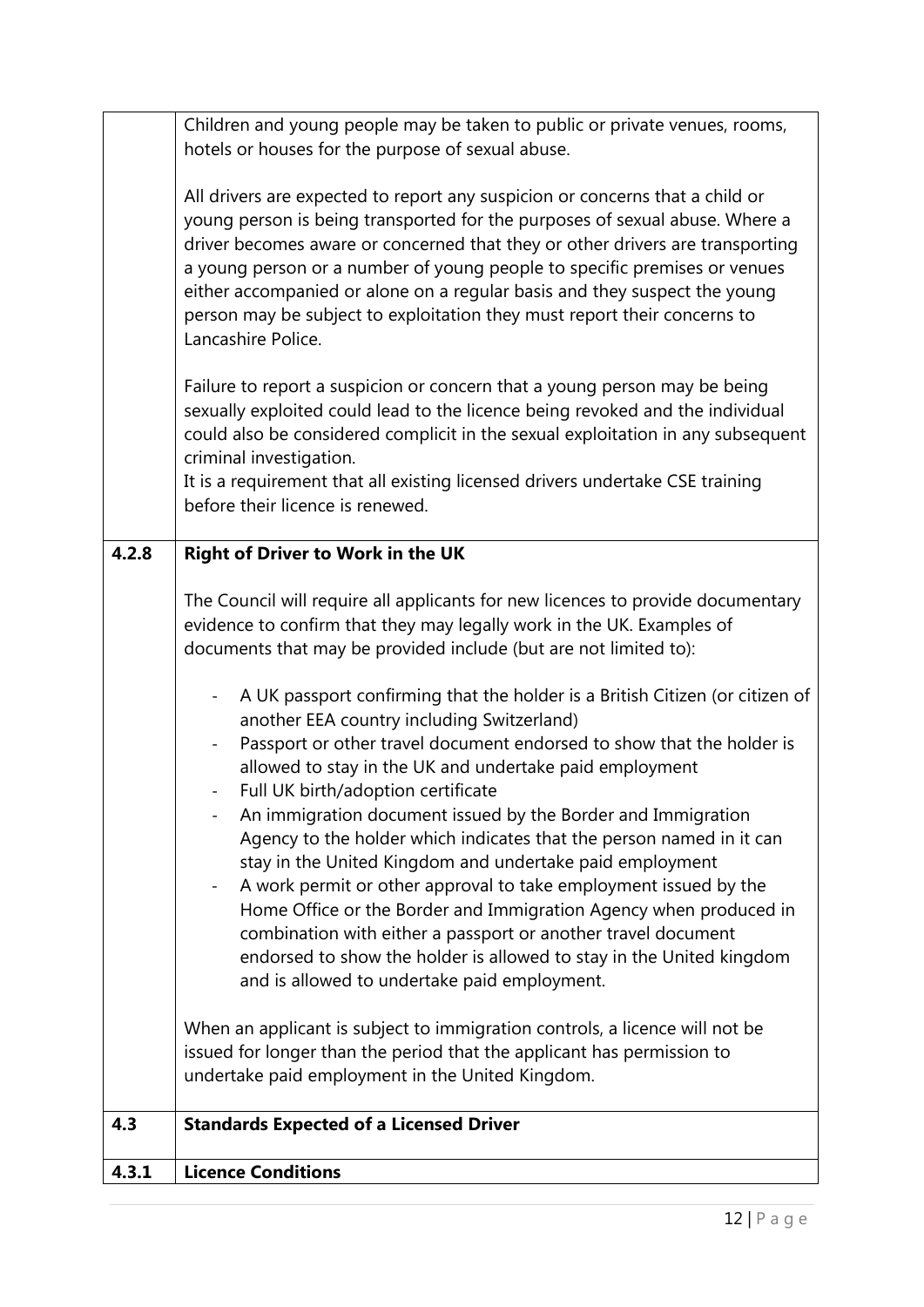|       | Children and young people may be taken to public or private venues, rooms,<br>hotels or houses for the purpose of sexual abuse.                                                                                                                                                                                                                                                                                                                                                                                                                                                                                                                                                                                                                                                                                                                                                                                                                                                                                                                                                                                                                                                                                                                                                                                                                 |
|-------|-------------------------------------------------------------------------------------------------------------------------------------------------------------------------------------------------------------------------------------------------------------------------------------------------------------------------------------------------------------------------------------------------------------------------------------------------------------------------------------------------------------------------------------------------------------------------------------------------------------------------------------------------------------------------------------------------------------------------------------------------------------------------------------------------------------------------------------------------------------------------------------------------------------------------------------------------------------------------------------------------------------------------------------------------------------------------------------------------------------------------------------------------------------------------------------------------------------------------------------------------------------------------------------------------------------------------------------------------|
|       | All drivers are expected to report any suspicion or concerns that a child or<br>young person is being transported for the purposes of sexual abuse. Where a<br>driver becomes aware or concerned that they or other drivers are transporting<br>a young person or a number of young people to specific premises or venues<br>either accompanied or alone on a regular basis and they suspect the young<br>person may be subject to exploitation they must report their concerns to<br>Lancashire Police.                                                                                                                                                                                                                                                                                                                                                                                                                                                                                                                                                                                                                                                                                                                                                                                                                                        |
|       | Failure to report a suspicion or concern that a young person may be being<br>sexually exploited could lead to the licence being revoked and the individual<br>could also be considered complicit in the sexual exploitation in any subsequent<br>criminal investigation.<br>It is a requirement that all existing licensed drivers undertake CSE training<br>before their licence is renewed.                                                                                                                                                                                                                                                                                                                                                                                                                                                                                                                                                                                                                                                                                                                                                                                                                                                                                                                                                   |
| 4.2.8 | <b>Right of Driver to Work in the UK</b>                                                                                                                                                                                                                                                                                                                                                                                                                                                                                                                                                                                                                                                                                                                                                                                                                                                                                                                                                                                                                                                                                                                                                                                                                                                                                                        |
|       | The Council will require all applicants for new licences to provide documentary<br>evidence to confirm that they may legally work in the UK. Examples of<br>documents that may be provided include (but are not limited to):<br>A UK passport confirming that the holder is a British Citizen (or citizen of<br>$\overline{\phantom{a}}$<br>another EEA country including Switzerland)<br>Passport or other travel document endorsed to show that the holder is<br>$\overline{\phantom{a}}$<br>allowed to stay in the UK and undertake paid employment<br>Full UK birth/adoption certificate<br>An immigration document issued by the Border and Immigration<br>Agency to the holder which indicates that the person named in it can<br>stay in the United Kingdom and undertake paid employment<br>A work permit or other approval to take employment issued by the<br>Home Office or the Border and Immigration Agency when produced in<br>combination with either a passport or another travel document<br>endorsed to show the holder is allowed to stay in the United kingdom<br>and is allowed to undertake paid employment.<br>When an applicant is subject to immigration controls, a licence will not be<br>issued for longer than the period that the applicant has permission to<br>undertake paid employment in the United Kingdom. |
| 4.3   | <b>Standards Expected of a Licensed Driver</b>                                                                                                                                                                                                                                                                                                                                                                                                                                                                                                                                                                                                                                                                                                                                                                                                                                                                                                                                                                                                                                                                                                                                                                                                                                                                                                  |
| 4.3.1 | <b>Licence Conditions</b>                                                                                                                                                                                                                                                                                                                                                                                                                                                                                                                                                                                                                                                                                                                                                                                                                                                                                                                                                                                                                                                                                                                                                                                                                                                                                                                       |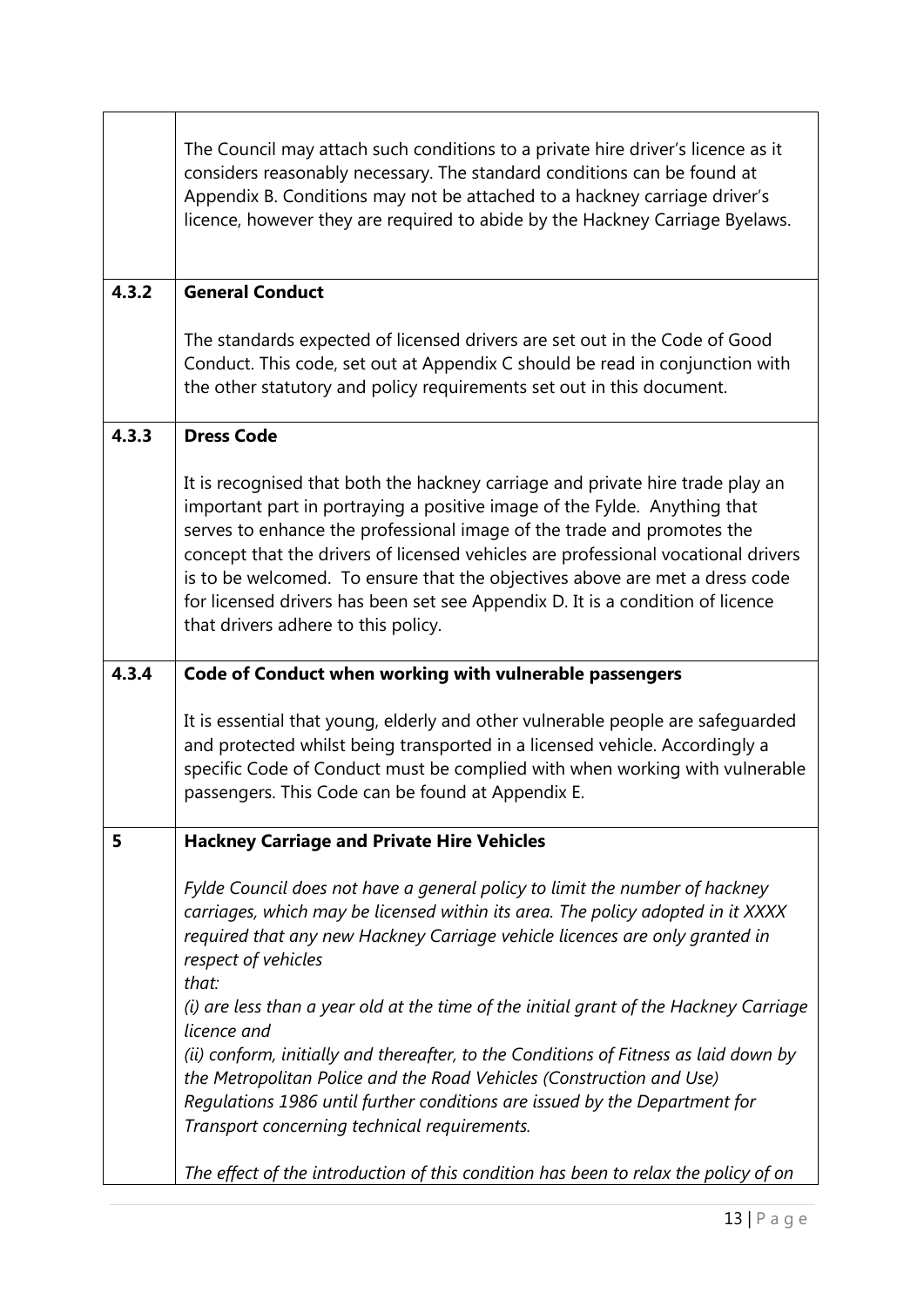|       | The Council may attach such conditions to a private hire driver's licence as it<br>considers reasonably necessary. The standard conditions can be found at<br>Appendix B. Conditions may not be attached to a hackney carriage driver's<br>licence, however they are required to abide by the Hackney Carriage Byelaws.                                                                                                                                                                                                            |
|-------|------------------------------------------------------------------------------------------------------------------------------------------------------------------------------------------------------------------------------------------------------------------------------------------------------------------------------------------------------------------------------------------------------------------------------------------------------------------------------------------------------------------------------------|
| 4.3.2 | <b>General Conduct</b>                                                                                                                                                                                                                                                                                                                                                                                                                                                                                                             |
|       | The standards expected of licensed drivers are set out in the Code of Good<br>Conduct. This code, set out at Appendix C should be read in conjunction with<br>the other statutory and policy requirements set out in this document.                                                                                                                                                                                                                                                                                                |
| 4.3.3 | <b>Dress Code</b>                                                                                                                                                                                                                                                                                                                                                                                                                                                                                                                  |
|       | It is recognised that both the hackney carriage and private hire trade play an<br>important part in portraying a positive image of the Fylde. Anything that<br>serves to enhance the professional image of the trade and promotes the<br>concept that the drivers of licensed vehicles are professional vocational drivers<br>is to be welcomed. To ensure that the objectives above are met a dress code<br>for licensed drivers has been set see Appendix D. It is a condition of licence<br>that drivers adhere to this policy. |
|       |                                                                                                                                                                                                                                                                                                                                                                                                                                                                                                                                    |
| 4.3.4 | Code of Conduct when working with vulnerable passengers                                                                                                                                                                                                                                                                                                                                                                                                                                                                            |
|       | It is essential that young, elderly and other vulnerable people are safeguarded<br>and protected whilst being transported in a licensed vehicle. Accordingly a<br>specific Code of Conduct must be complied with when working with vulnerable<br>passengers. This Code can be found at Appendix E.                                                                                                                                                                                                                                 |
| 5     | <b>Hackney Carriage and Private Hire Vehicles</b>                                                                                                                                                                                                                                                                                                                                                                                                                                                                                  |
|       | Fylde Council does not have a general policy to limit the number of hackney<br>carriages, which may be licensed within its area. The policy adopted in it XXXX<br>required that any new Hackney Carriage vehicle licences are only granted in<br>respect of vehicles<br>that:<br>(i) are less than a year old at the time of the initial grant of the Hackney Carriage                                                                                                                                                             |
|       | licence and<br>(ii) conform, initially and thereafter, to the Conditions of Fitness as laid down by                                                                                                                                                                                                                                                                                                                                                                                                                                |
|       | the Metropolitan Police and the Road Vehicles (Construction and Use)<br>Regulations 1986 until further conditions are issued by the Department for<br>Transport concerning technical requirements.                                                                                                                                                                                                                                                                                                                                 |

 $\mathbf{r}$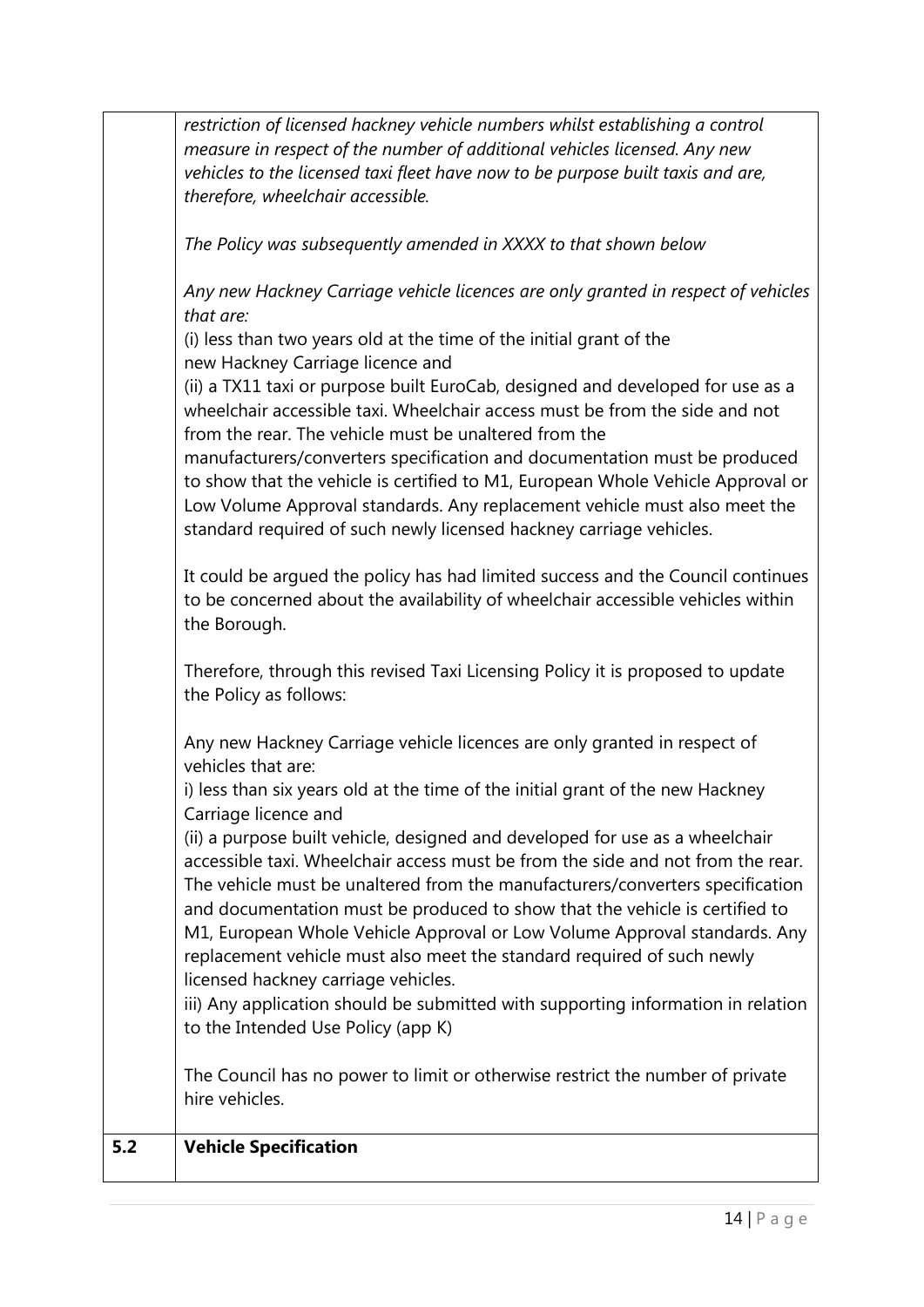|     | restriction of licensed hackney vehicle numbers whilst establishing a control<br>measure in respect of the number of additional vehicles licensed. Any new<br>vehicles to the licensed taxi fleet have now to be purpose built taxis and are,<br>therefore, wheelchair accessible.                                                                                                                                                                                                                                                                                                                  |
|-----|-----------------------------------------------------------------------------------------------------------------------------------------------------------------------------------------------------------------------------------------------------------------------------------------------------------------------------------------------------------------------------------------------------------------------------------------------------------------------------------------------------------------------------------------------------------------------------------------------------|
|     | The Policy was subsequently amended in XXXX to that shown below                                                                                                                                                                                                                                                                                                                                                                                                                                                                                                                                     |
|     | Any new Hackney Carriage vehicle licences are only granted in respect of vehicles<br>that are:<br>(i) less than two years old at the time of the initial grant of the<br>new Hackney Carriage licence and<br>(ii) a TX11 taxi or purpose built EuroCab, designed and developed for use as a<br>wheelchair accessible taxi. Wheelchair access must be from the side and not<br>from the rear. The vehicle must be unaltered from the<br>manufacturers/converters specification and documentation must be produced<br>to show that the vehicle is certified to M1, European Whole Vehicle Approval or |
|     | Low Volume Approval standards. Any replacement vehicle must also meet the<br>standard required of such newly licensed hackney carriage vehicles.                                                                                                                                                                                                                                                                                                                                                                                                                                                    |
|     | It could be argued the policy has had limited success and the Council continues<br>to be concerned about the availability of wheelchair accessible vehicles within<br>the Borough.                                                                                                                                                                                                                                                                                                                                                                                                                  |
|     | Therefore, through this revised Taxi Licensing Policy it is proposed to update<br>the Policy as follows:                                                                                                                                                                                                                                                                                                                                                                                                                                                                                            |
|     | Any new Hackney Carriage vehicle licences are only granted in respect of<br>vehicles that are:                                                                                                                                                                                                                                                                                                                                                                                                                                                                                                      |
|     | i) less than six years old at the time of the initial grant of the new Hackney<br>Carriage licence and                                                                                                                                                                                                                                                                                                                                                                                                                                                                                              |
|     | (ii) a purpose built vehicle, designed and developed for use as a wheelchair<br>accessible taxi. Wheelchair access must be from the side and not from the rear.<br>The vehicle must be unaltered from the manufacturers/converters specification<br>and documentation must be produced to show that the vehicle is certified to<br>M1, European Whole Vehicle Approval or Low Volume Approval standards. Any<br>replacement vehicle must also meet the standard required of such newly<br>licensed hackney carriage vehicles.                                                                       |
|     | iii) Any application should be submitted with supporting information in relation<br>to the Intended Use Policy (app K)                                                                                                                                                                                                                                                                                                                                                                                                                                                                              |
|     | The Council has no power to limit or otherwise restrict the number of private<br>hire vehicles.                                                                                                                                                                                                                                                                                                                                                                                                                                                                                                     |
| 5.2 | <b>Vehicle Specification</b>                                                                                                                                                                                                                                                                                                                                                                                                                                                                                                                                                                        |
|     |                                                                                                                                                                                                                                                                                                                                                                                                                                                                                                                                                                                                     |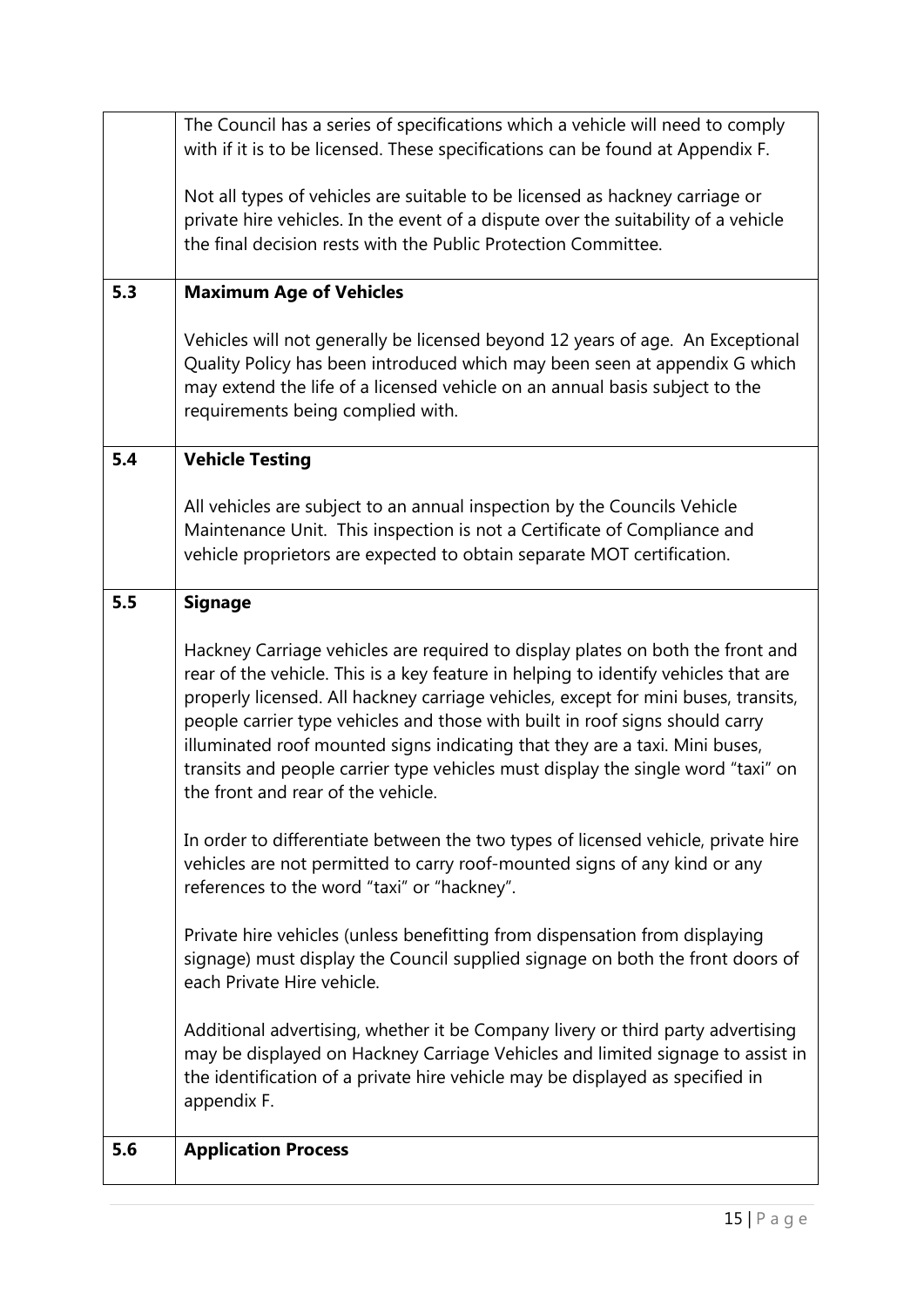| 5.6 | <b>Application Process</b>                                                                                                                                                                                                                                                                                                                                                                                                                                                                                                                                             |
|-----|------------------------------------------------------------------------------------------------------------------------------------------------------------------------------------------------------------------------------------------------------------------------------------------------------------------------------------------------------------------------------------------------------------------------------------------------------------------------------------------------------------------------------------------------------------------------|
|     | Additional advertising, whether it be Company livery or third party advertising<br>may be displayed on Hackney Carriage Vehicles and limited signage to assist in<br>the identification of a private hire vehicle may be displayed as specified in<br>appendix F.                                                                                                                                                                                                                                                                                                      |
|     | Private hire vehicles (unless benefitting from dispensation from displaying<br>signage) must display the Council supplied signage on both the front doors of<br>each Private Hire vehicle.                                                                                                                                                                                                                                                                                                                                                                             |
|     | In order to differentiate between the two types of licensed vehicle, private hire<br>vehicles are not permitted to carry roof-mounted signs of any kind or any<br>references to the word "taxi" or "hackney".                                                                                                                                                                                                                                                                                                                                                          |
| 5.5 | <b>Signage</b><br>Hackney Carriage vehicles are required to display plates on both the front and<br>rear of the vehicle. This is a key feature in helping to identify vehicles that are<br>properly licensed. All hackney carriage vehicles, except for mini buses, transits,<br>people carrier type vehicles and those with built in roof signs should carry<br>illuminated roof mounted signs indicating that they are a taxi. Mini buses,<br>transits and people carrier type vehicles must display the single word "taxi" on<br>the front and rear of the vehicle. |
|     |                                                                                                                                                                                                                                                                                                                                                                                                                                                                                                                                                                        |
| 5.4 | <b>Vehicle Testing</b><br>All vehicles are subject to an annual inspection by the Councils Vehicle<br>Maintenance Unit. This inspection is not a Certificate of Compliance and<br>vehicle proprietors are expected to obtain separate MOT certification.                                                                                                                                                                                                                                                                                                               |
|     |                                                                                                                                                                                                                                                                                                                                                                                                                                                                                                                                                                        |
|     | Vehicles will not generally be licensed beyond 12 years of age. An Exceptional<br>Quality Policy has been introduced which may been seen at appendix G which<br>may extend the life of a licensed vehicle on an annual basis subject to the<br>requirements being complied with.                                                                                                                                                                                                                                                                                       |
| 5.3 | <b>Maximum Age of Vehicles</b>                                                                                                                                                                                                                                                                                                                                                                                                                                                                                                                                         |
|     | Not all types of vehicles are suitable to be licensed as hackney carriage or<br>private hire vehicles. In the event of a dispute over the suitability of a vehicle<br>the final decision rests with the Public Protection Committee.                                                                                                                                                                                                                                                                                                                                   |
|     | The Council has a series of specifications which a vehicle will need to comply<br>with if it is to be licensed. These specifications can be found at Appendix F.                                                                                                                                                                                                                                                                                                                                                                                                       |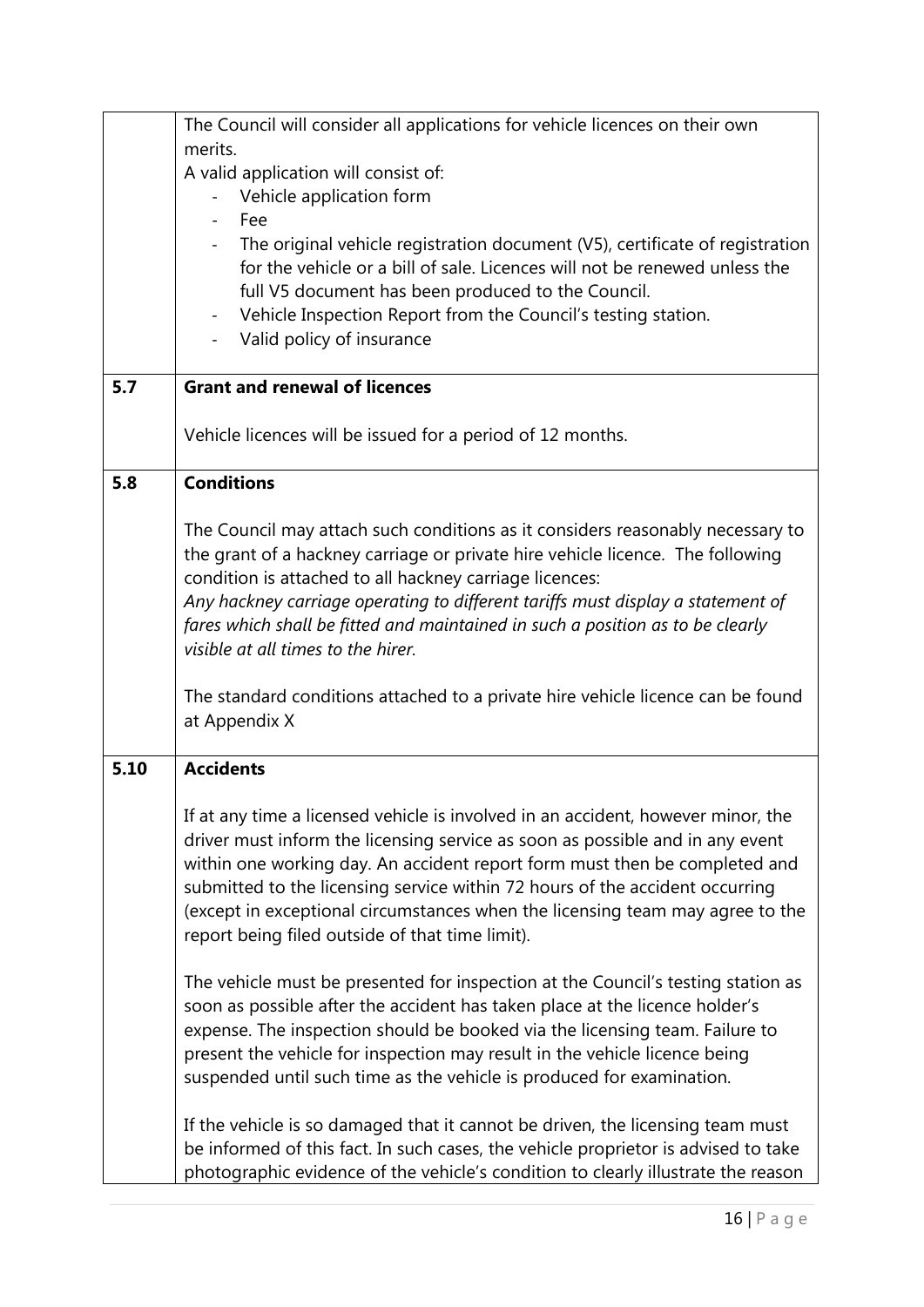|      | The Council will consider all applications for vehicle licences on their own       |
|------|------------------------------------------------------------------------------------|
|      | merits.                                                                            |
|      | A valid application will consist of:                                               |
|      | Vehicle application form                                                           |
|      | Fee                                                                                |
|      | The original vehicle registration document (V5), certificate of registration       |
|      | for the vehicle or a bill of sale. Licences will not be renewed unless the         |
|      | full V5 document has been produced to the Council.                                 |
|      | Vehicle Inspection Report from the Council's testing station.                      |
|      | Valid policy of insurance                                                          |
| 5.7  | <b>Grant and renewal of licences</b>                                               |
|      |                                                                                    |
|      | Vehicle licences will be issued for a period of 12 months.                         |
| 5.8  | <b>Conditions</b>                                                                  |
|      |                                                                                    |
|      | The Council may attach such conditions as it considers reasonably necessary to     |
|      | the grant of a hackney carriage or private hire vehicle licence. The following     |
|      | condition is attached to all hackney carriage licences:                            |
|      | Any hackney carriage operating to different tariffs must display a statement of    |
|      | fares which shall be fitted and maintained in such a position as to be clearly     |
|      | visible at all times to the hirer.                                                 |
|      |                                                                                    |
|      | The standard conditions attached to a private hire vehicle licence can be found    |
|      | at Appendix X                                                                      |
|      |                                                                                    |
| 5.10 | <b>Accidents</b>                                                                   |
|      | If at any time a licensed vehicle is involved in an accident, however minor, the   |
|      | driver must inform the licensing service as soon as possible and in any event      |
|      | within one working day. An accident report form must then be completed and         |
|      | submitted to the licensing service within 72 hours of the accident occurring       |
|      | (except in exceptional circumstances when the licensing team may agree to the      |
|      | report being filed outside of that time limit).                                    |
|      |                                                                                    |
|      | The vehicle must be presented for inspection at the Council's testing station as   |
|      | soon as possible after the accident has taken place at the licence holder's        |
|      | expense. The inspection should be booked via the licensing team. Failure to        |
|      | present the vehicle for inspection may result in the vehicle licence being         |
|      | suspended until such time as the vehicle is produced for examination.              |
|      |                                                                                    |
|      | If the vehicle is so damaged that it cannot be driven, the licensing team must     |
|      | be informed of this fact. In such cases, the vehicle proprietor is advised to take |
|      | photographic evidence of the vehicle's condition to clearly illustrate the reason  |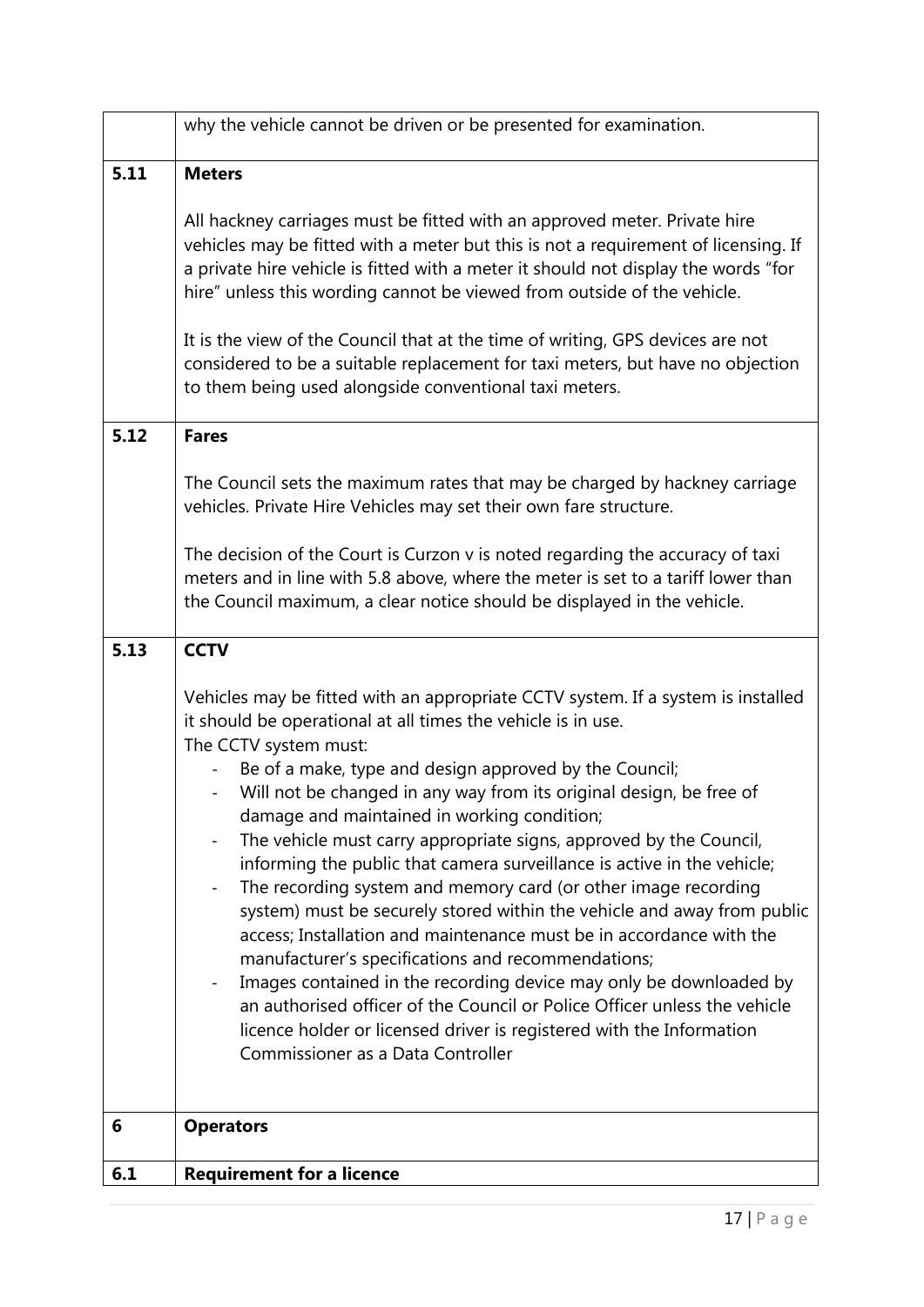| <b>Operators</b>                                                                                                                                                                                                                                                                                                                                                                                                                                                                                                                                                                                                                                                                                                                                                                                                                                                                                                                                                                                                                                               |
|----------------------------------------------------------------------------------------------------------------------------------------------------------------------------------------------------------------------------------------------------------------------------------------------------------------------------------------------------------------------------------------------------------------------------------------------------------------------------------------------------------------------------------------------------------------------------------------------------------------------------------------------------------------------------------------------------------------------------------------------------------------------------------------------------------------------------------------------------------------------------------------------------------------------------------------------------------------------------------------------------------------------------------------------------------------|
|                                                                                                                                                                                                                                                                                                                                                                                                                                                                                                                                                                                                                                                                                                                                                                                                                                                                                                                                                                                                                                                                |
| Vehicles may be fitted with an appropriate CCTV system. If a system is installed<br>it should be operational at all times the vehicle is in use.<br>The CCTV system must:<br>Be of a make, type and design approved by the Council;<br>Will not be changed in any way from its original design, be free of<br>$\sim$<br>damage and maintained in working condition;<br>The vehicle must carry appropriate signs, approved by the Council,<br>informing the public that camera surveillance is active in the vehicle;<br>The recording system and memory card (or other image recording<br>system) must be securely stored within the vehicle and away from public<br>access; Installation and maintenance must be in accordance with the<br>manufacturer's specifications and recommendations;<br>Images contained in the recording device may only be downloaded by<br>an authorised officer of the Council or Police Officer unless the vehicle<br>licence holder or licensed driver is registered with the Information<br>Commissioner as a Data Controller |
| <b>CCTV</b>                                                                                                                                                                                                                                                                                                                                                                                                                                                                                                                                                                                                                                                                                                                                                                                                                                                                                                                                                                                                                                                    |
| The Council sets the maximum rates that may be charged by hackney carriage<br>vehicles. Private Hire Vehicles may set their own fare structure.<br>The decision of the Court is Curzon v is noted regarding the accuracy of taxi<br>meters and in line with 5.8 above, where the meter is set to a tariff lower than<br>the Council maximum, a clear notice should be displayed in the vehicle.                                                                                                                                                                                                                                                                                                                                                                                                                                                                                                                                                                                                                                                                |
| <b>Fares</b>                                                                                                                                                                                                                                                                                                                                                                                                                                                                                                                                                                                                                                                                                                                                                                                                                                                                                                                                                                                                                                                   |
| It is the view of the Council that at the time of writing, GPS devices are not<br>considered to be a suitable replacement for taxi meters, but have no objection<br>to them being used alongside conventional taxi meters.                                                                                                                                                                                                                                                                                                                                                                                                                                                                                                                                                                                                                                                                                                                                                                                                                                     |
| <b>Meters</b><br>All hackney carriages must be fitted with an approved meter. Private hire<br>vehicles may be fitted with a meter but this is not a requirement of licensing. If<br>a private hire vehicle is fitted with a meter it should not display the words "for<br>hire" unless this wording cannot be viewed from outside of the vehicle.                                                                                                                                                                                                                                                                                                                                                                                                                                                                                                                                                                                                                                                                                                              |
| why the vehicle cannot be driven or be presented for examination.                                                                                                                                                                                                                                                                                                                                                                                                                                                                                                                                                                                                                                                                                                                                                                                                                                                                                                                                                                                              |
|                                                                                                                                                                                                                                                                                                                                                                                                                                                                                                                                                                                                                                                                                                                                                                                                                                                                                                                                                                                                                                                                |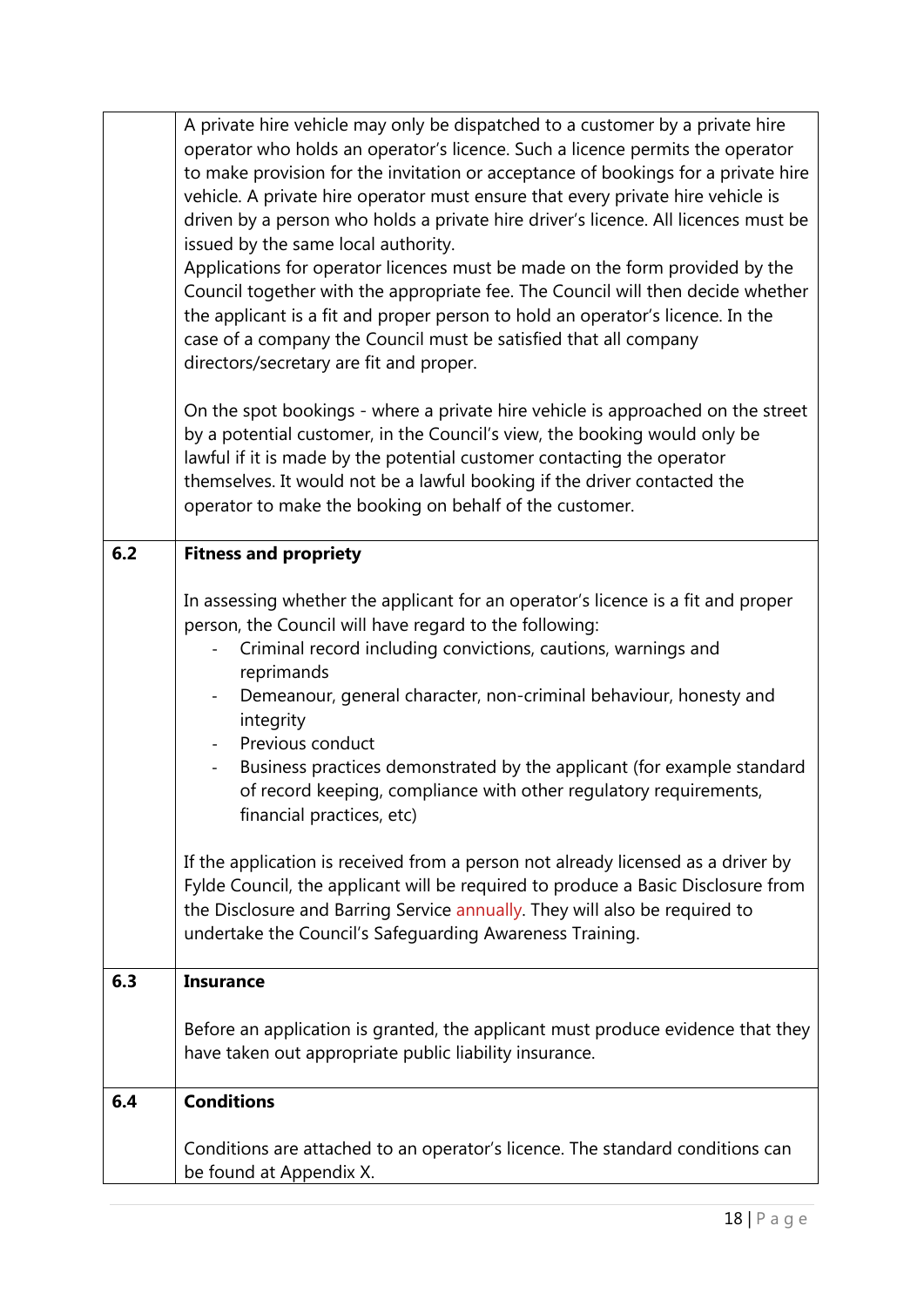|     | A private hire vehicle may only be dispatched to a customer by a private hire<br>operator who holds an operator's licence. Such a licence permits the operator<br>to make provision for the invitation or acceptance of bookings for a private hire<br>vehicle. A private hire operator must ensure that every private hire vehicle is<br>driven by a person who holds a private hire driver's licence. All licences must be<br>issued by the same local authority.<br>Applications for operator licences must be made on the form provided by the<br>Council together with the appropriate fee. The Council will then decide whether<br>the applicant is a fit and proper person to hold an operator's licence. In the<br>case of a company the Council must be satisfied that all company<br>directors/secretary are fit and proper.<br>On the spot bookings - where a private hire vehicle is approached on the street |
|-----|---------------------------------------------------------------------------------------------------------------------------------------------------------------------------------------------------------------------------------------------------------------------------------------------------------------------------------------------------------------------------------------------------------------------------------------------------------------------------------------------------------------------------------------------------------------------------------------------------------------------------------------------------------------------------------------------------------------------------------------------------------------------------------------------------------------------------------------------------------------------------------------------------------------------------|
|     | by a potential customer, in the Council's view, the booking would only be<br>lawful if it is made by the potential customer contacting the operator<br>themselves. It would not be a lawful booking if the driver contacted the<br>operator to make the booking on behalf of the customer.                                                                                                                                                                                                                                                                                                                                                                                                                                                                                                                                                                                                                                |
| 6.2 | <b>Fitness and propriety</b>                                                                                                                                                                                                                                                                                                                                                                                                                                                                                                                                                                                                                                                                                                                                                                                                                                                                                              |
|     | In assessing whether the applicant for an operator's licence is a fit and proper<br>person, the Council will have regard to the following:<br>Criminal record including convictions, cautions, warnings and<br>reprimands<br>Demeanour, general character, non-criminal behaviour, honesty and<br>$\overline{\phantom{a}}$<br>integrity<br>Previous conduct<br>Business practices demonstrated by the applicant (for example standard<br>$\overline{\phantom{a}}$<br>of record keeping, compliance with other regulatory requirements,<br>financial practices, etc)                                                                                                                                                                                                                                                                                                                                                       |
|     | If the application is received from a person not already licensed as a driver by<br>Fylde Council, the applicant will be required to produce a Basic Disclosure from<br>the Disclosure and Barring Service annually. They will also be required to<br>undertake the Council's Safeguarding Awareness Training.                                                                                                                                                                                                                                                                                                                                                                                                                                                                                                                                                                                                            |
| 6.3 | <b>Insurance</b>                                                                                                                                                                                                                                                                                                                                                                                                                                                                                                                                                                                                                                                                                                                                                                                                                                                                                                          |
|     | Before an application is granted, the applicant must produce evidence that they<br>have taken out appropriate public liability insurance.                                                                                                                                                                                                                                                                                                                                                                                                                                                                                                                                                                                                                                                                                                                                                                                 |
| 6.4 | <b>Conditions</b>                                                                                                                                                                                                                                                                                                                                                                                                                                                                                                                                                                                                                                                                                                                                                                                                                                                                                                         |
|     | Conditions are attached to an operator's licence. The standard conditions can<br>be found at Appendix X.                                                                                                                                                                                                                                                                                                                                                                                                                                                                                                                                                                                                                                                                                                                                                                                                                  |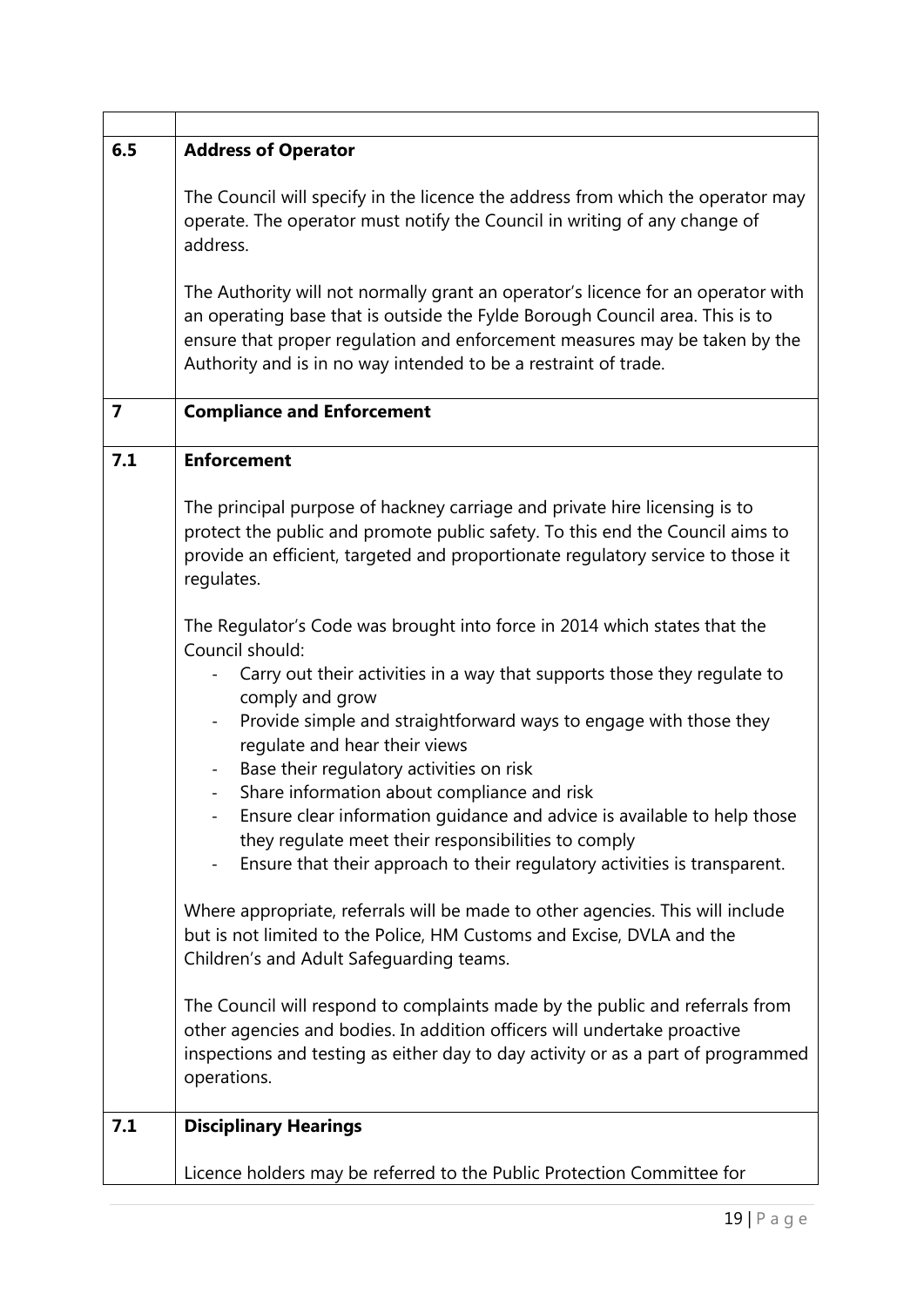| 6.5 | <b>Address of Operator</b>                                                                                                                                                                                                                                                                                        |
|-----|-------------------------------------------------------------------------------------------------------------------------------------------------------------------------------------------------------------------------------------------------------------------------------------------------------------------|
|     | The Council will specify in the licence the address from which the operator may<br>operate. The operator must notify the Council in writing of any change of<br>address.                                                                                                                                          |
|     | The Authority will not normally grant an operator's licence for an operator with<br>an operating base that is outside the Fylde Borough Council area. This is to<br>ensure that proper regulation and enforcement measures may be taken by the<br>Authority and is in no way intended to be a restraint of trade. |
| 7   | <b>Compliance and Enforcement</b>                                                                                                                                                                                                                                                                                 |
| 7.1 | <b>Enforcement</b>                                                                                                                                                                                                                                                                                                |
|     | The principal purpose of hackney carriage and private hire licensing is to<br>protect the public and promote public safety. To this end the Council aims to<br>provide an efficient, targeted and proportionate regulatory service to those it<br>regulates.                                                      |
|     | The Regulator's Code was brought into force in 2014 which states that the<br>Council should:<br>Carry out their activities in a way that supports those they regulate to                                                                                                                                          |
|     | comply and grow<br>Provide simple and straightforward ways to engage with those they<br>$\qquad \qquad -$<br>regulate and hear their views                                                                                                                                                                        |
|     | Base their regulatory activities on risk                                                                                                                                                                                                                                                                          |
|     | Share information about compliance and risk<br>$\overline{\phantom{0}}$<br>Ensure clear information quidance and advice is available to help those<br>they regulate meet their responsibilities to comply<br>Ensure that their approach to their regulatory activities is transparent.                            |
|     | Where appropriate, referrals will be made to other agencies. This will include<br>but is not limited to the Police, HM Customs and Excise, DVLA and the<br>Children's and Adult Safeguarding teams.                                                                                                               |
|     | The Council will respond to complaints made by the public and referrals from<br>other agencies and bodies. In addition officers will undertake proactive<br>inspections and testing as either day to day activity or as a part of programmed<br>operations.                                                       |
| 7.1 | <b>Disciplinary Hearings</b>                                                                                                                                                                                                                                                                                      |
|     | Licence holders may be referred to the Public Protection Committee for                                                                                                                                                                                                                                            |

 $\mathbf{r}$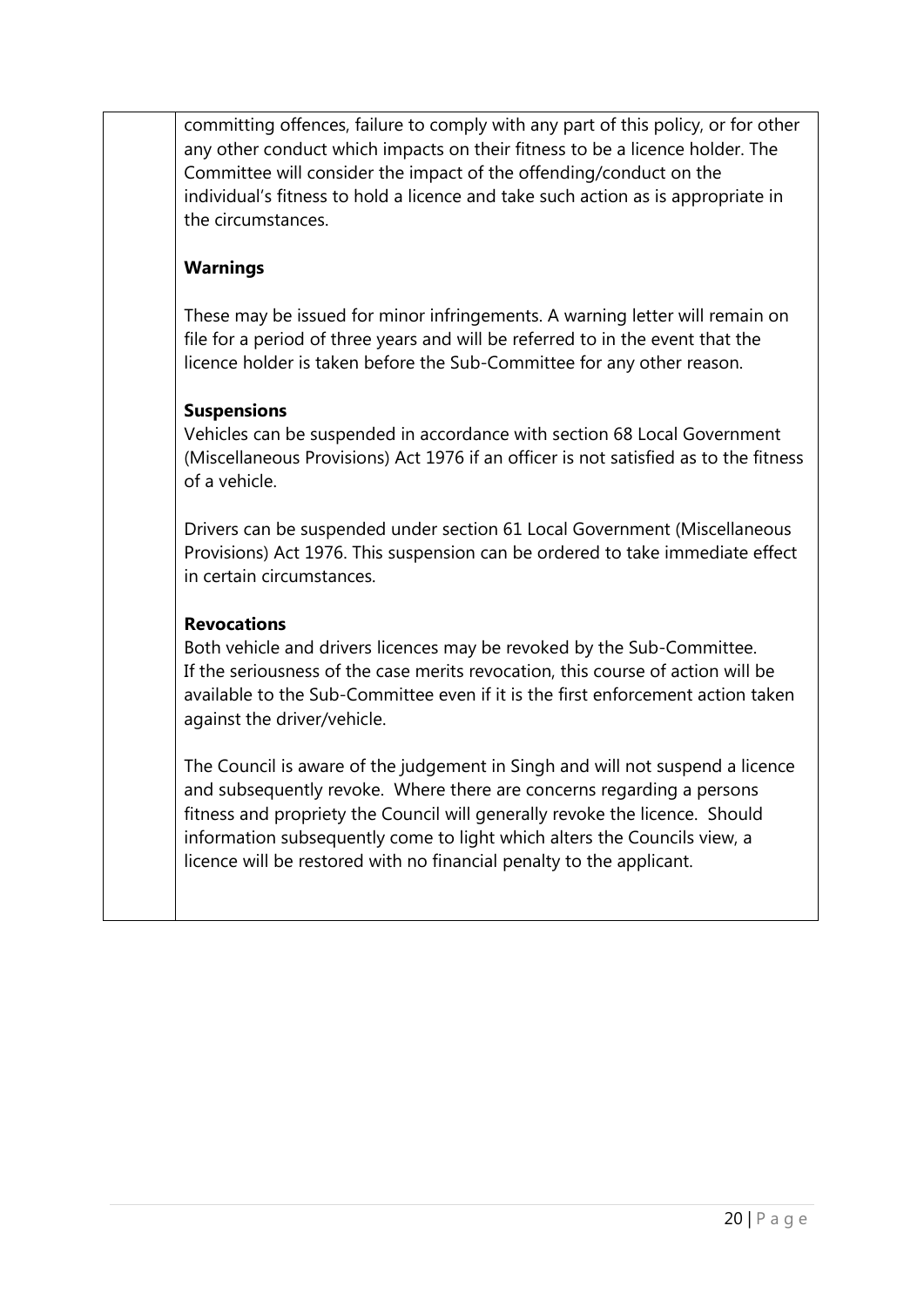committing offences, failure to comply with any part of this policy, or for other any other conduct which impacts on their fitness to be a licence holder. The Committee will consider the impact of the offending/conduct on the individual's fitness to hold a licence and take such action as is appropriate in the circumstances.

# **Warnings**

These may be issued for minor infringements. A warning letter will remain on file for a period of three years and will be referred to in the event that the licence holder is taken before the Sub-Committee for any other reason.

### **Suspensions**

Vehicles can be suspended in accordance with section 68 Local Government (Miscellaneous Provisions) Act 1976 if an officer is not satisfied as to the fitness of a vehicle.

Drivers can be suspended under section 61 Local Government (Miscellaneous Provisions) Act 1976. This suspension can be ordered to take immediate effect in certain circumstances.

## **Revocations**

Both vehicle and drivers licences may be revoked by the Sub-Committee. If the seriousness of the case merits revocation, this course of action will be available to the Sub-Committee even if it is the first enforcement action taken against the driver/vehicle.

The Council is aware of the judgement in Singh and will not suspend a licence and subsequently revoke. Where there are concerns regarding a persons fitness and propriety the Council will generally revoke the licence. Should information subsequently come to light which alters the Councils view, a licence will be restored with no financial penalty to the applicant.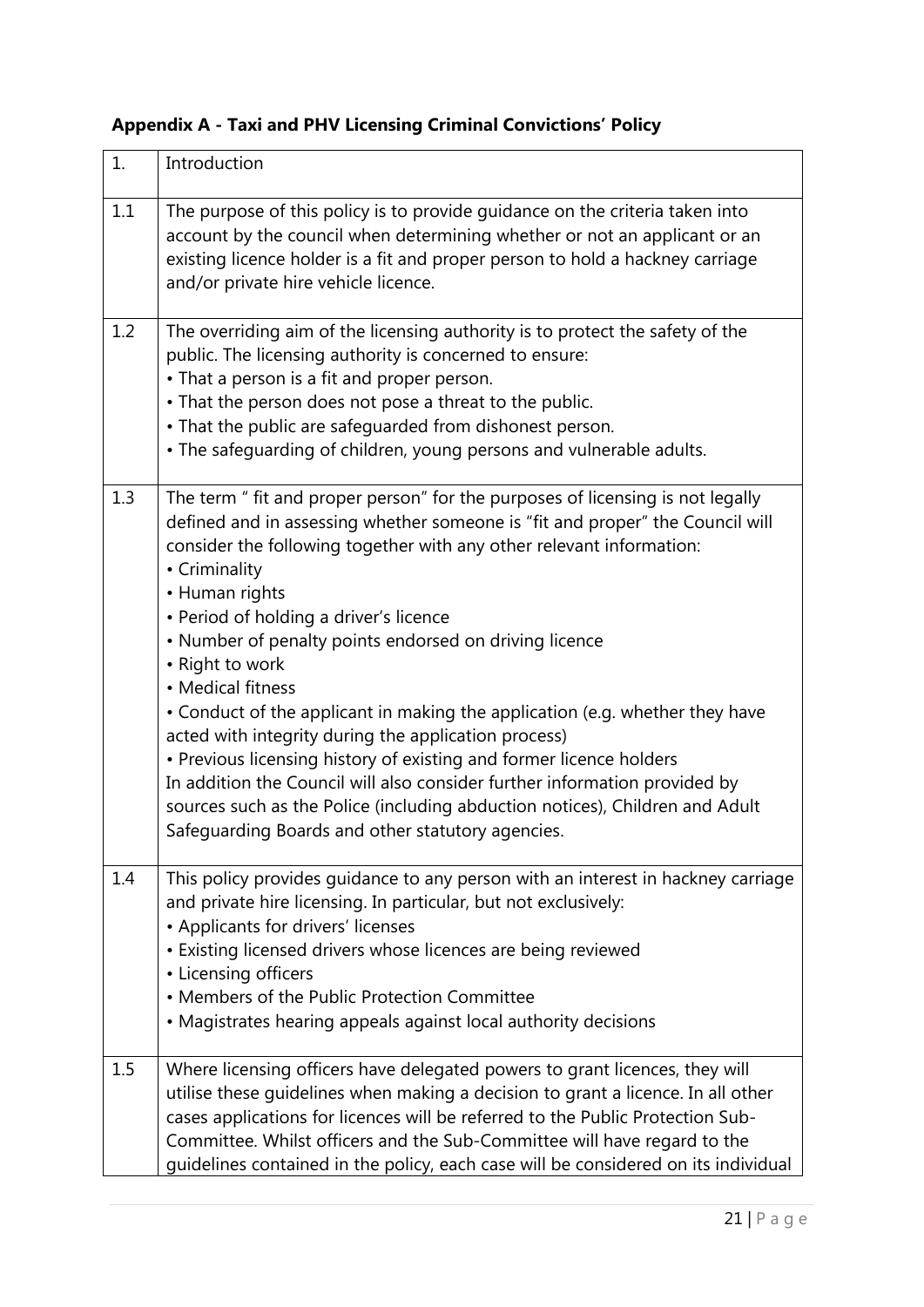| 1.  | Introduction                                                                                                                                                                                                                                                                                                                                                                                                                                                                                                                                                                                                                                                                                                                                                                                                                                             |
|-----|----------------------------------------------------------------------------------------------------------------------------------------------------------------------------------------------------------------------------------------------------------------------------------------------------------------------------------------------------------------------------------------------------------------------------------------------------------------------------------------------------------------------------------------------------------------------------------------------------------------------------------------------------------------------------------------------------------------------------------------------------------------------------------------------------------------------------------------------------------|
| 1.1 | The purpose of this policy is to provide quidance on the criteria taken into<br>account by the council when determining whether or not an applicant or an<br>existing licence holder is a fit and proper person to hold a hackney carriage<br>and/or private hire vehicle licence.                                                                                                                                                                                                                                                                                                                                                                                                                                                                                                                                                                       |
| 1.2 | The overriding aim of the licensing authority is to protect the safety of the<br>public. The licensing authority is concerned to ensure:<br>• That a person is a fit and proper person.<br>• That the person does not pose a threat to the public.<br>• That the public are safeguarded from dishonest person.<br>• The safeguarding of children, young persons and vulnerable adults.                                                                                                                                                                                                                                                                                                                                                                                                                                                                   |
| 1.3 | The term " fit and proper person" for the purposes of licensing is not legally<br>defined and in assessing whether someone is "fit and proper" the Council will<br>consider the following together with any other relevant information:<br>• Criminality<br>• Human rights<br>• Period of holding a driver's licence<br>• Number of penalty points endorsed on driving licence<br>• Right to work<br>• Medical fitness<br>• Conduct of the applicant in making the application (e.g. whether they have<br>acted with integrity during the application process)<br>• Previous licensing history of existing and former licence holders<br>In addition the Council will also consider further information provided by<br>sources such as the Police (including abduction notices), Children and Adult<br>Safeguarding Boards and other statutory agencies. |
| 1.4 | This policy provides guidance to any person with an interest in hackney carriage<br>and private hire licensing. In particular, but not exclusively:<br>• Applicants for drivers' licenses<br>• Existing licensed drivers whose licences are being reviewed<br>• Licensing officers<br>• Members of the Public Protection Committee<br>• Magistrates hearing appeals against local authority decisions                                                                                                                                                                                                                                                                                                                                                                                                                                                    |
| 1.5 | Where licensing officers have delegated powers to grant licences, they will<br>utilise these guidelines when making a decision to grant a licence. In all other<br>cases applications for licences will be referred to the Public Protection Sub-<br>Committee. Whilst officers and the Sub-Committee will have regard to the<br>guidelines contained in the policy, each case will be considered on its individual                                                                                                                                                                                                                                                                                                                                                                                                                                      |

# **Appendix A - Taxi and PHV Licensing Criminal Convictions' Policy**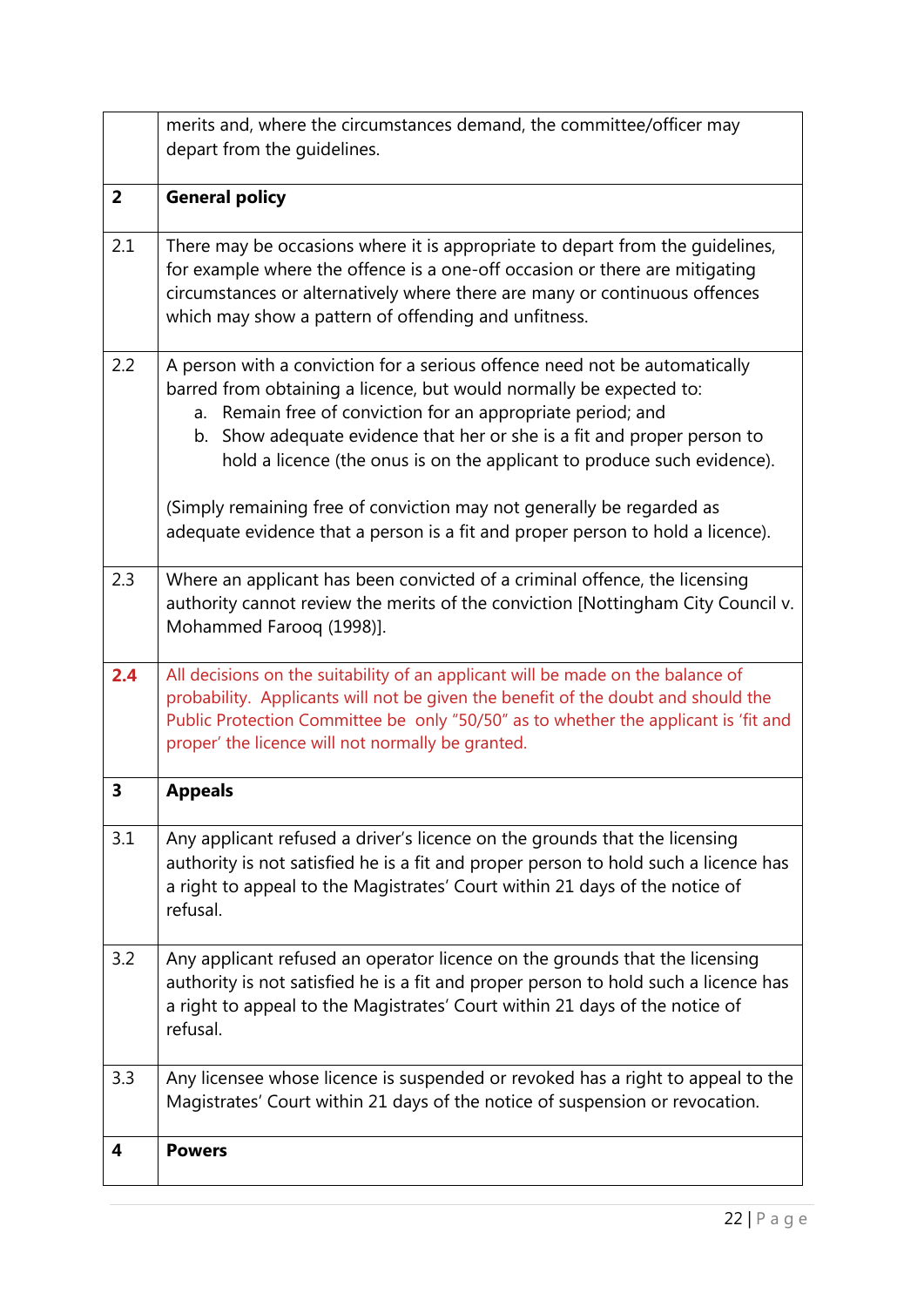|                | merits and, where the circumstances demand, the committee/officer may<br>depart from the quidelines.                                                                                                                                                                                                                                                                                                                                                                                                                              |
|----------------|-----------------------------------------------------------------------------------------------------------------------------------------------------------------------------------------------------------------------------------------------------------------------------------------------------------------------------------------------------------------------------------------------------------------------------------------------------------------------------------------------------------------------------------|
| $\overline{2}$ | <b>General policy</b>                                                                                                                                                                                                                                                                                                                                                                                                                                                                                                             |
| 2.1            | There may be occasions where it is appropriate to depart from the guidelines,<br>for example where the offence is a one-off occasion or there are mitigating<br>circumstances or alternatively where there are many or continuous offences<br>which may show a pattern of offending and unfitness.                                                                                                                                                                                                                                |
| 2.2            | A person with a conviction for a serious offence need not be automatically<br>barred from obtaining a licence, but would normally be expected to:<br>a. Remain free of conviction for an appropriate period; and<br>b. Show adequate evidence that her or she is a fit and proper person to<br>hold a licence (the onus is on the applicant to produce such evidence).<br>(Simply remaining free of conviction may not generally be regarded as<br>adequate evidence that a person is a fit and proper person to hold a licence). |
| 2.3            | Where an applicant has been convicted of a criminal offence, the licensing<br>authority cannot review the merits of the conviction [Nottingham City Council v.<br>Mohammed Farooq (1998)].                                                                                                                                                                                                                                                                                                                                        |
| 2.4            | All decisions on the suitability of an applicant will be made on the balance of<br>probability. Applicants will not be given the benefit of the doubt and should the<br>Public Protection Committee be only "50/50" as to whether the applicant is 'fit and<br>proper' the licence will not normally be granted.                                                                                                                                                                                                                  |
| 3              | <b>Appeals</b>                                                                                                                                                                                                                                                                                                                                                                                                                                                                                                                    |
| 3.1            | Any applicant refused a driver's licence on the grounds that the licensing<br>authority is not satisfied he is a fit and proper person to hold such a licence has<br>a right to appeal to the Magistrates' Court within 21 days of the notice of<br>refusal.                                                                                                                                                                                                                                                                      |
| 3.2            | Any applicant refused an operator licence on the grounds that the licensing<br>authority is not satisfied he is a fit and proper person to hold such a licence has<br>a right to appeal to the Magistrates' Court within 21 days of the notice of<br>refusal.                                                                                                                                                                                                                                                                     |
| 3.3            | Any licensee whose licence is suspended or revoked has a right to appeal to the<br>Magistrates' Court within 21 days of the notice of suspension or revocation.                                                                                                                                                                                                                                                                                                                                                                   |
| 4              | <b>Powers</b>                                                                                                                                                                                                                                                                                                                                                                                                                                                                                                                     |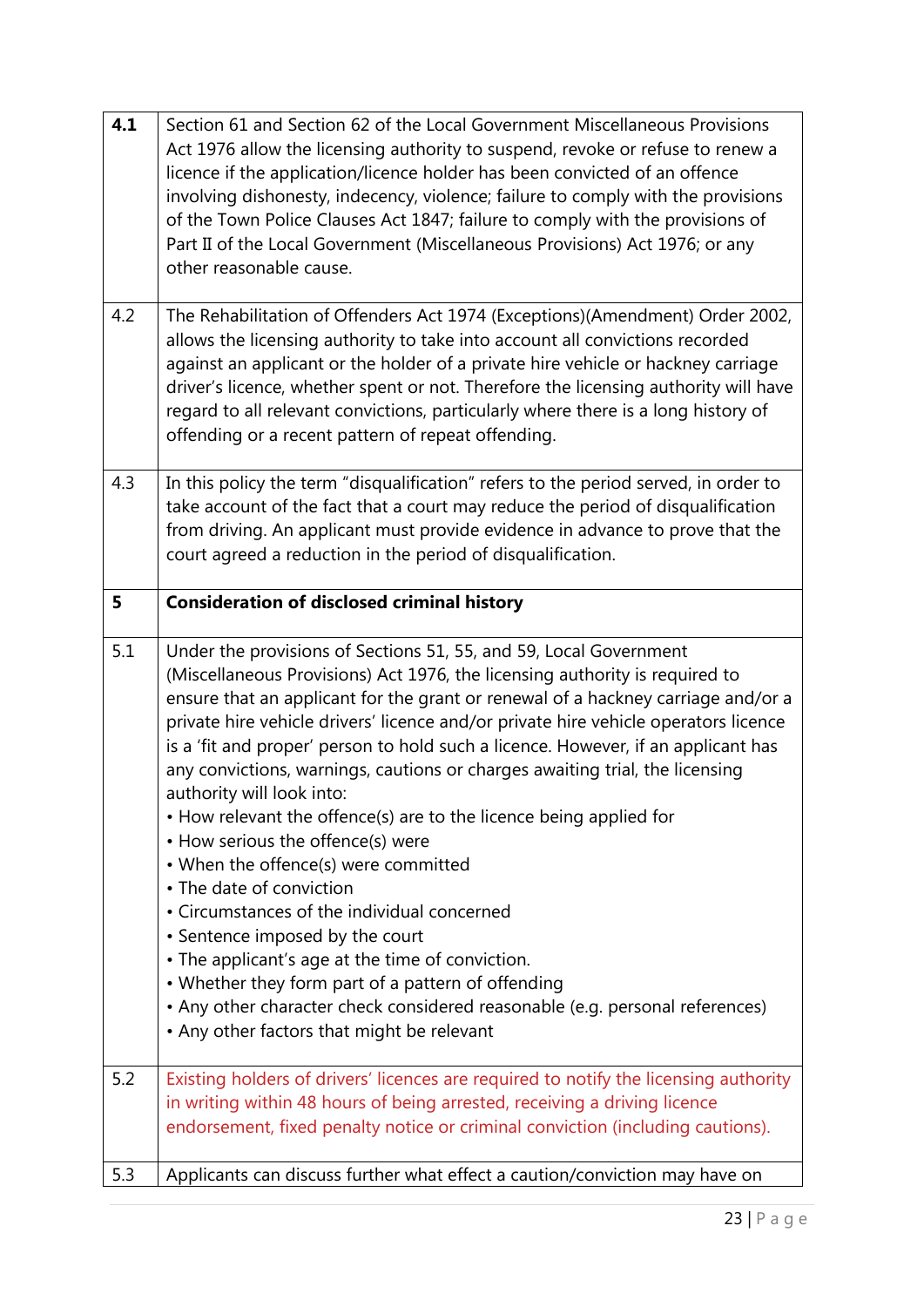| 4.1 | Section 61 and Section 62 of the Local Government Miscellaneous Provisions<br>Act 1976 allow the licensing authority to suspend, revoke or refuse to renew a<br>licence if the application/licence holder has been convicted of an offence<br>involving dishonesty, indecency, violence; failure to comply with the provisions<br>of the Town Police Clauses Act 1847; failure to comply with the provisions of<br>Part II of the Local Government (Miscellaneous Provisions) Act 1976; or any<br>other reasonable cause.                                                                                                                                                                                                                                                                                                                                                                                                                                                                                                              |
|-----|----------------------------------------------------------------------------------------------------------------------------------------------------------------------------------------------------------------------------------------------------------------------------------------------------------------------------------------------------------------------------------------------------------------------------------------------------------------------------------------------------------------------------------------------------------------------------------------------------------------------------------------------------------------------------------------------------------------------------------------------------------------------------------------------------------------------------------------------------------------------------------------------------------------------------------------------------------------------------------------------------------------------------------------|
| 4.2 | The Rehabilitation of Offenders Act 1974 (Exceptions)(Amendment) Order 2002,<br>allows the licensing authority to take into account all convictions recorded<br>against an applicant or the holder of a private hire vehicle or hackney carriage<br>driver's licence, whether spent or not. Therefore the licensing authority will have<br>regard to all relevant convictions, particularly where there is a long history of<br>offending or a recent pattern of repeat offending.                                                                                                                                                                                                                                                                                                                                                                                                                                                                                                                                                     |
| 4.3 | In this policy the term "disqualification" refers to the period served, in order to<br>take account of the fact that a court may reduce the period of disqualification<br>from driving. An applicant must provide evidence in advance to prove that the<br>court agreed a reduction in the period of disqualification.                                                                                                                                                                                                                                                                                                                                                                                                                                                                                                                                                                                                                                                                                                                 |
| 5   | <b>Consideration of disclosed criminal history</b>                                                                                                                                                                                                                                                                                                                                                                                                                                                                                                                                                                                                                                                                                                                                                                                                                                                                                                                                                                                     |
| 5.1 | Under the provisions of Sections 51, 55, and 59, Local Government<br>(Miscellaneous Provisions) Act 1976, the licensing authority is required to<br>ensure that an applicant for the grant or renewal of a hackney carriage and/or a<br>private hire vehicle drivers' licence and/or private hire vehicle operators licence<br>is a 'fit and proper' person to hold such a licence. However, if an applicant has<br>any convictions, warnings, cautions or charges awaiting trial, the licensing<br>authority will look into:<br>• How relevant the offence(s) are to the licence being applied for<br>• How serious the offence(s) were<br>• When the offence(s) were committed<br>• The date of conviction<br>• Circumstances of the individual concerned<br>• Sentence imposed by the court<br>• The applicant's age at the time of conviction.<br>• Whether they form part of a pattern of offending<br>• Any other character check considered reasonable (e.g. personal references)<br>• Any other factors that might be relevant |
| 5.2 | Existing holders of drivers' licences are required to notify the licensing authority<br>in writing within 48 hours of being arrested, receiving a driving licence<br>endorsement, fixed penalty notice or criminal conviction (including cautions).                                                                                                                                                                                                                                                                                                                                                                                                                                                                                                                                                                                                                                                                                                                                                                                    |
| 5.3 | Applicants can discuss further what effect a caution/conviction may have on                                                                                                                                                                                                                                                                                                                                                                                                                                                                                                                                                                                                                                                                                                                                                                                                                                                                                                                                                            |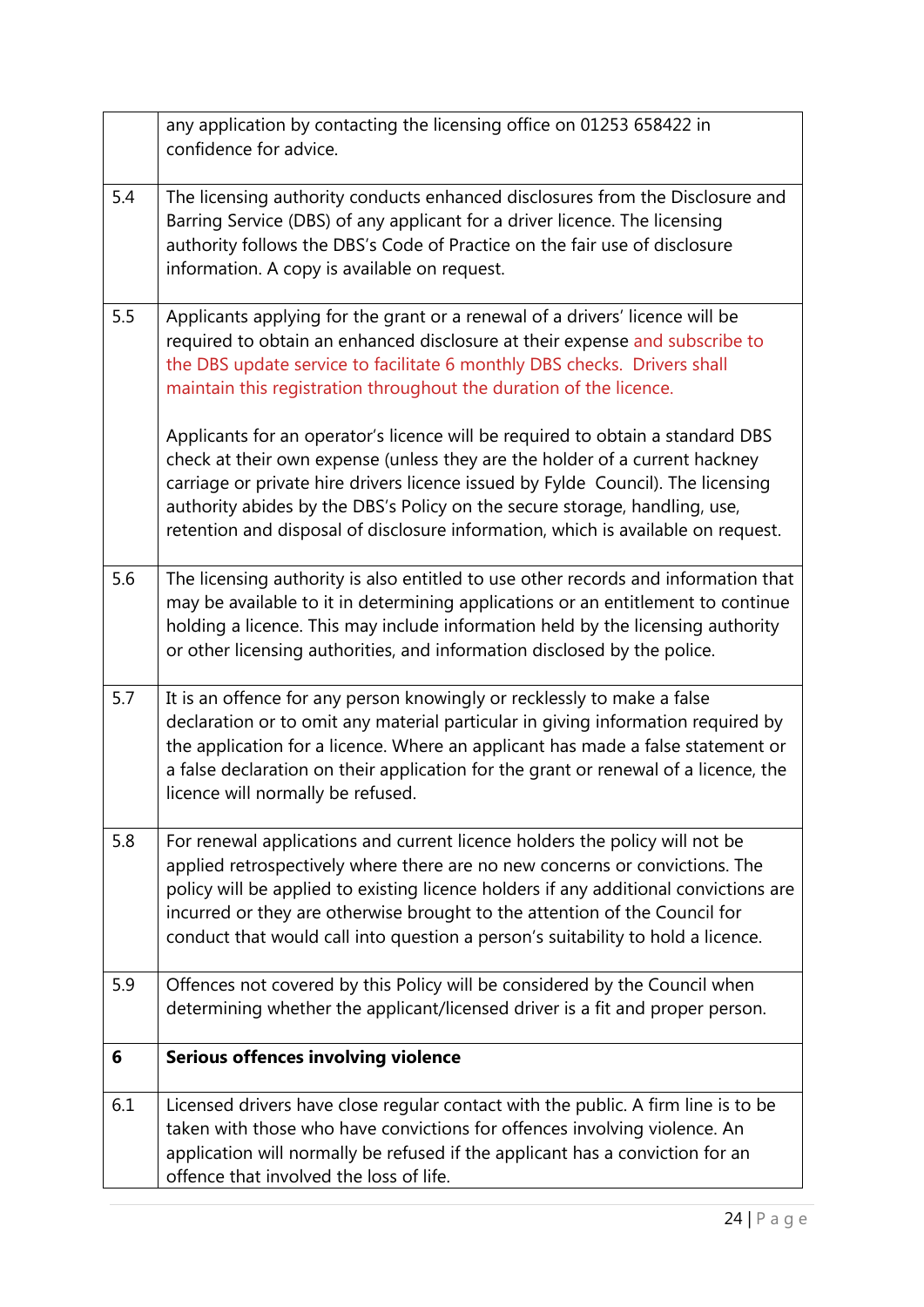|     | any application by contacting the licensing office on 01253 658422 in<br>confidence for advice.                                                                                                                                                                                                                                                                                                                     |
|-----|---------------------------------------------------------------------------------------------------------------------------------------------------------------------------------------------------------------------------------------------------------------------------------------------------------------------------------------------------------------------------------------------------------------------|
| 5.4 | The licensing authority conducts enhanced disclosures from the Disclosure and<br>Barring Service (DBS) of any applicant for a driver licence. The licensing<br>authority follows the DBS's Code of Practice on the fair use of disclosure<br>information. A copy is available on request.                                                                                                                           |
| 5.5 | Applicants applying for the grant or a renewal of a drivers' licence will be<br>required to obtain an enhanced disclosure at their expense and subscribe to<br>the DBS update service to facilitate 6 monthly DBS checks. Drivers shall<br>maintain this registration throughout the duration of the licence.                                                                                                       |
|     | Applicants for an operator's licence will be required to obtain a standard DBS<br>check at their own expense (unless they are the holder of a current hackney<br>carriage or private hire drivers licence issued by Fylde Council). The licensing<br>authority abides by the DBS's Policy on the secure storage, handling, use,<br>retention and disposal of disclosure information, which is available on request. |
| 5.6 | The licensing authority is also entitled to use other records and information that<br>may be available to it in determining applications or an entitlement to continue<br>holding a licence. This may include information held by the licensing authority<br>or other licensing authorities, and information disclosed by the police.                                                                               |
| 5.7 | It is an offence for any person knowingly or recklessly to make a false<br>declaration or to omit any material particular in giving information required by<br>the application for a licence. Where an applicant has made a false statement or<br>a false declaration on their application for the grant or renewal of a licence, the<br>licence will normally be refused.                                          |
| 5.8 | For renewal applications and current licence holders the policy will not be<br>applied retrospectively where there are no new concerns or convictions. The<br>policy will be applied to existing licence holders if any additional convictions are<br>incurred or they are otherwise brought to the attention of the Council for<br>conduct that would call into question a person's suitability to hold a licence. |
| 5.9 | Offences not covered by this Policy will be considered by the Council when<br>determining whether the applicant/licensed driver is a fit and proper person.                                                                                                                                                                                                                                                         |
| 6   | <b>Serious offences involving violence</b>                                                                                                                                                                                                                                                                                                                                                                          |
| 6.1 | Licensed drivers have close regular contact with the public. A firm line is to be<br>taken with those who have convictions for offences involving violence. An<br>application will normally be refused if the applicant has a conviction for an<br>offence that involved the loss of life.                                                                                                                          |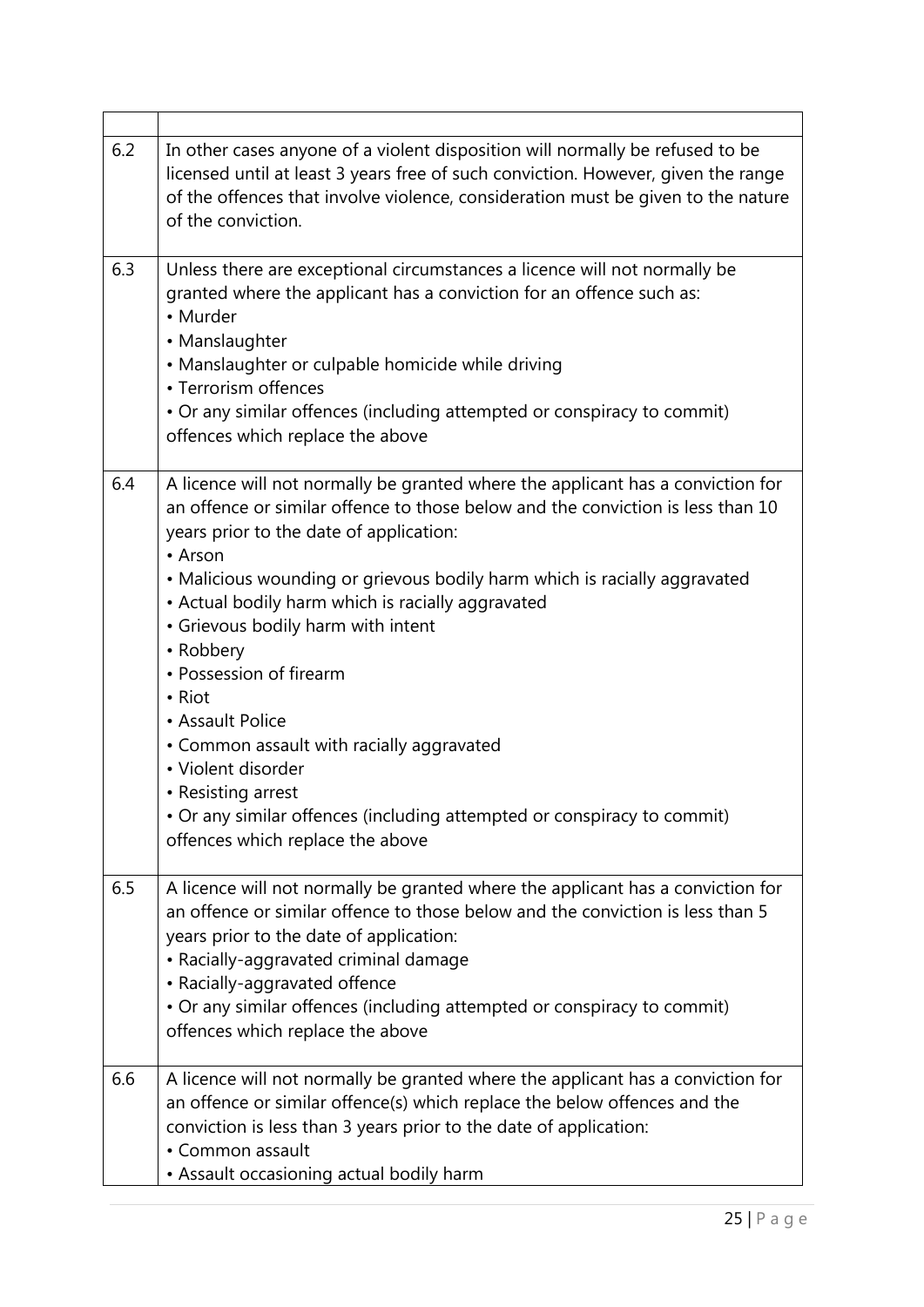| 6.2 | In other cases anyone of a violent disposition will normally be refused to be<br>licensed until at least 3 years free of such conviction. However, given the range<br>of the offences that involve violence, consideration must be given to the nature<br>of the conviction.                                                                                                                                                                                                                                                                                                                                                                                                   |
|-----|--------------------------------------------------------------------------------------------------------------------------------------------------------------------------------------------------------------------------------------------------------------------------------------------------------------------------------------------------------------------------------------------------------------------------------------------------------------------------------------------------------------------------------------------------------------------------------------------------------------------------------------------------------------------------------|
| 6.3 | Unless there are exceptional circumstances a licence will not normally be<br>granted where the applicant has a conviction for an offence such as:<br>• Murder<br>• Manslaughter<br>• Manslaughter or culpable homicide while driving<br>• Terrorism offences<br>• Or any similar offences (including attempted or conspiracy to commit)<br>offences which replace the above                                                                                                                                                                                                                                                                                                    |
| 6.4 | A licence will not normally be granted where the applicant has a conviction for<br>an offence or similar offence to those below and the conviction is less than 10<br>years prior to the date of application:<br>• Arson<br>• Malicious wounding or grievous bodily harm which is racially aggravated<br>• Actual bodily harm which is racially aggravated<br>• Grievous bodily harm with intent<br>• Robbery<br>• Possession of firearm<br>• Riot<br>• Assault Police<br>• Common assault with racially aggravated<br>• Violent disorder<br>• Resisting arrest<br>• Or any similar offences (including attempted or conspiracy to commit)<br>offences which replace the above |
| 6.5 | A licence will not normally be granted where the applicant has a conviction for<br>an offence or similar offence to those below and the conviction is less than 5<br>years prior to the date of application:<br>• Racially-aggravated criminal damage<br>• Racially-aggravated offence<br>• Or any similar offences (including attempted or conspiracy to commit)<br>offences which replace the above                                                                                                                                                                                                                                                                          |
| 6.6 | A licence will not normally be granted where the applicant has a conviction for<br>an offence or similar offence(s) which replace the below offences and the<br>conviction is less than 3 years prior to the date of application:<br>• Common assault<br>• Assault occasioning actual bodily harm                                                                                                                                                                                                                                                                                                                                                                              |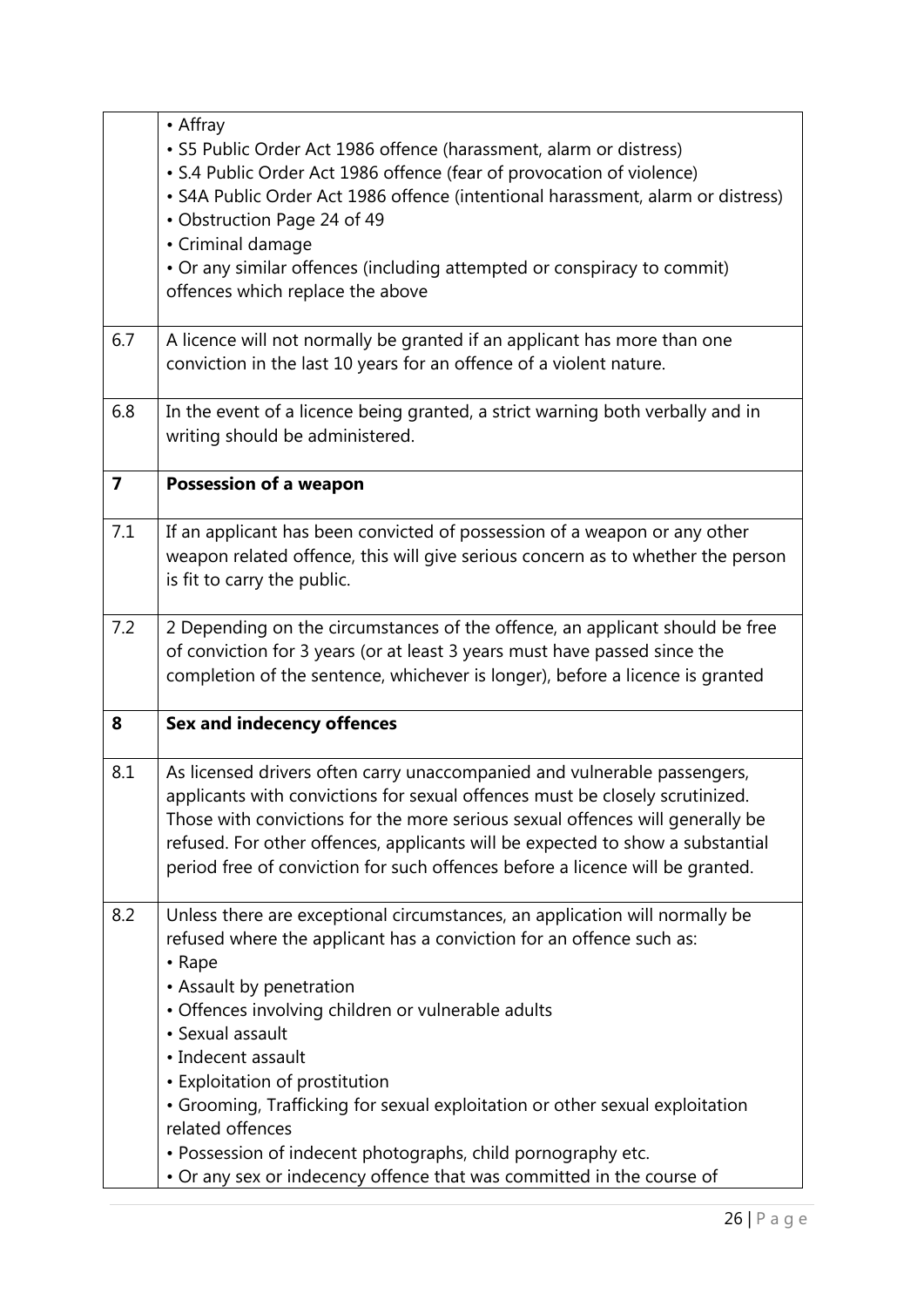|                | • Affray<br>· S5 Public Order Act 1986 offence (harassment, alarm or distress)<br>• S.4 Public Order Act 1986 offence (fear of provocation of violence)<br>• S4A Public Order Act 1986 offence (intentional harassment, alarm or distress)<br>• Obstruction Page 24 of 49<br>• Criminal damage<br>• Or any similar offences (including attempted or conspiracy to commit)<br>offences which replace the above                                                                                                                                                                  |
|----------------|--------------------------------------------------------------------------------------------------------------------------------------------------------------------------------------------------------------------------------------------------------------------------------------------------------------------------------------------------------------------------------------------------------------------------------------------------------------------------------------------------------------------------------------------------------------------------------|
| 6.7            | A licence will not normally be granted if an applicant has more than one<br>conviction in the last 10 years for an offence of a violent nature.                                                                                                                                                                                                                                                                                                                                                                                                                                |
| 6.8            | In the event of a licence being granted, a strict warning both verbally and in<br>writing should be administered.                                                                                                                                                                                                                                                                                                                                                                                                                                                              |
| $\overline{ }$ | <b>Possession of a weapon</b>                                                                                                                                                                                                                                                                                                                                                                                                                                                                                                                                                  |
| 7.1            | If an applicant has been convicted of possession of a weapon or any other<br>weapon related offence, this will give serious concern as to whether the person<br>is fit to carry the public.                                                                                                                                                                                                                                                                                                                                                                                    |
| 7.2            | 2 Depending on the circumstances of the offence, an applicant should be free<br>of conviction for 3 years (or at least 3 years must have passed since the<br>completion of the sentence, whichever is longer), before a licence is granted                                                                                                                                                                                                                                                                                                                                     |
| 8              | <b>Sex and indecency offences</b>                                                                                                                                                                                                                                                                                                                                                                                                                                                                                                                                              |
| 8.1            | As licensed drivers often carry unaccompanied and vulnerable passengers,<br>applicants with convictions for sexual offences must be closely scrutinized.<br>Those with convictions for the more serious sexual offences will generally be<br>refused. For other offences, applicants will be expected to show a substantial<br>period free of conviction for such offences before a licence will be granted.                                                                                                                                                                   |
| 8.2            | Unless there are exceptional circumstances, an application will normally be<br>refused where the applicant has a conviction for an offence such as:<br>$\cdot$ Rape<br>• Assault by penetration<br>• Offences involving children or vulnerable adults<br>• Sexual assault<br>• Indecent assault<br>• Exploitation of prostitution<br>• Grooming, Trafficking for sexual exploitation or other sexual exploitation<br>related offences<br>• Possession of indecent photographs, child pornography etc.<br>• Or any sex or indecency offence that was committed in the course of |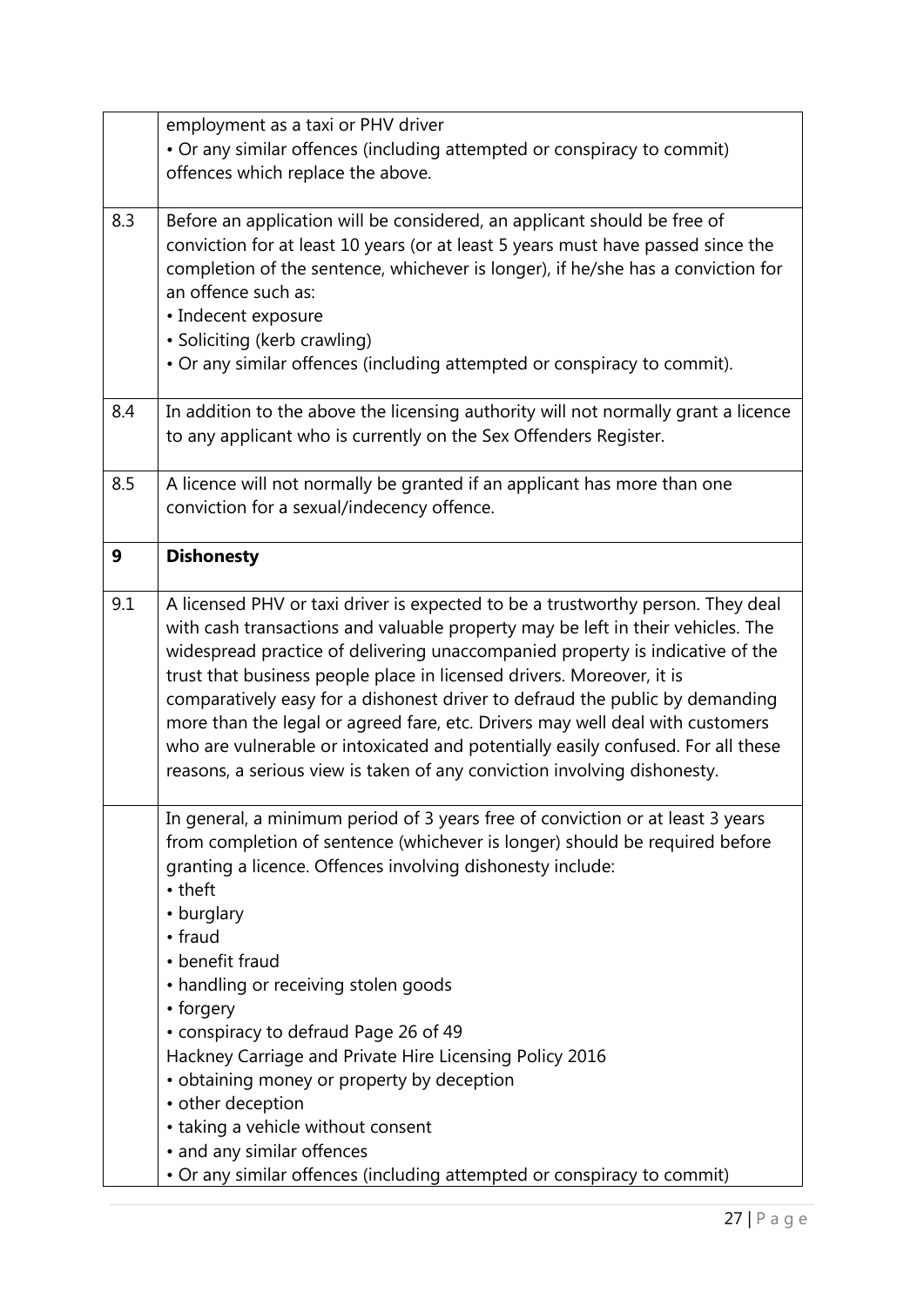|     | employment as a taxi or PHV driver<br>• Or any similar offences (including attempted or conspiracy to commit)<br>offences which replace the above.                                                                                                                                                                                                                                                                                                                                                                                                                                                                                                                  |
|-----|---------------------------------------------------------------------------------------------------------------------------------------------------------------------------------------------------------------------------------------------------------------------------------------------------------------------------------------------------------------------------------------------------------------------------------------------------------------------------------------------------------------------------------------------------------------------------------------------------------------------------------------------------------------------|
| 8.3 | Before an application will be considered, an applicant should be free of<br>conviction for at least 10 years (or at least 5 years must have passed since the<br>completion of the sentence, whichever is longer), if he/she has a conviction for<br>an offence such as:<br>• Indecent exposure<br>• Soliciting (kerb crawling)<br>• Or any similar offences (including attempted or conspiracy to commit).                                                                                                                                                                                                                                                          |
| 8.4 | In addition to the above the licensing authority will not normally grant a licence<br>to any applicant who is currently on the Sex Offenders Register.                                                                                                                                                                                                                                                                                                                                                                                                                                                                                                              |
| 8.5 | A licence will not normally be granted if an applicant has more than one<br>conviction for a sexual/indecency offence.                                                                                                                                                                                                                                                                                                                                                                                                                                                                                                                                              |
| 9   | <b>Dishonesty</b>                                                                                                                                                                                                                                                                                                                                                                                                                                                                                                                                                                                                                                                   |
| 9.1 | A licensed PHV or taxi driver is expected to be a trustworthy person. They deal<br>with cash transactions and valuable property may be left in their vehicles. The<br>widespread practice of delivering unaccompanied property is indicative of the<br>trust that business people place in licensed drivers. Moreover, it is<br>comparatively easy for a dishonest driver to defraud the public by demanding<br>more than the legal or agreed fare, etc. Drivers may well deal with customers<br>who are vulnerable or intoxicated and potentially easily confused. For all these<br>reasons, a serious view is taken of any conviction involving dishonesty.       |
|     | In general, a minimum period of 3 years free of conviction or at least 3 years<br>from completion of sentence (whichever is longer) should be required before<br>granting a licence. Offences involving dishonesty include:<br>• theft<br>• burglary<br>$\cdot$ fraud<br>• benefit fraud<br>• handling or receiving stolen goods<br>• forgery<br>• conspiracy to defraud Page 26 of 49<br>Hackney Carriage and Private Hire Licensing Policy 2016<br>• obtaining money or property by deception<br>• other deception<br>• taking a vehicle without consent<br>• and any similar offences<br>• Or any similar offences (including attempted or conspiracy to commit) |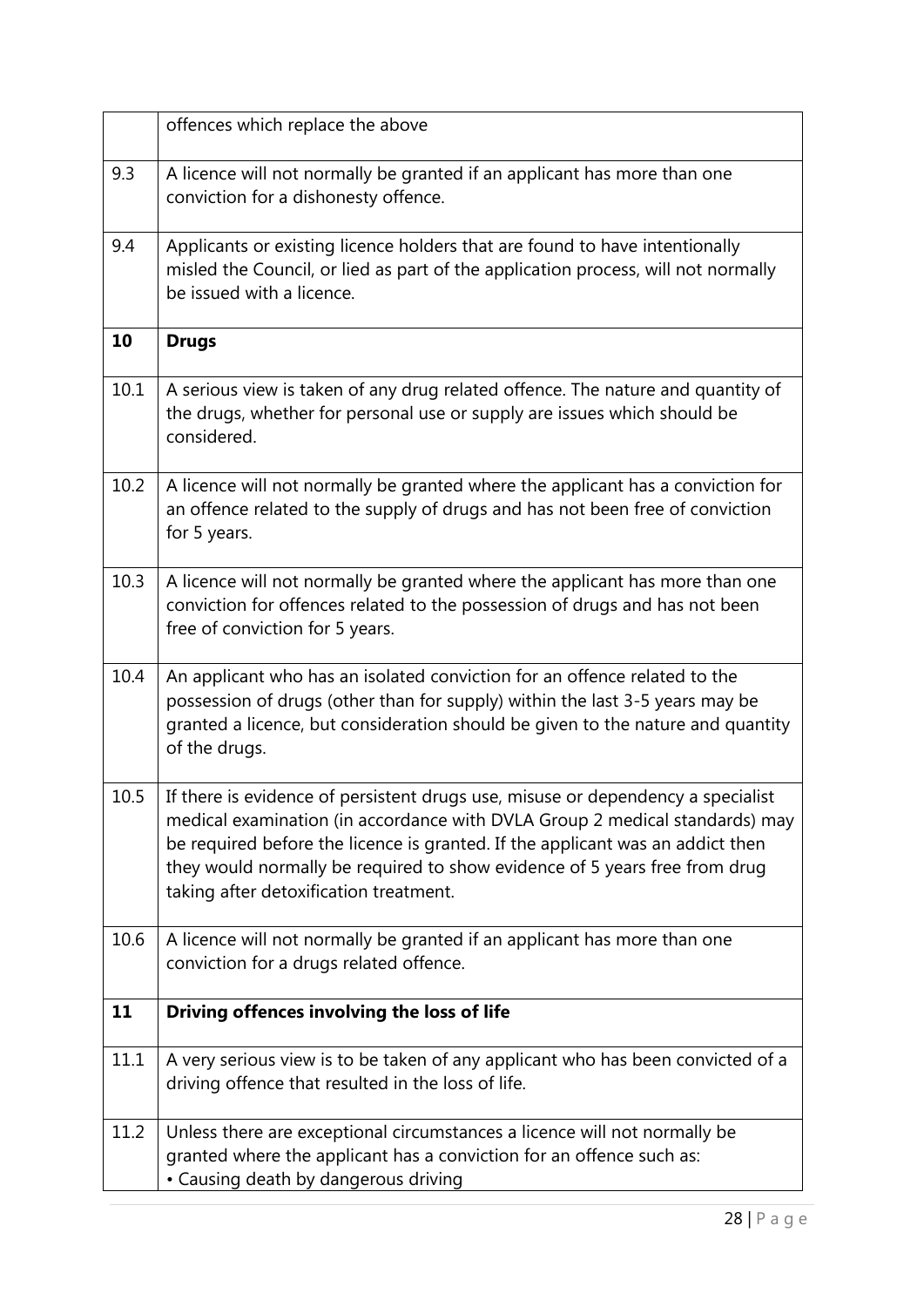|      | offences which replace the above                                                                                                                                                                                                                                                                                                                                         |
|------|--------------------------------------------------------------------------------------------------------------------------------------------------------------------------------------------------------------------------------------------------------------------------------------------------------------------------------------------------------------------------|
| 9.3  | A licence will not normally be granted if an applicant has more than one<br>conviction for a dishonesty offence.                                                                                                                                                                                                                                                         |
| 9.4  | Applicants or existing licence holders that are found to have intentionally<br>misled the Council, or lied as part of the application process, will not normally<br>be issued with a licence.                                                                                                                                                                            |
| 10   | <b>Drugs</b>                                                                                                                                                                                                                                                                                                                                                             |
| 10.1 | A serious view is taken of any drug related offence. The nature and quantity of<br>the drugs, whether for personal use or supply are issues which should be<br>considered.                                                                                                                                                                                               |
| 10.2 | A licence will not normally be granted where the applicant has a conviction for<br>an offence related to the supply of drugs and has not been free of conviction<br>for 5 years.                                                                                                                                                                                         |
| 10.3 | A licence will not normally be granted where the applicant has more than one<br>conviction for offences related to the possession of drugs and has not been<br>free of conviction for 5 years.                                                                                                                                                                           |
| 10.4 | An applicant who has an isolated conviction for an offence related to the<br>possession of drugs (other than for supply) within the last 3-5 years may be<br>granted a licence, but consideration should be given to the nature and quantity<br>of the drugs.                                                                                                            |
| 10.5 | If there is evidence of persistent drugs use, misuse or dependency a specialist<br>medical examination (in accordance with DVLA Group 2 medical standards) may<br>be required before the licence is granted. If the applicant was an addict then<br>they would normally be required to show evidence of 5 years free from drug<br>taking after detoxification treatment. |
| 10.6 | A licence will not normally be granted if an applicant has more than one<br>conviction for a drugs related offence.                                                                                                                                                                                                                                                      |
| 11   | Driving offences involving the loss of life                                                                                                                                                                                                                                                                                                                              |
| 11.1 | A very serious view is to be taken of any applicant who has been convicted of a<br>driving offence that resulted in the loss of life.                                                                                                                                                                                                                                    |
| 11.2 | Unless there are exceptional circumstances a licence will not normally be<br>granted where the applicant has a conviction for an offence such as:<br>• Causing death by dangerous driving                                                                                                                                                                                |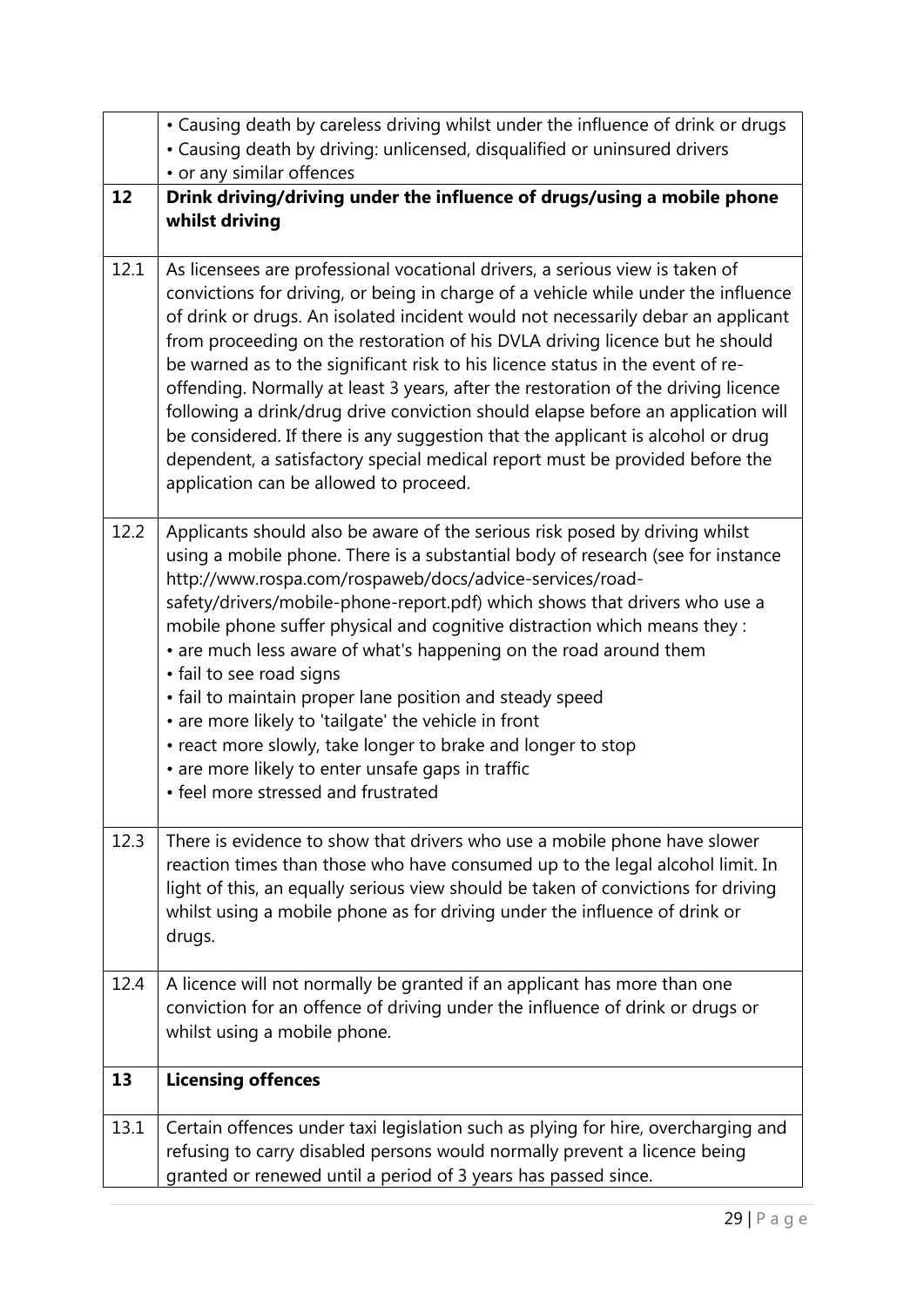|      | • Causing death by careless driving whilst under the influence of drink or drugs                                                                                                                                                                                                                                                                                                                                                                                                                                                                                                                                                                                                                                                                                                                                |
|------|-----------------------------------------------------------------------------------------------------------------------------------------------------------------------------------------------------------------------------------------------------------------------------------------------------------------------------------------------------------------------------------------------------------------------------------------------------------------------------------------------------------------------------------------------------------------------------------------------------------------------------------------------------------------------------------------------------------------------------------------------------------------------------------------------------------------|
|      | • Causing death by driving: unlicensed, disqualified or uninsured drivers<br>• or any similar offences                                                                                                                                                                                                                                                                                                                                                                                                                                                                                                                                                                                                                                                                                                          |
| 12   | Drink driving/driving under the influence of drugs/using a mobile phone                                                                                                                                                                                                                                                                                                                                                                                                                                                                                                                                                                                                                                                                                                                                         |
|      | whilst driving                                                                                                                                                                                                                                                                                                                                                                                                                                                                                                                                                                                                                                                                                                                                                                                                  |
| 12.1 | As licensees are professional vocational drivers, a serious view is taken of<br>convictions for driving, or being in charge of a vehicle while under the influence<br>of drink or drugs. An isolated incident would not necessarily debar an applicant<br>from proceeding on the restoration of his DVLA driving licence but he should<br>be warned as to the significant risk to his licence status in the event of re-<br>offending. Normally at least 3 years, after the restoration of the driving licence<br>following a drink/drug drive conviction should elapse before an application will<br>be considered. If there is any suggestion that the applicant is alcohol or drug<br>dependent, a satisfactory special medical report must be provided before the<br>application can be allowed to proceed. |
| 12.2 | Applicants should also be aware of the serious risk posed by driving whilst<br>using a mobile phone. There is a substantial body of research (see for instance<br>http://www.rospa.com/rospaweb/docs/advice-services/road-<br>safety/drivers/mobile-phone-report.pdf) which shows that drivers who use a<br>mobile phone suffer physical and cognitive distraction which means they :<br>• are much less aware of what's happening on the road around them<br>• fail to see road signs<br>• fail to maintain proper lane position and steady speed<br>• are more likely to 'tailgate' the vehicle in front<br>• react more slowly, take longer to brake and longer to stop<br>• are more likely to enter unsafe gaps in traffic<br>• feel more stressed and frustrated                                          |
| 12.3 | There is evidence to show that drivers who use a mobile phone have slower<br>reaction times than those who have consumed up to the legal alcohol limit. In<br>light of this, an equally serious view should be taken of convictions for driving<br>whilst using a mobile phone as for driving under the influence of drink or<br>drugs.                                                                                                                                                                                                                                                                                                                                                                                                                                                                         |
| 12.4 | A licence will not normally be granted if an applicant has more than one<br>conviction for an offence of driving under the influence of drink or drugs or<br>whilst using a mobile phone.                                                                                                                                                                                                                                                                                                                                                                                                                                                                                                                                                                                                                       |
| 13   | <b>Licensing offences</b>                                                                                                                                                                                                                                                                                                                                                                                                                                                                                                                                                                                                                                                                                                                                                                                       |
| 13.1 | Certain offences under taxi legislation such as plying for hire, overcharging and<br>refusing to carry disabled persons would normally prevent a licence being<br>granted or renewed until a period of 3 years has passed since.                                                                                                                                                                                                                                                                                                                                                                                                                                                                                                                                                                                |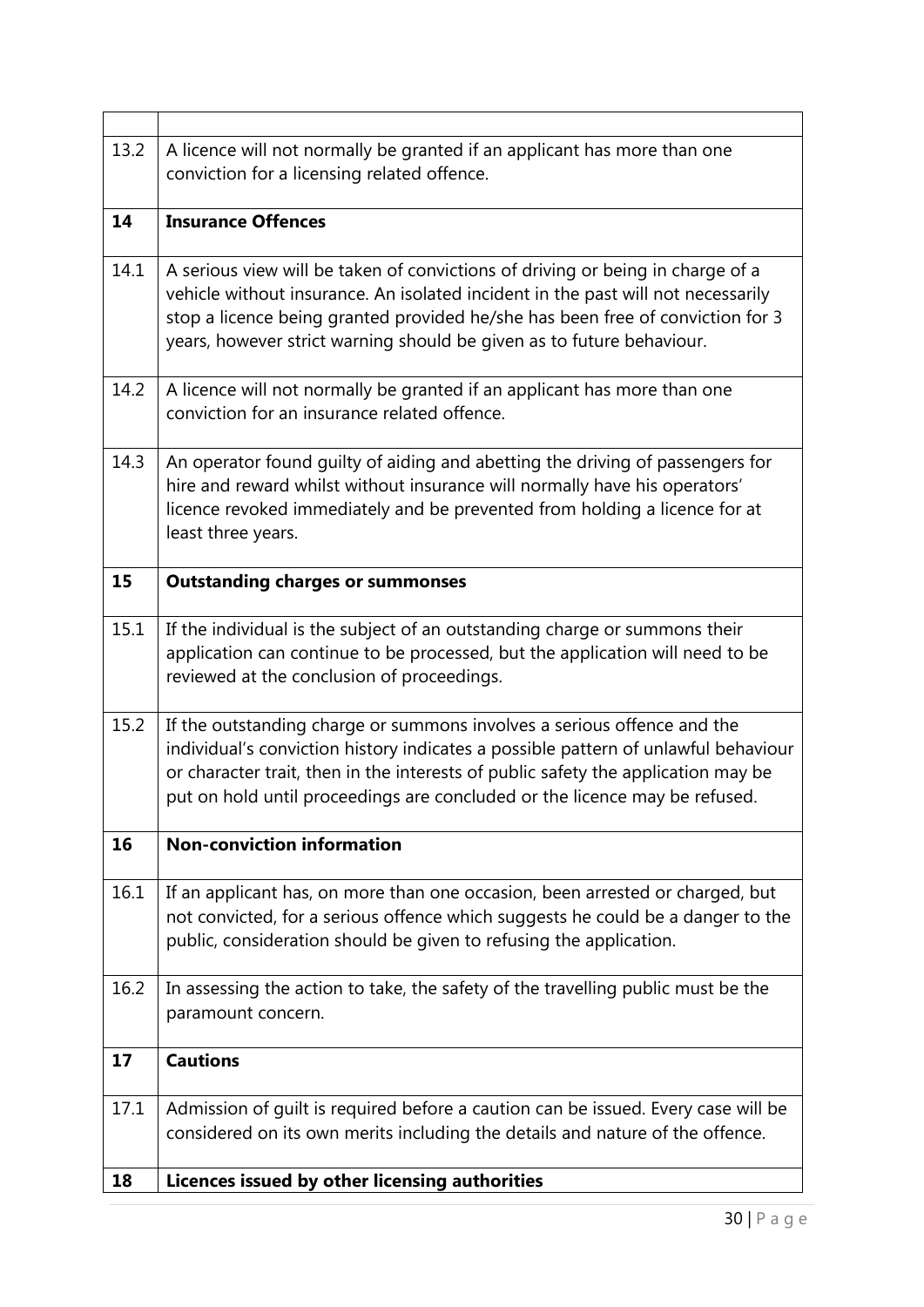| 13.2 | A licence will not normally be granted if an applicant has more than one<br>conviction for a licensing related offence.                                                                                                                                                                                                          |
|------|----------------------------------------------------------------------------------------------------------------------------------------------------------------------------------------------------------------------------------------------------------------------------------------------------------------------------------|
| 14   | <b>Insurance Offences</b>                                                                                                                                                                                                                                                                                                        |
|      |                                                                                                                                                                                                                                                                                                                                  |
| 14.1 | A serious view will be taken of convictions of driving or being in charge of a<br>vehicle without insurance. An isolated incident in the past will not necessarily<br>stop a licence being granted provided he/she has been free of conviction for 3<br>years, however strict warning should be given as to future behaviour.    |
| 14.2 | A licence will not normally be granted if an applicant has more than one<br>conviction for an insurance related offence.                                                                                                                                                                                                         |
| 14.3 | An operator found guilty of aiding and abetting the driving of passengers for<br>hire and reward whilst without insurance will normally have his operators'<br>licence revoked immediately and be prevented from holding a licence for at<br>least three years.                                                                  |
| 15   | <b>Outstanding charges or summonses</b>                                                                                                                                                                                                                                                                                          |
| 15.1 | If the individual is the subject of an outstanding charge or summons their<br>application can continue to be processed, but the application will need to be<br>reviewed at the conclusion of proceedings.                                                                                                                        |
| 15.2 | If the outstanding charge or summons involves a serious offence and the<br>individual's conviction history indicates a possible pattern of unlawful behaviour<br>or character trait, then in the interests of public safety the application may be<br>put on hold until proceedings are concluded or the licence may be refused. |
| 16   | <b>Non-conviction information</b>                                                                                                                                                                                                                                                                                                |
| 16.1 | If an applicant has, on more than one occasion, been arrested or charged, but<br>not convicted, for a serious offence which suggests he could be a danger to the<br>public, consideration should be given to refusing the application.                                                                                           |
| 16.2 | In assessing the action to take, the safety of the travelling public must be the<br>paramount concern.                                                                                                                                                                                                                           |
| 17   | <b>Cautions</b>                                                                                                                                                                                                                                                                                                                  |
| 17.1 | Admission of guilt is required before a caution can be issued. Every case will be<br>considered on its own merits including the details and nature of the offence.                                                                                                                                                               |
| 18   | Licences issued by other licensing authorities                                                                                                                                                                                                                                                                                   |

 $\overline{1}$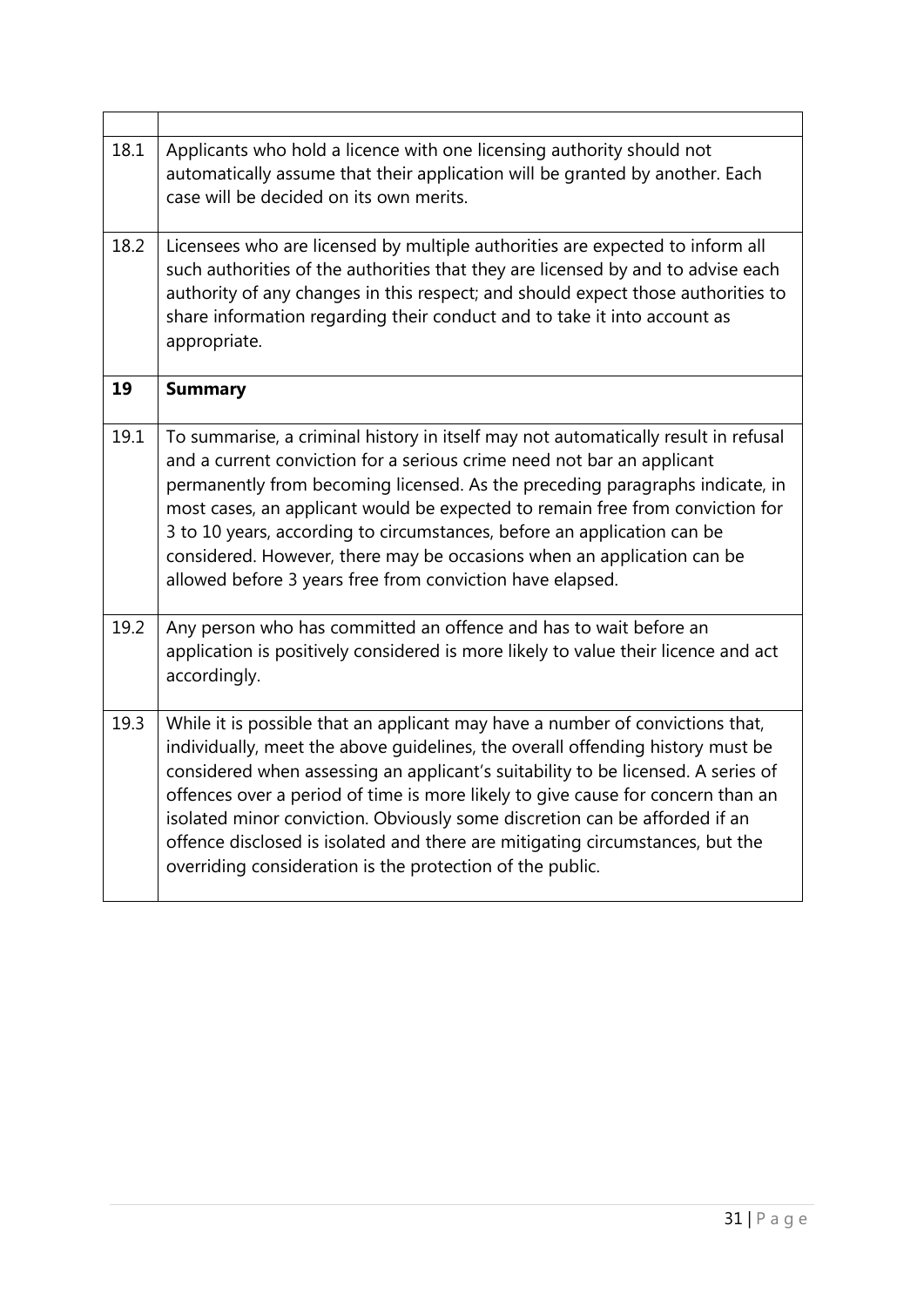| 18.1 | Applicants who hold a licence with one licensing authority should not<br>automatically assume that their application will be granted by another. Each<br>case will be decided on its own merits.                                                                                                                                                                                                                                                                                                                                                                   |
|------|--------------------------------------------------------------------------------------------------------------------------------------------------------------------------------------------------------------------------------------------------------------------------------------------------------------------------------------------------------------------------------------------------------------------------------------------------------------------------------------------------------------------------------------------------------------------|
| 18.2 | Licensees who are licensed by multiple authorities are expected to inform all<br>such authorities of the authorities that they are licensed by and to advise each<br>authority of any changes in this respect; and should expect those authorities to<br>share information regarding their conduct and to take it into account as<br>appropriate.                                                                                                                                                                                                                  |
| 19   | <b>Summary</b>                                                                                                                                                                                                                                                                                                                                                                                                                                                                                                                                                     |
| 19.1 | To summarise, a criminal history in itself may not automatically result in refusal<br>and a current conviction for a serious crime need not bar an applicant<br>permanently from becoming licensed. As the preceding paragraphs indicate, in<br>most cases, an applicant would be expected to remain free from conviction for<br>3 to 10 years, according to circumstances, before an application can be<br>considered. However, there may be occasions when an application can be<br>allowed before 3 years free from conviction have elapsed.                    |
| 19.2 | Any person who has committed an offence and has to wait before an<br>application is positively considered is more likely to value their licence and act<br>accordingly.                                                                                                                                                                                                                                                                                                                                                                                            |
| 19.3 | While it is possible that an applicant may have a number of convictions that,<br>individually, meet the above guidelines, the overall offending history must be<br>considered when assessing an applicant's suitability to be licensed. A series of<br>offences over a period of time is more likely to give cause for concern than an<br>isolated minor conviction. Obviously some discretion can be afforded if an<br>offence disclosed is isolated and there are mitigating circumstances, but the<br>overriding consideration is the protection of the public. |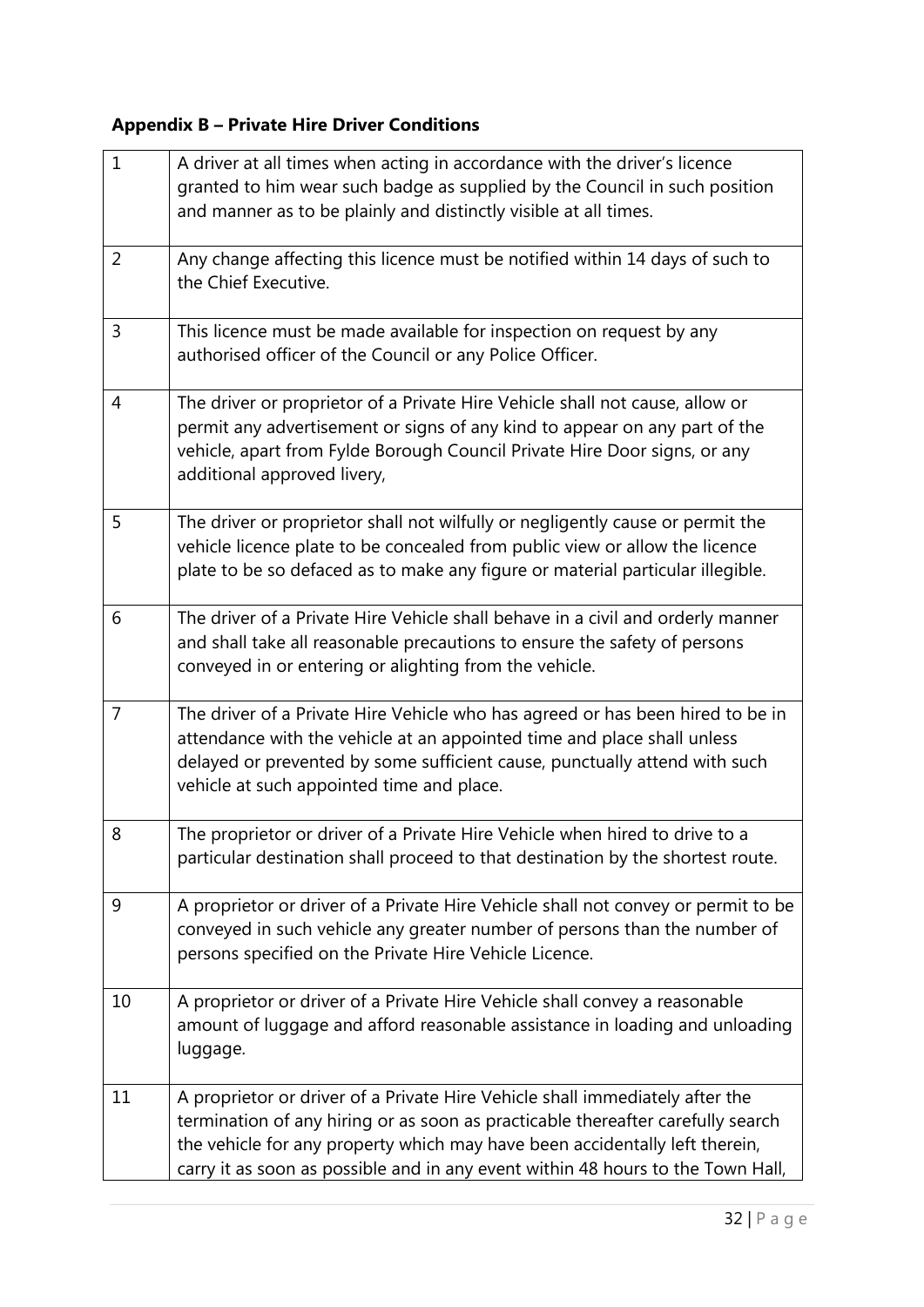# **Appendix B – Private Hire Driver Conditions**

| $\mathbf{1}$   | A driver at all times when acting in accordance with the driver's licence<br>granted to him wear such badge as supplied by the Council in such position<br>and manner as to be plainly and distinctly visible at all times.                                                                                                       |
|----------------|-----------------------------------------------------------------------------------------------------------------------------------------------------------------------------------------------------------------------------------------------------------------------------------------------------------------------------------|
| $\overline{2}$ | Any change affecting this licence must be notified within 14 days of such to<br>the Chief Executive.                                                                                                                                                                                                                              |
| 3              | This licence must be made available for inspection on request by any<br>authorised officer of the Council or any Police Officer.                                                                                                                                                                                                  |
| 4              | The driver or proprietor of a Private Hire Vehicle shall not cause, allow or<br>permit any advertisement or signs of any kind to appear on any part of the<br>vehicle, apart from Fylde Borough Council Private Hire Door signs, or any<br>additional approved livery,                                                            |
| 5              | The driver or proprietor shall not wilfully or negligently cause or permit the<br>vehicle licence plate to be concealed from public view or allow the licence<br>plate to be so defaced as to make any figure or material particular illegible.                                                                                   |
| 6              | The driver of a Private Hire Vehicle shall behave in a civil and orderly manner<br>and shall take all reasonable precautions to ensure the safety of persons<br>conveyed in or entering or alighting from the vehicle.                                                                                                            |
| $\overline{7}$ | The driver of a Private Hire Vehicle who has agreed or has been hired to be in<br>attendance with the vehicle at an appointed time and place shall unless<br>delayed or prevented by some sufficient cause, punctually attend with such<br>vehicle at such appointed time and place.                                              |
| 8              | The proprietor or driver of a Private Hire Vehicle when hired to drive to a<br>particular destination shall proceed to that destination by the shortest route.                                                                                                                                                                    |
| 9              | A proprietor or driver of a Private Hire Vehicle shall not convey or permit to be<br>conveyed in such vehicle any greater number of persons than the number of<br>persons specified on the Private Hire Vehicle Licence.                                                                                                          |
| 10             | A proprietor or driver of a Private Hire Vehicle shall convey a reasonable<br>amount of luggage and afford reasonable assistance in loading and unloading<br>luggage.                                                                                                                                                             |
| 11             | A proprietor or driver of a Private Hire Vehicle shall immediately after the<br>termination of any hiring or as soon as practicable thereafter carefully search<br>the vehicle for any property which may have been accidentally left therein,<br>carry it as soon as possible and in any event within 48 hours to the Town Hall, |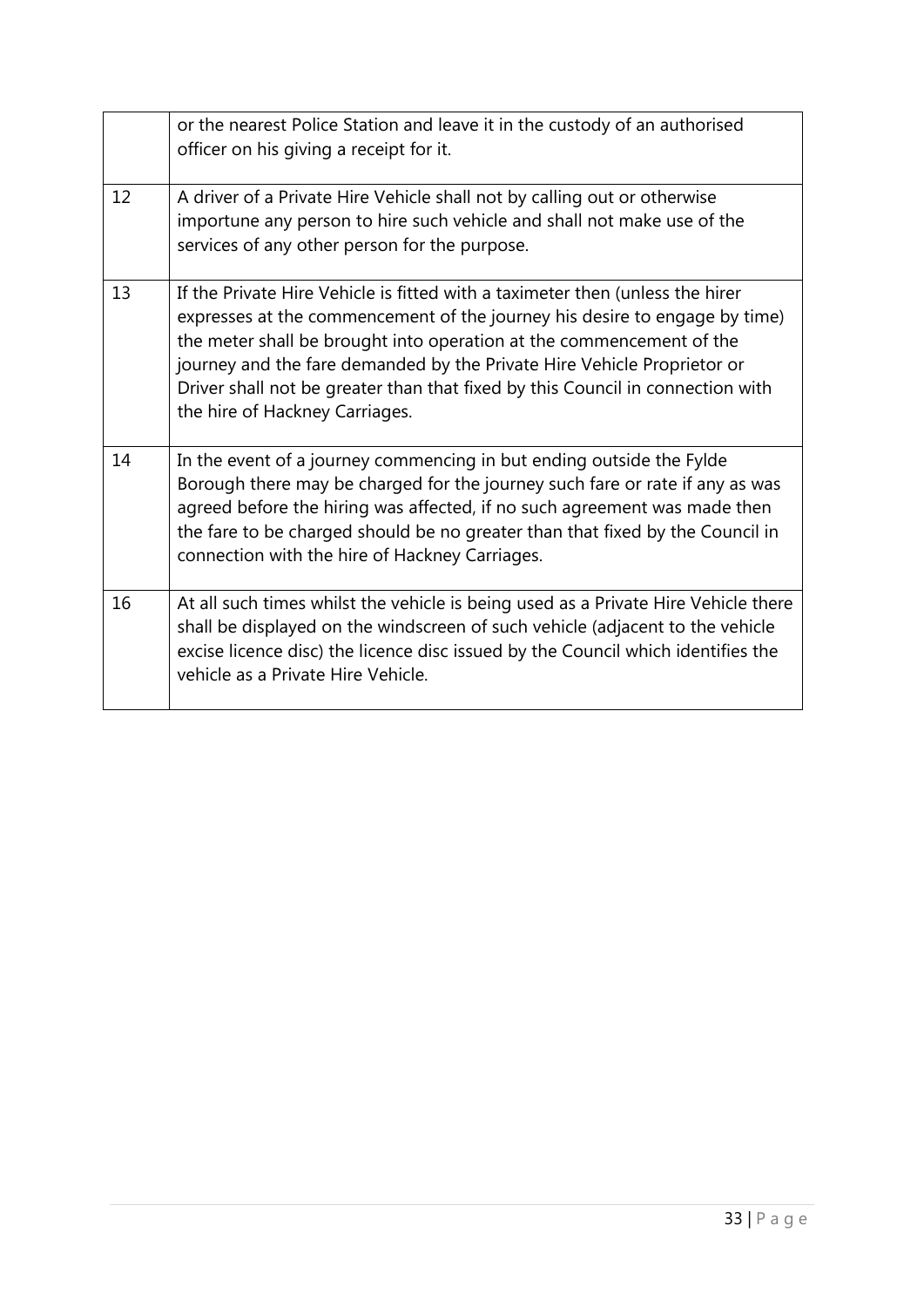|    | or the nearest Police Station and leave it in the custody of an authorised<br>officer on his giving a receipt for it.                                                                                                                                                                                                                                                                                                              |
|----|------------------------------------------------------------------------------------------------------------------------------------------------------------------------------------------------------------------------------------------------------------------------------------------------------------------------------------------------------------------------------------------------------------------------------------|
| 12 | A driver of a Private Hire Vehicle shall not by calling out or otherwise<br>importune any person to hire such vehicle and shall not make use of the<br>services of any other person for the purpose.                                                                                                                                                                                                                               |
| 13 | If the Private Hire Vehicle is fitted with a taximeter then (unless the hirer<br>expresses at the commencement of the journey his desire to engage by time)<br>the meter shall be brought into operation at the commencement of the<br>journey and the fare demanded by the Private Hire Vehicle Proprietor or<br>Driver shall not be greater than that fixed by this Council in connection with<br>the hire of Hackney Carriages. |
| 14 | In the event of a journey commencing in but ending outside the Fylde<br>Borough there may be charged for the journey such fare or rate if any as was<br>agreed before the hiring was affected, if no such agreement was made then<br>the fare to be charged should be no greater than that fixed by the Council in<br>connection with the hire of Hackney Carriages.                                                               |
| 16 | At all such times whilst the vehicle is being used as a Private Hire Vehicle there<br>shall be displayed on the windscreen of such vehicle (adjacent to the vehicle<br>excise licence disc) the licence disc issued by the Council which identifies the<br>vehicle as a Private Hire Vehicle.                                                                                                                                      |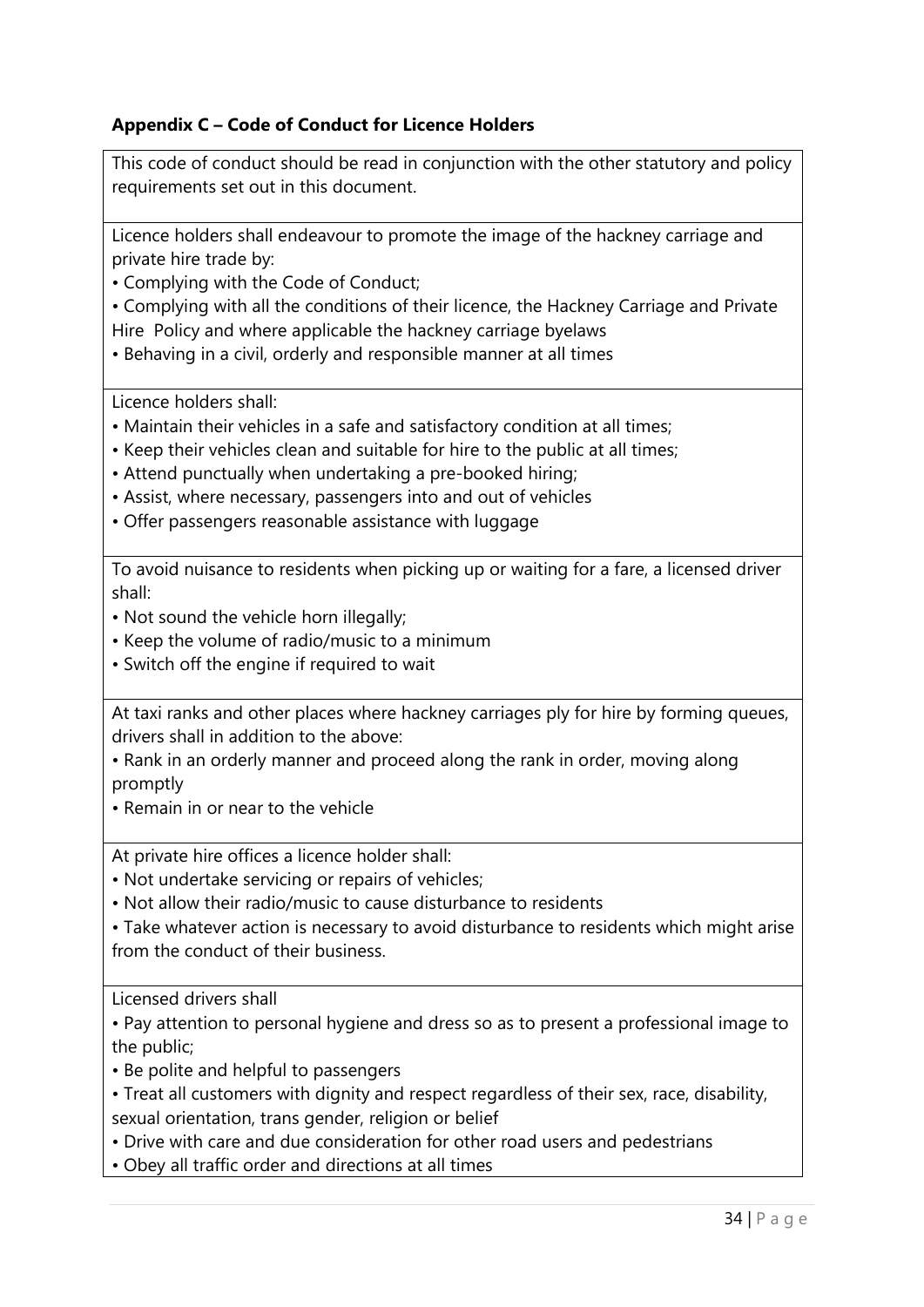## **Appendix C – Code of Conduct for Licence Holders**

This code of conduct should be read in conjunction with the other statutory and policy requirements set out in this document.

Licence holders shall endeavour to promote the image of the hackney carriage and private hire trade by:

• Complying with the Code of Conduct;

• Complying with all the conditions of their licence, the Hackney Carriage and Private Hire Policy and where applicable the hackney carriage byelaws

• Behaving in a civil, orderly and responsible manner at all times

Licence holders shall:

- Maintain their vehicles in a safe and satisfactory condition at all times;
- Keep their vehicles clean and suitable for hire to the public at all times;
- Attend punctually when undertaking a pre-booked hiring;
- Assist, where necessary, passengers into and out of vehicles
- Offer passengers reasonable assistance with luggage

To avoid nuisance to residents when picking up or waiting for a fare, a licensed driver shall:

- Not sound the vehicle horn illegally;
- Keep the volume of radio/music to a minimum
- Switch off the engine if required to wait

At taxi ranks and other places where hackney carriages ply for hire by forming queues, drivers shall in addition to the above:

• Rank in an orderly manner and proceed along the rank in order, moving along promptly

• Remain in or near to the vehicle

At private hire offices a licence holder shall:

• Not undertake servicing or repairs of vehicles;

• Not allow their radio/music to cause disturbance to residents

• Take whatever action is necessary to avoid disturbance to residents which might arise from the conduct of their business.

Licensed drivers shall

• Pay attention to personal hygiene and dress so as to present a professional image to the public;

- Be polite and helpful to passengers
- Treat all customers with dignity and respect regardless of their sex, race, disability, sexual orientation, trans gender, religion or belief
- Drive with care and due consideration for other road users and pedestrians
- Obey all traffic order and directions at all times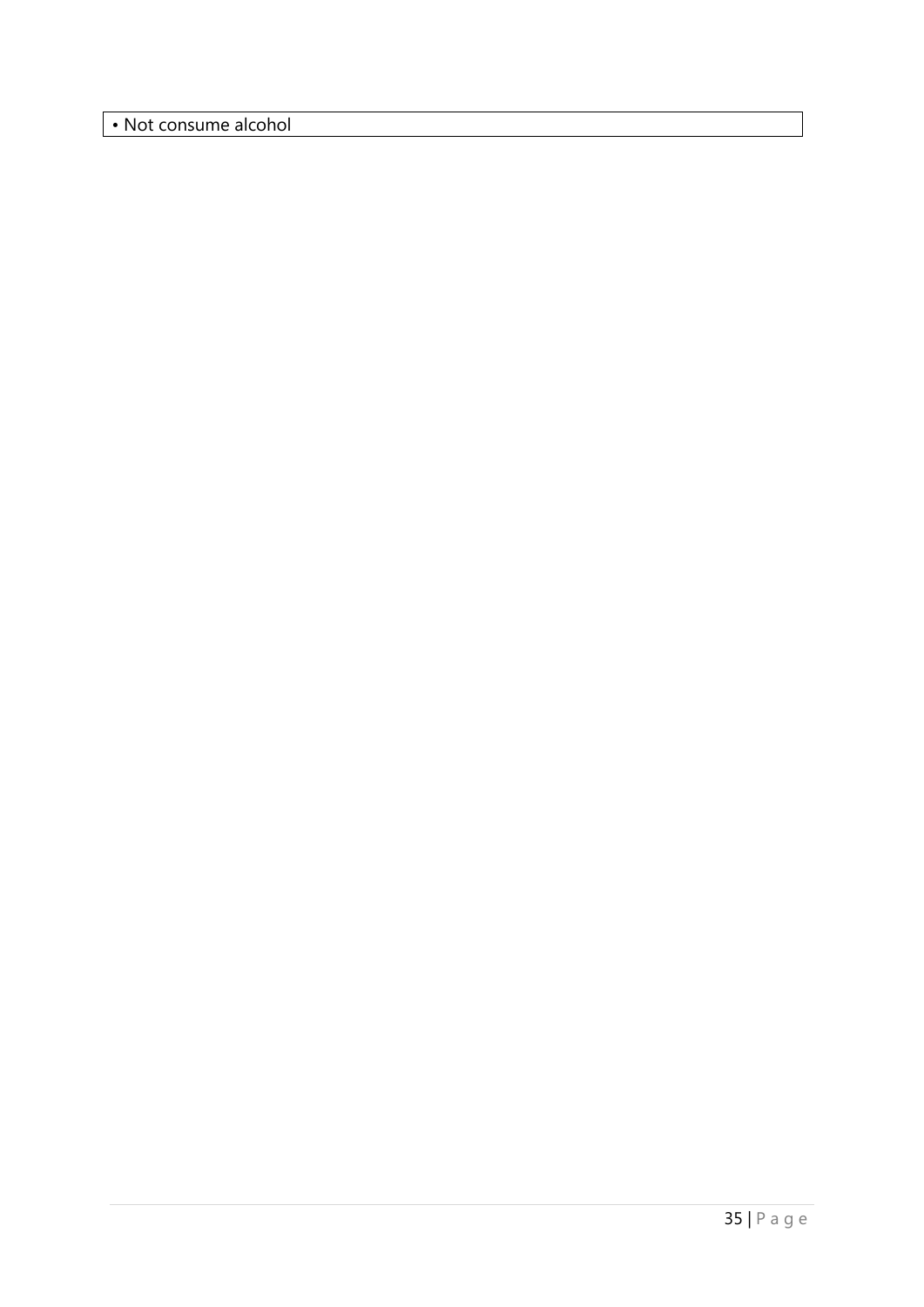• Not consume alcohol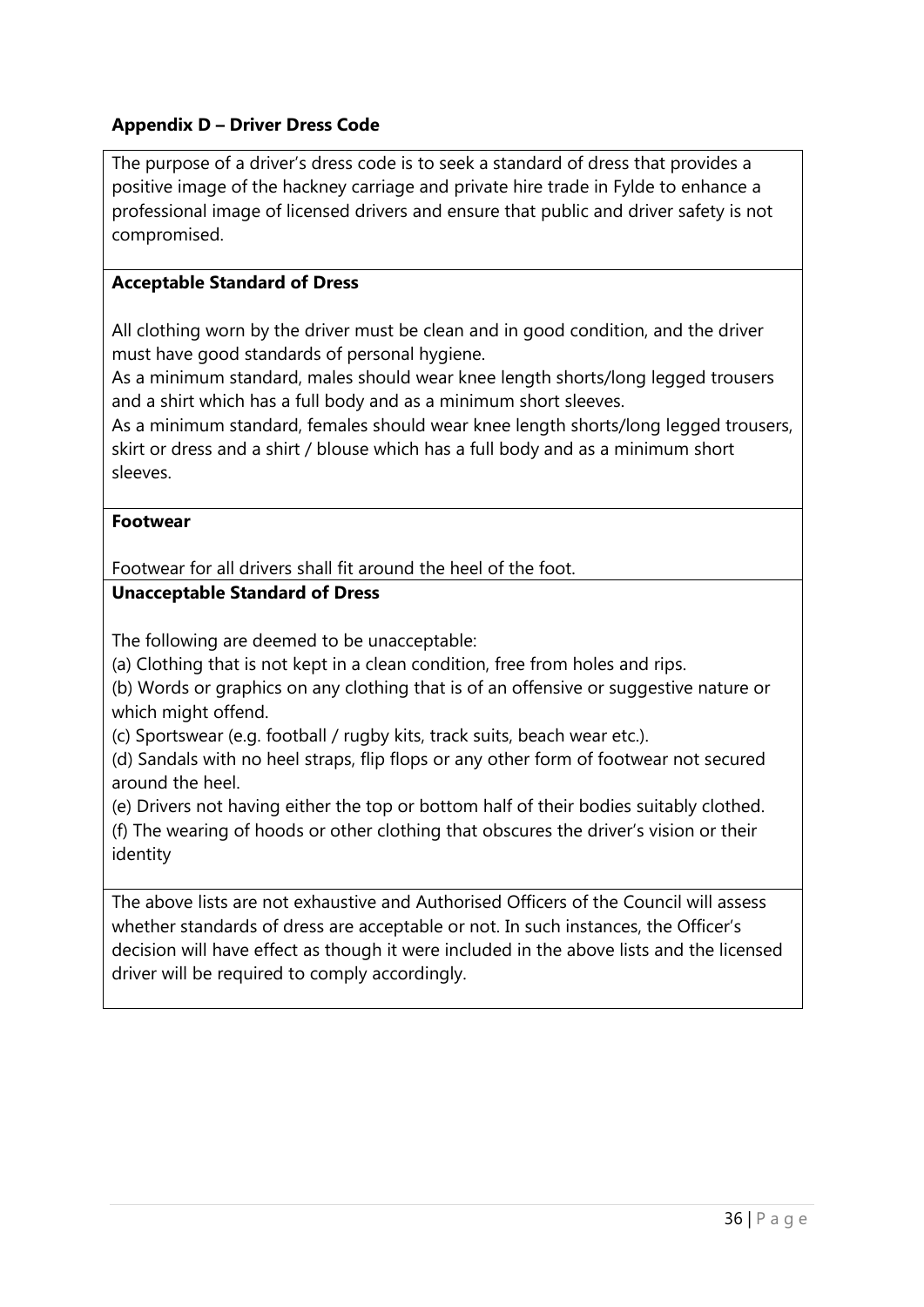## **Appendix D – Driver Dress Code**

The purpose of a driver's dress code is to seek a standard of dress that provides a positive image of the hackney carriage and private hire trade in Fylde to enhance a professional image of licensed drivers and ensure that public and driver safety is not compromised.

### **Acceptable Standard of Dress**

All clothing worn by the driver must be clean and in good condition, and the driver must have good standards of personal hygiene.

As a minimum standard, males should wear knee length shorts/long legged trousers and a shirt which has a full body and as a minimum short sleeves.

As a minimum standard, females should wear knee length shorts/long legged trousers, skirt or dress and a shirt / blouse which has a full body and as a minimum short sleeves.

#### **Footwear**

Footwear for all drivers shall fit around the heel of the foot.

#### **Unacceptable Standard of Dress**

The following are deemed to be unacceptable:

(a) Clothing that is not kept in a clean condition, free from holes and rips.

(b) Words or graphics on any clothing that is of an offensive or suggestive nature or which might offend.

(c) Sportswear (e.g. football / rugby kits, track suits, beach wear etc.).

(d) Sandals with no heel straps, flip flops or any other form of footwear not secured around the heel.

(e) Drivers not having either the top or bottom half of their bodies suitably clothed. (f) The wearing of hoods or other clothing that obscures the driver's vision or their identity

The above lists are not exhaustive and Authorised Officers of the Council will assess whether standards of dress are acceptable or not. In such instances, the Officer's decision will have effect as though it were included in the above lists and the licensed driver will be required to comply accordingly.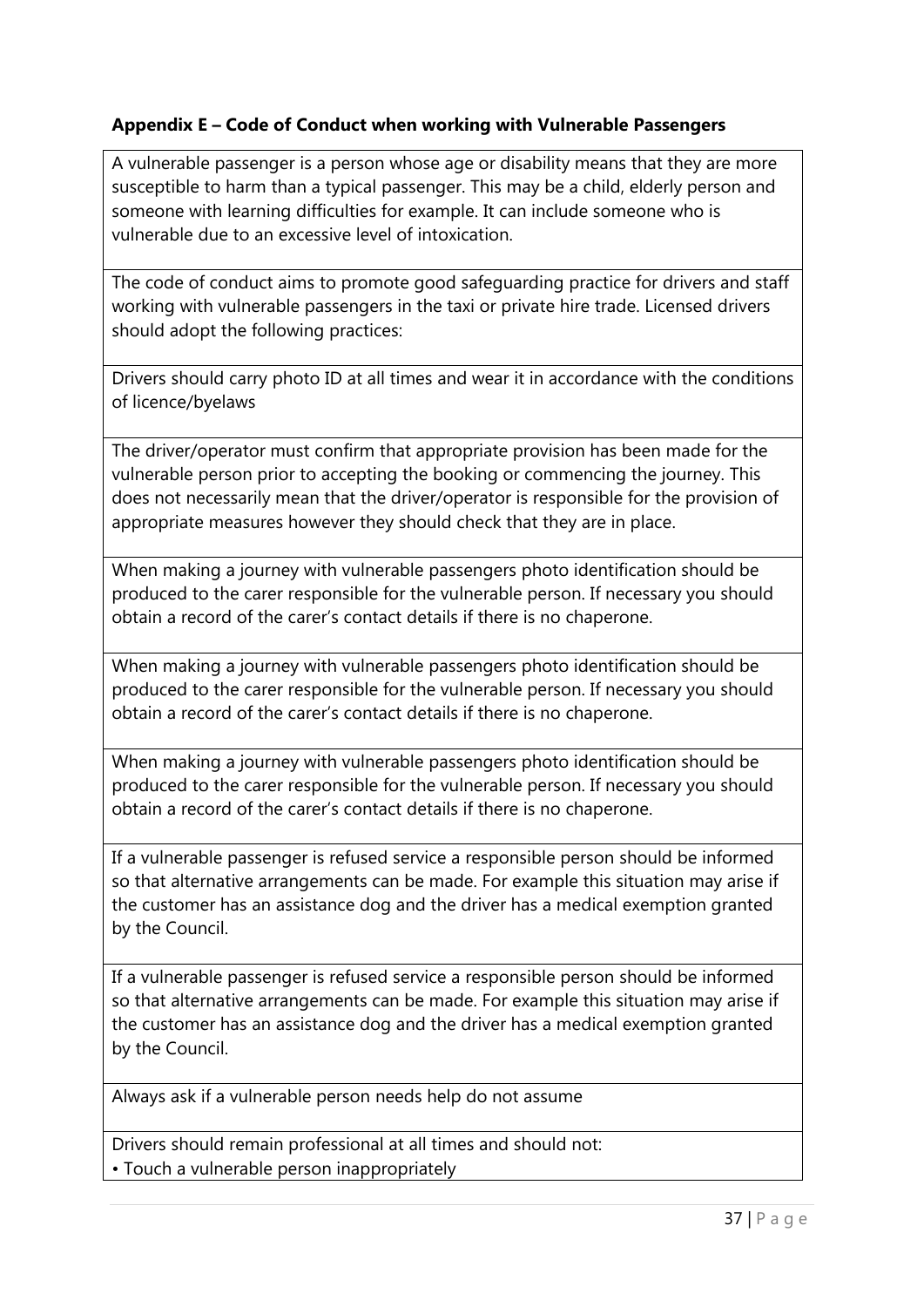## **Appendix E – Code of Conduct when working with Vulnerable Passengers**

A vulnerable passenger is a person whose age or disability means that they are more susceptible to harm than a typical passenger. This may be a child, elderly person and someone with learning difficulties for example. It can include someone who is vulnerable due to an excessive level of intoxication.

The code of conduct aims to promote good safeguarding practice for drivers and staff working with vulnerable passengers in the taxi or private hire trade. Licensed drivers should adopt the following practices:

Drivers should carry photo ID at all times and wear it in accordance with the conditions of licence/byelaws

The driver/operator must confirm that appropriate provision has been made for the vulnerable person prior to accepting the booking or commencing the journey. This does not necessarily mean that the driver/operator is responsible for the provision of appropriate measures however they should check that they are in place.

When making a journey with vulnerable passengers photo identification should be produced to the carer responsible for the vulnerable person. If necessary you should obtain a record of the carer's contact details if there is no chaperone.

When making a journey with vulnerable passengers photo identification should be produced to the carer responsible for the vulnerable person. If necessary you should obtain a record of the carer's contact details if there is no chaperone.

When making a journey with vulnerable passengers photo identification should be produced to the carer responsible for the vulnerable person. If necessary you should obtain a record of the carer's contact details if there is no chaperone.

If a vulnerable passenger is refused service a responsible person should be informed so that alternative arrangements can be made. For example this situation may arise if the customer has an assistance dog and the driver has a medical exemption granted by the Council.

If a vulnerable passenger is refused service a responsible person should be informed so that alternative arrangements can be made. For example this situation may arise if the customer has an assistance dog and the driver has a medical exemption granted by the Council.

Always ask if a vulnerable person needs help do not assume

Drivers should remain professional at all times and should not: • Touch a vulnerable person inappropriately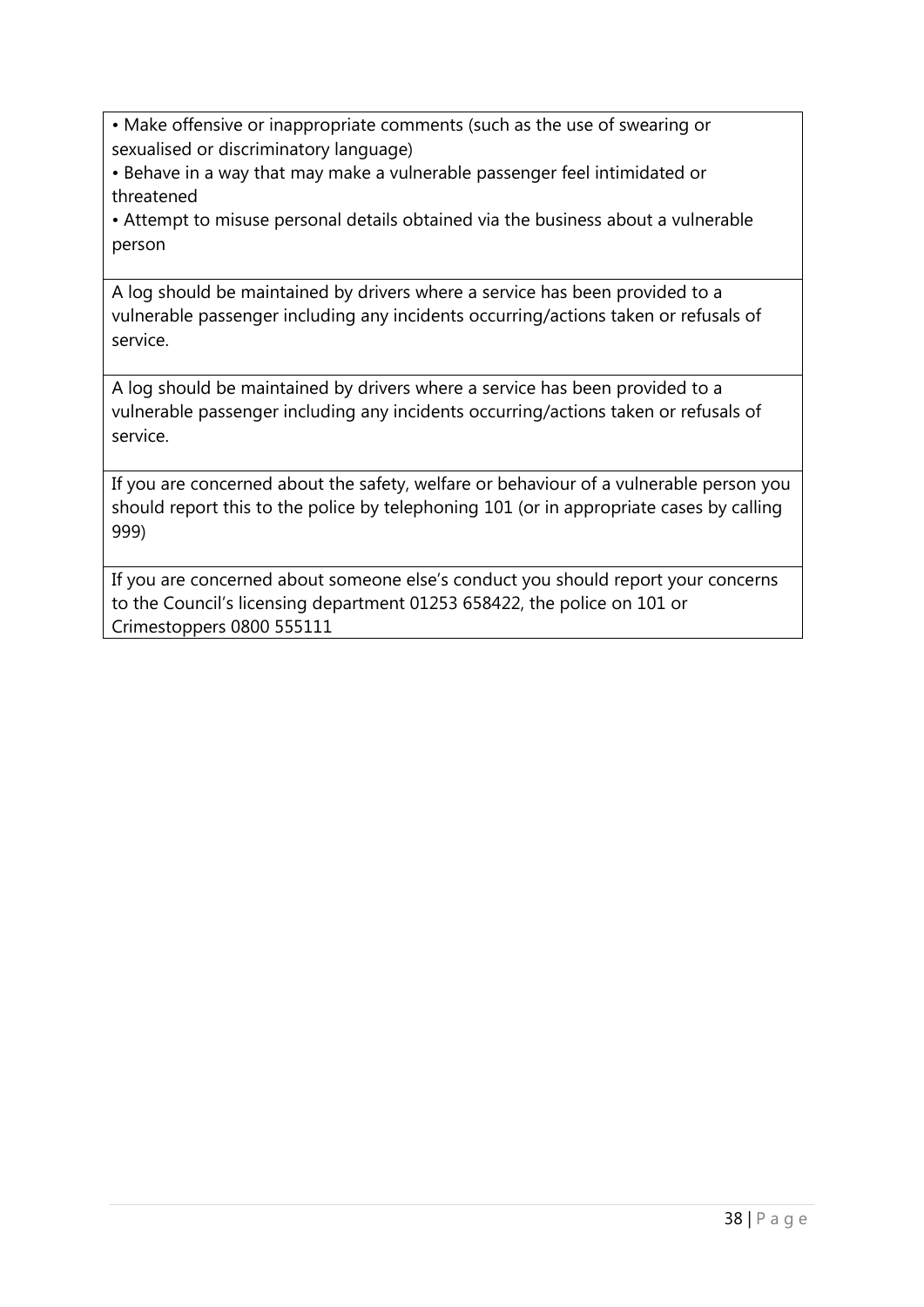• Make offensive or inappropriate comments (such as the use of swearing or sexualised or discriminatory language)

• Behave in a way that may make a vulnerable passenger feel intimidated or threatened

• Attempt to misuse personal details obtained via the business about a vulnerable person

A log should be maintained by drivers where a service has been provided to a vulnerable passenger including any incidents occurring/actions taken or refusals of service.

A log should be maintained by drivers where a service has been provided to a vulnerable passenger including any incidents occurring/actions taken or refusals of service.

If you are concerned about the safety, welfare or behaviour of a vulnerable person you should report this to the police by telephoning 101 (or in appropriate cases by calling 999)

If you are concerned about someone else's conduct you should report your concerns to the Council's licensing department 01253 658422, the police on 101 or Crimestoppers 0800 555111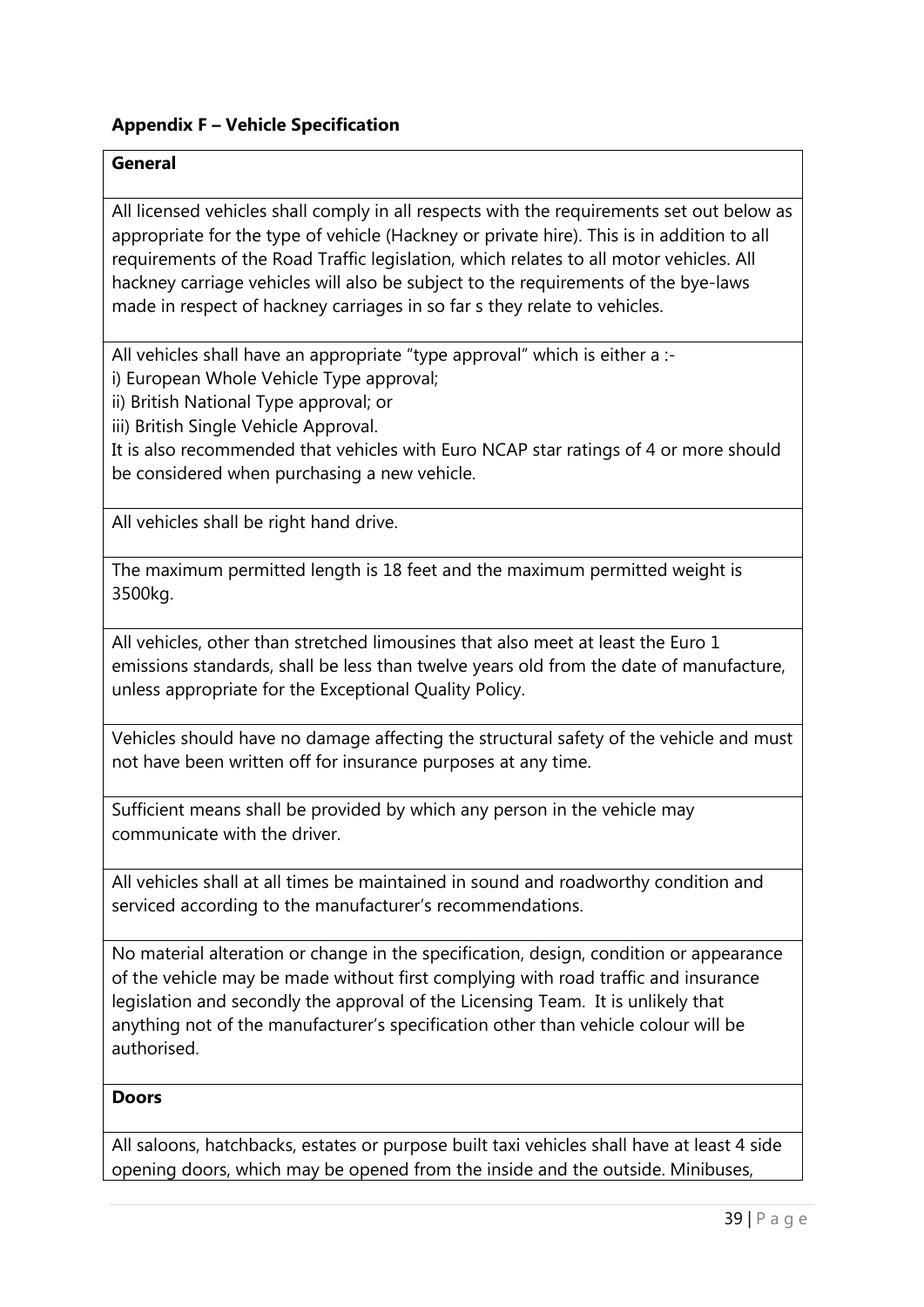# **Appendix F – Vehicle Specification**

## **General**

All licensed vehicles shall comply in all respects with the requirements set out below as appropriate for the type of vehicle (Hackney or private hire). This is in addition to all requirements of the Road Traffic legislation, which relates to all motor vehicles. All hackney carriage vehicles will also be subject to the requirements of the bye-laws made in respect of hackney carriages in so far s they relate to vehicles.

All vehicles shall have an appropriate "type approval" which is either a :-

i) European Whole Vehicle Type approval;

ii) British National Type approval; or

iii) British Single Vehicle Approval.

It is also recommended that vehicles with Euro NCAP star ratings of 4 or more should be considered when purchasing a new vehicle.

All vehicles shall be right hand drive.

The maximum permitted length is 18 feet and the maximum permitted weight is 3500kg.

All vehicles, other than stretched limousines that also meet at least the Euro 1 emissions standards, shall be less than twelve years old from the date of manufacture, unless appropriate for the Exceptional Quality Policy.

Vehicles should have no damage affecting the structural safety of the vehicle and must not have been written off for insurance purposes at any time.

Sufficient means shall be provided by which any person in the vehicle may communicate with the driver.

All vehicles shall at all times be maintained in sound and roadworthy condition and serviced according to the manufacturer's recommendations.

No material alteration or change in the specification, design, condition or appearance of the vehicle may be made without first complying with road traffic and insurance legislation and secondly the approval of the Licensing Team. It is unlikely that anything not of the manufacturer's specification other than vehicle colour will be authorised.

#### **Doors**

All saloons, hatchbacks, estates or purpose built taxi vehicles shall have at least 4 side opening doors, which may be opened from the inside and the outside. Minibuses,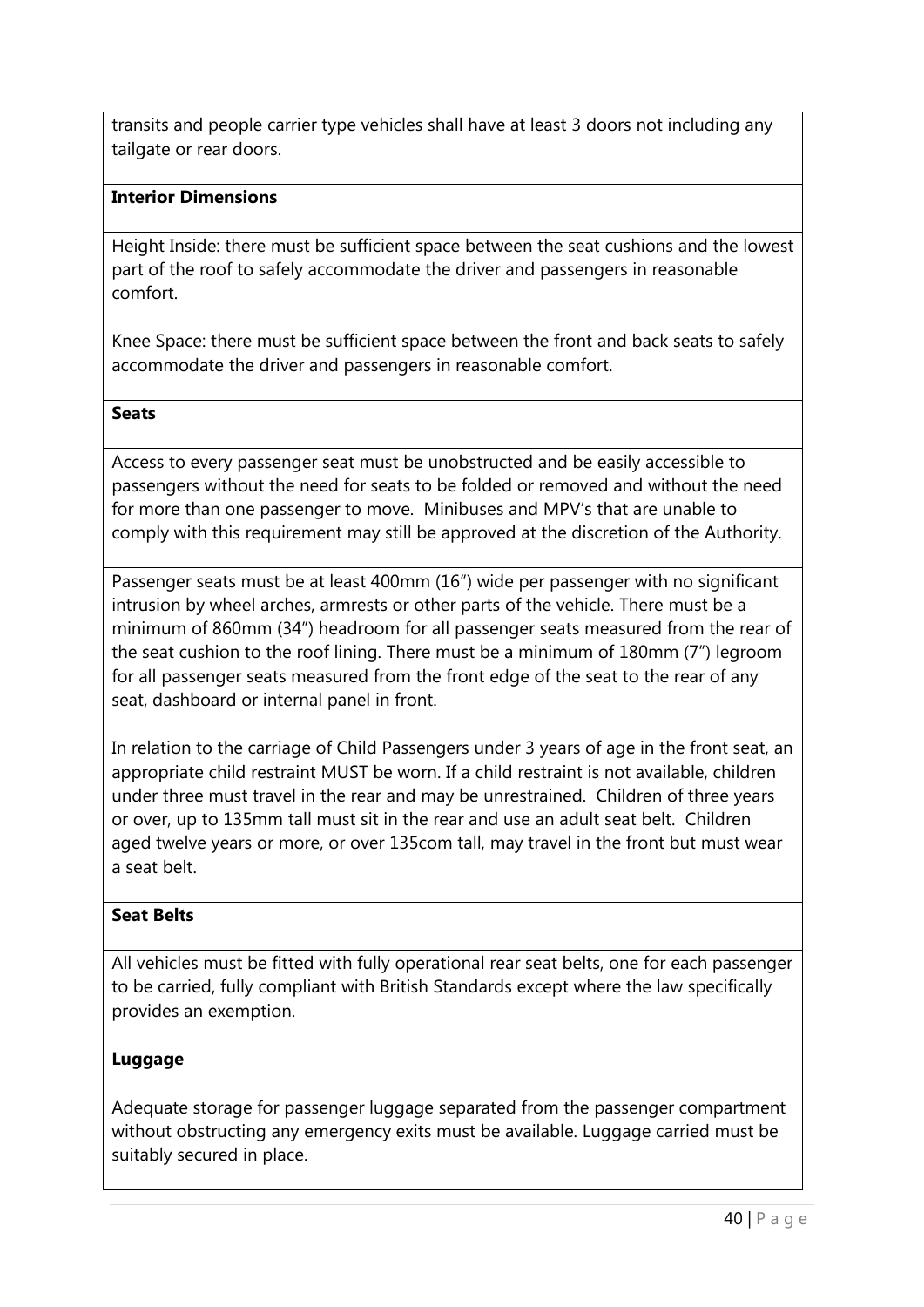transits and people carrier type vehicles shall have at least 3 doors not including any tailgate or rear doors.

#### **Interior Dimensions**

Height Inside: there must be sufficient space between the seat cushions and the lowest part of the roof to safely accommodate the driver and passengers in reasonable comfort.

Knee Space: there must be sufficient space between the front and back seats to safely accommodate the driver and passengers in reasonable comfort.

#### **Seats**

Access to every passenger seat must be unobstructed and be easily accessible to passengers without the need for seats to be folded or removed and without the need for more than one passenger to move. Minibuses and MPV's that are unable to comply with this requirement may still be approved at the discretion of the Authority.

Passenger seats must be at least 400mm (16") wide per passenger with no significant intrusion by wheel arches, armrests or other parts of the vehicle. There must be a minimum of 860mm (34") headroom for all passenger seats measured from the rear of the seat cushion to the roof lining. There must be a minimum of 180mm (7") legroom for all passenger seats measured from the front edge of the seat to the rear of any seat, dashboard or internal panel in front.

In relation to the carriage of Child Passengers under 3 years of age in the front seat, an appropriate child restraint MUST be worn. If a child restraint is not available, children under three must travel in the rear and may be unrestrained. Children of three years or over, up to 135mm tall must sit in the rear and use an adult seat belt. Children aged twelve years or more, or over 135com tall, may travel in the front but must wear a seat belt.

#### **Seat Belts**

All vehicles must be fitted with fully operational rear seat belts, one for each passenger to be carried, fully compliant with British Standards except where the law specifically provides an exemption.

#### **Luggage**

Adequate storage for passenger luggage separated from the passenger compartment without obstructing any emergency exits must be available. Luggage carried must be suitably secured in place.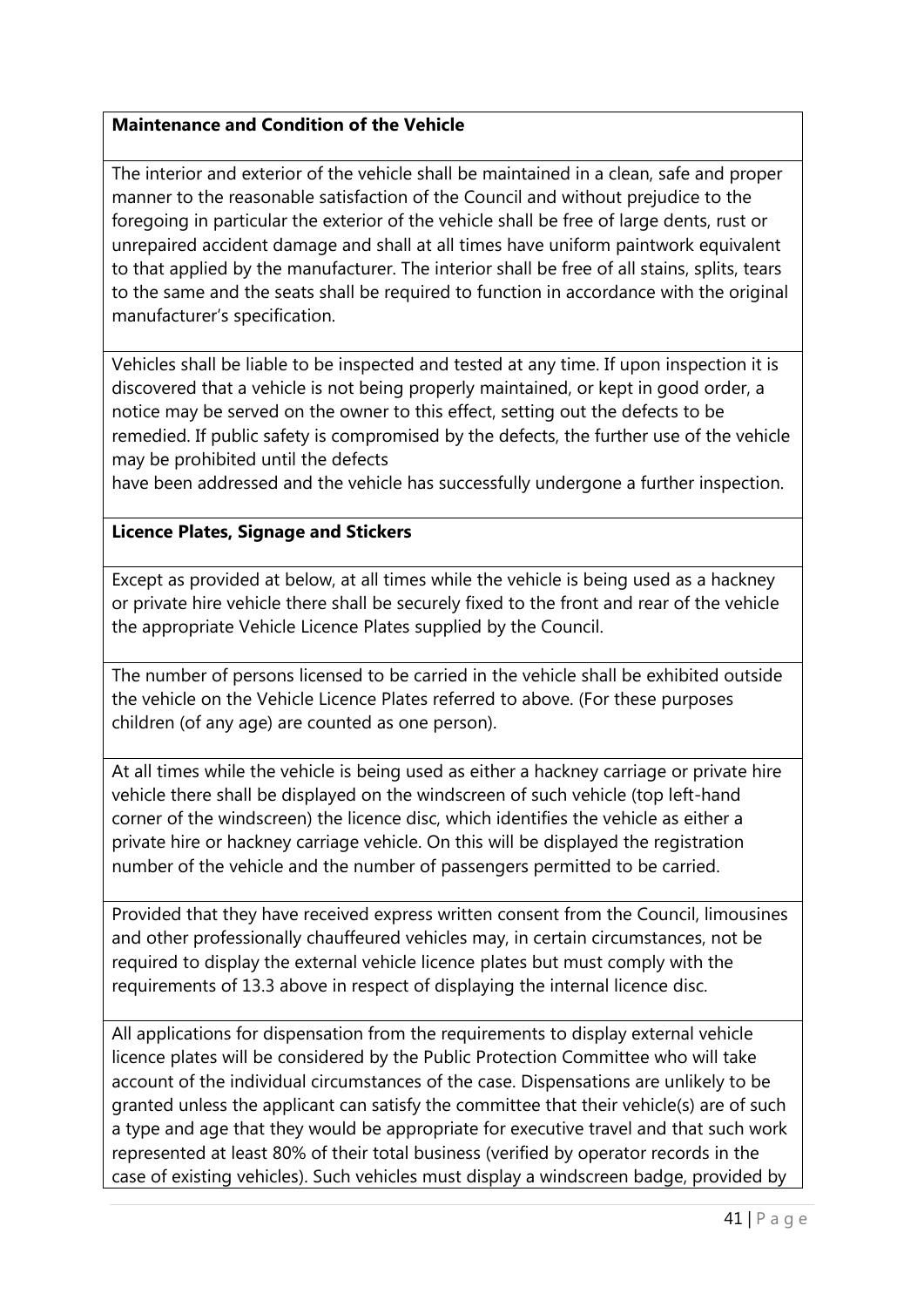## **Maintenance and Condition of the Vehicle**

The interior and exterior of the vehicle shall be maintained in a clean, safe and proper manner to the reasonable satisfaction of the Council and without prejudice to the foregoing in particular the exterior of the vehicle shall be free of large dents, rust or unrepaired accident damage and shall at all times have uniform paintwork equivalent to that applied by the manufacturer. The interior shall be free of all stains, splits, tears to the same and the seats shall be required to function in accordance with the original manufacturer's specification.

Vehicles shall be liable to be inspected and tested at any time. If upon inspection it is discovered that a vehicle is not being properly maintained, or kept in good order, a notice may be served on the owner to this effect, setting out the defects to be remedied. If public safety is compromised by the defects, the further use of the vehicle may be prohibited until the defects

have been addressed and the vehicle has successfully undergone a further inspection.

## **Licence Plates, Signage and Stickers**

Except as provided at below, at all times while the vehicle is being used as a hackney or private hire vehicle there shall be securely fixed to the front and rear of the vehicle the appropriate Vehicle Licence Plates supplied by the Council.

The number of persons licensed to be carried in the vehicle shall be exhibited outside the vehicle on the Vehicle Licence Plates referred to above. (For these purposes children (of any age) are counted as one person).

At all times while the vehicle is being used as either a hackney carriage or private hire vehicle there shall be displayed on the windscreen of such vehicle (top left-hand corner of the windscreen) the licence disc, which identifies the vehicle as either a private hire or hackney carriage vehicle. On this will be displayed the registration number of the vehicle and the number of passengers permitted to be carried.

Provided that they have received express written consent from the Council, limousines and other professionally chauffeured vehicles may, in certain circumstances, not be required to display the external vehicle licence plates but must comply with the requirements of 13.3 above in respect of displaying the internal licence disc.

All applications for dispensation from the requirements to display external vehicle licence plates will be considered by the Public Protection Committee who will take account of the individual circumstances of the case. Dispensations are unlikely to be granted unless the applicant can satisfy the committee that their vehicle(s) are of such a type and age that they would be appropriate for executive travel and that such work represented at least 80% of their total business (verified by operator records in the case of existing vehicles). Such vehicles must display a windscreen badge, provided by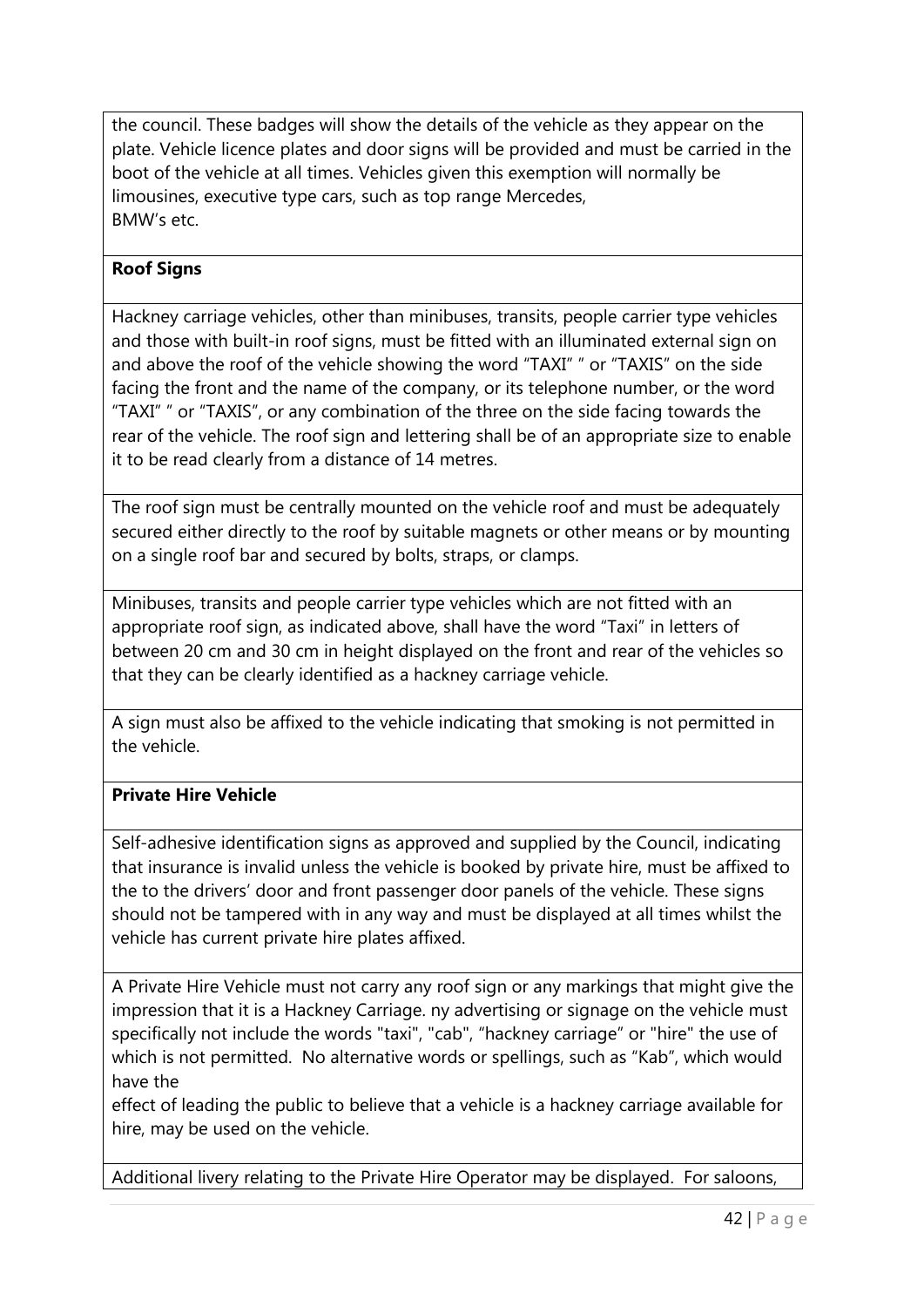the council. These badges will show the details of the vehicle as they appear on the plate. Vehicle licence plates and door signs will be provided and must be carried in the boot of the vehicle at all times. Vehicles given this exemption will normally be limousines, executive type cars, such as top range Mercedes, BMW's etc.

## **Roof Signs**

Hackney carriage vehicles, other than minibuses, transits, people carrier type vehicles and those with built-in roof signs, must be fitted with an illuminated external sign on and above the roof of the vehicle showing the word "TAXI" " or "TAXIS" on the side facing the front and the name of the company, or its telephone number, or the word "TAXI" " or "TAXIS", or any combination of the three on the side facing towards the rear of the vehicle. The roof sign and lettering shall be of an appropriate size to enable it to be read clearly from a distance of 14 metres.

The roof sign must be centrally mounted on the vehicle roof and must be adequately secured either directly to the roof by suitable magnets or other means or by mounting on a single roof bar and secured by bolts, straps, or clamps.

Minibuses, transits and people carrier type vehicles which are not fitted with an appropriate roof sign, as indicated above, shall have the word "Taxi" in letters of between 20 cm and 30 cm in height displayed on the front and rear of the vehicles so that they can be clearly identified as a hackney carriage vehicle.

A sign must also be affixed to the vehicle indicating that smoking is not permitted in the vehicle.

## **Private Hire Vehicle**

Self-adhesive identification signs as approved and supplied by the Council, indicating that insurance is invalid unless the vehicle is booked by private hire, must be affixed to the to the drivers' door and front passenger door panels of the vehicle. These signs should not be tampered with in any way and must be displayed at all times whilst the vehicle has current private hire plates affixed.

A Private Hire Vehicle must not carry any roof sign or any markings that might give the impression that it is a Hackney Carriage. ny advertising or signage on the vehicle must specifically not include the words "taxi", "cab", "hackney carriage" or "hire" the use of which is not permitted. No alternative words or spellings, such as "Kab", which would have the

effect of leading the public to believe that a vehicle is a hackney carriage available for hire, may be used on the vehicle.

Additional livery relating to the Private Hire Operator may be displayed. For saloons,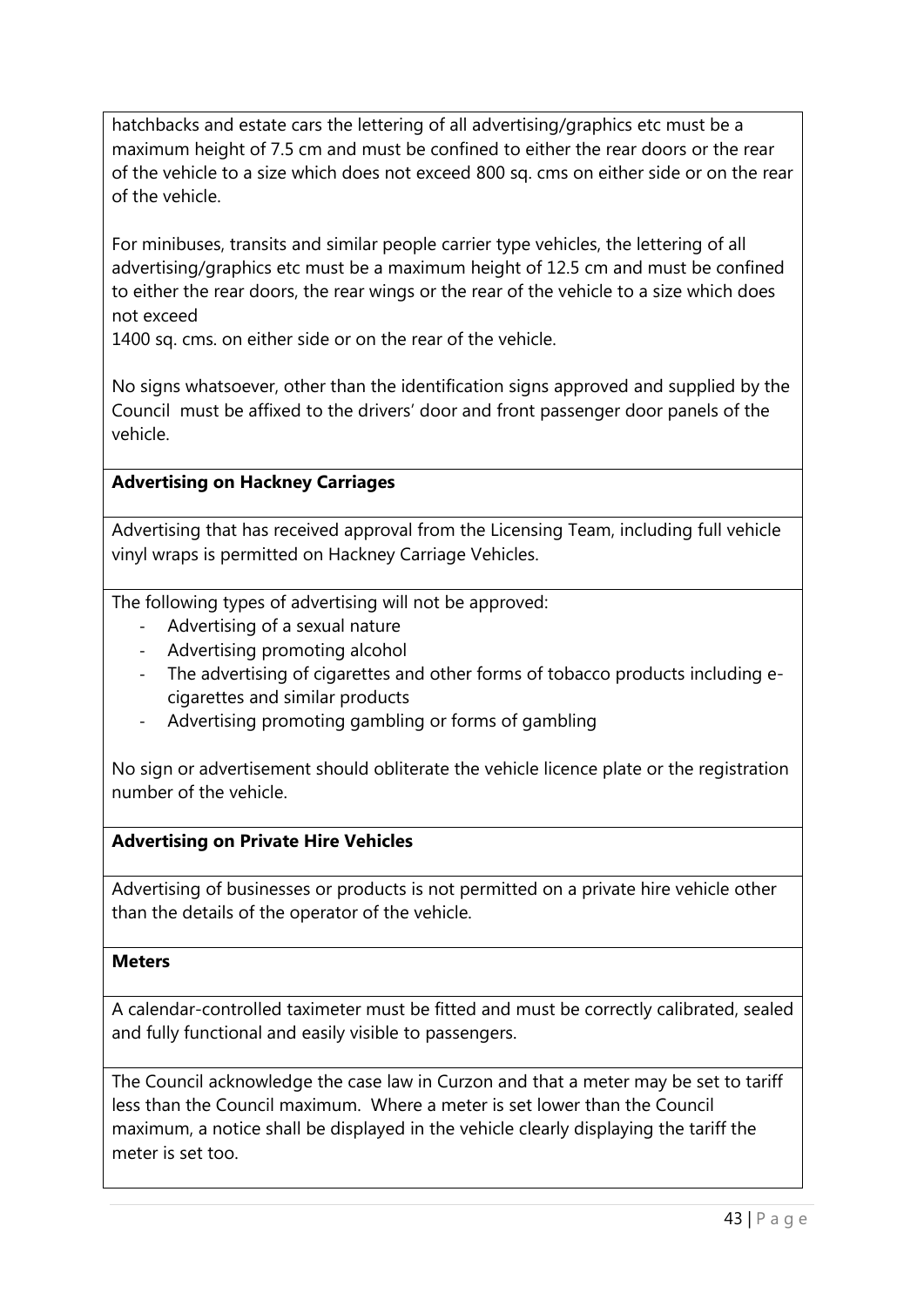hatchbacks and estate cars the lettering of all advertising/graphics etc must be a maximum height of 7.5 cm and must be confined to either the rear doors or the rear of the vehicle to a size which does not exceed 800 sq. cms on either side or on the rear of the vehicle.

For minibuses, transits and similar people carrier type vehicles, the lettering of all advertising/graphics etc must be a maximum height of 12.5 cm and must be confined to either the rear doors, the rear wings or the rear of the vehicle to a size which does not exceed

1400 sq. cms. on either side or on the rear of the vehicle.

No signs whatsoever, other than the identification signs approved and supplied by the Council must be affixed to the drivers' door and front passenger door panels of the vehicle.

## **Advertising on Hackney Carriages**

Advertising that has received approval from the Licensing Team, including full vehicle vinyl wraps is permitted on Hackney Carriage Vehicles.

The following types of advertising will not be approved:

- Advertising of a sexual nature
- Advertising promoting alcohol
- The advertising of cigarettes and other forms of tobacco products including ecigarettes and similar products
- Advertising promoting gambling or forms of gambling

No sign or advertisement should obliterate the vehicle licence plate or the registration number of the vehicle.

## **Advertising on Private Hire Vehicles**

Advertising of businesses or products is not permitted on a private hire vehicle other than the details of the operator of the vehicle.

## **Meters**

A calendar-controlled taximeter must be fitted and must be correctly calibrated, sealed and fully functional and easily visible to passengers.

The Council acknowledge the case law in Curzon and that a meter may be set to tariff less than the Council maximum. Where a meter is set lower than the Council maximum, a notice shall be displayed in the vehicle clearly displaying the tariff the meter is set too.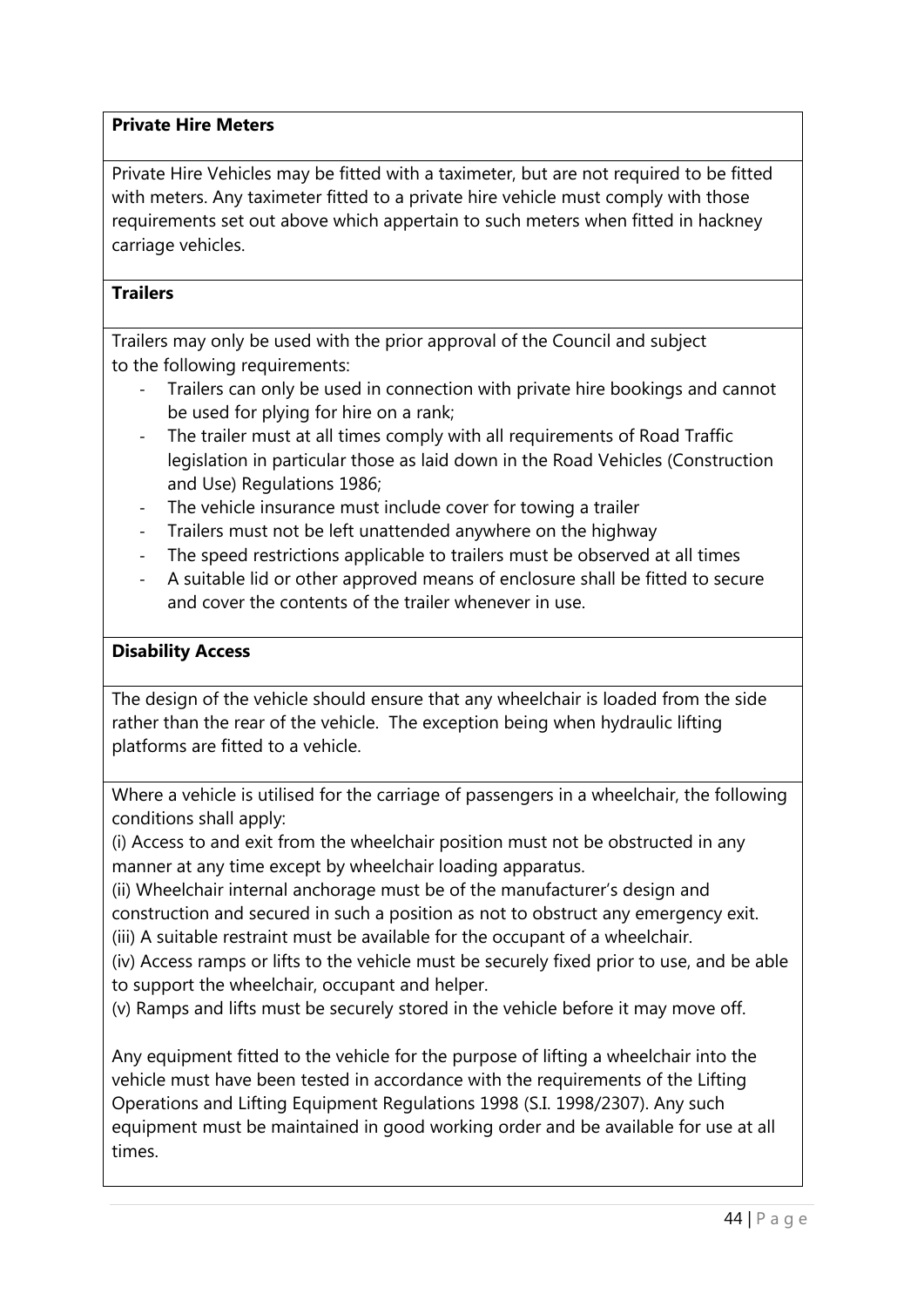### **Private Hire Meters**

Private Hire Vehicles may be fitted with a taximeter, but are not required to be fitted with meters. Any taximeter fitted to a private hire vehicle must comply with those requirements set out above which appertain to such meters when fitted in hackney carriage vehicles.

### **Trailers**

Trailers may only be used with the prior approval of the Council and subject to the following requirements:

- Trailers can only be used in connection with private hire bookings and cannot be used for plying for hire on a rank;
- The trailer must at all times comply with all requirements of Road Traffic legislation in particular those as laid down in the Road Vehicles (Construction and Use) Regulations 1986;
- The vehicle insurance must include cover for towing a trailer
- Trailers must not be left unattended anywhere on the highway
- The speed restrictions applicable to trailers must be observed at all times
- A suitable lid or other approved means of enclosure shall be fitted to secure and cover the contents of the trailer whenever in use.

## **Disability Access**

The design of the vehicle should ensure that any wheelchair is loaded from the side rather than the rear of the vehicle. The exception being when hydraulic lifting platforms are fitted to a vehicle.

Where a vehicle is utilised for the carriage of passengers in a wheelchair, the following conditions shall apply:

(i) Access to and exit from the wheelchair position must not be obstructed in any manner at any time except by wheelchair loading apparatus.

(ii) Wheelchair internal anchorage must be of the manufacturer's design and construction and secured in such a position as not to obstruct any emergency exit.

(iii) A suitable restraint must be available for the occupant of a wheelchair.

(iv) Access ramps or lifts to the vehicle must be securely fixed prior to use, and be able to support the wheelchair, occupant and helper.

(v) Ramps and lifts must be securely stored in the vehicle before it may move off.

Any equipment fitted to the vehicle for the purpose of lifting a wheelchair into the vehicle must have been tested in accordance with the requirements of the Lifting Operations and Lifting Equipment Regulations 1998 (S.I. 1998/2307). Any such equipment must be maintained in good working order and be available for use at all times.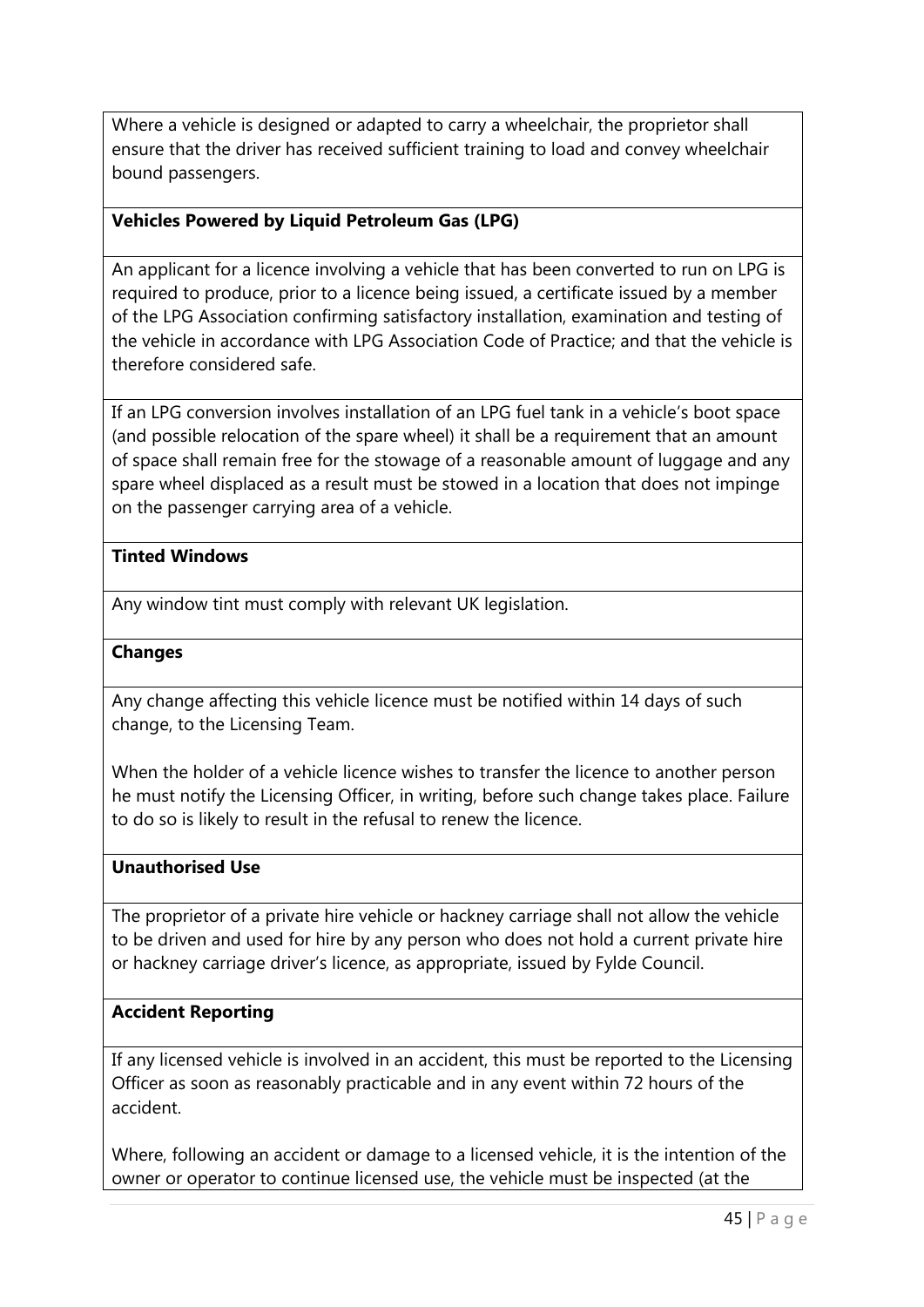Where a vehicle is designed or adapted to carry a wheelchair, the proprietor shall ensure that the driver has received sufficient training to load and convey wheelchair bound passengers.

### **Vehicles Powered by Liquid Petroleum Gas (LPG)**

An applicant for a licence involving a vehicle that has been converted to run on LPG is required to produce, prior to a licence being issued, a certificate issued by a member of the LPG Association confirming satisfactory installation, examination and testing of the vehicle in accordance with LPG Association Code of Practice; and that the vehicle is therefore considered safe.

If an LPG conversion involves installation of an LPG fuel tank in a vehicle's boot space (and possible relocation of the spare wheel) it shall be a requirement that an amount of space shall remain free for the stowage of a reasonable amount of luggage and any spare wheel displaced as a result must be stowed in a location that does not impinge on the passenger carrying area of a vehicle.

#### **Tinted Windows**

Any window tint must comply with relevant UK legislation.

#### **Changes**

Any change affecting this vehicle licence must be notified within 14 days of such change, to the Licensing Team.

When the holder of a vehicle licence wishes to transfer the licence to another person he must notify the Licensing Officer, in writing, before such change takes place. Failure to do so is likely to result in the refusal to renew the licence.

#### **Unauthorised Use**

The proprietor of a private hire vehicle or hackney carriage shall not allow the vehicle to be driven and used for hire by any person who does not hold a current private hire or hackney carriage driver's licence, as appropriate, issued by Fylde Council.

#### **Accident Reporting**

If any licensed vehicle is involved in an accident, this must be reported to the Licensing Officer as soon as reasonably practicable and in any event within 72 hours of the accident.

Where, following an accident or damage to a licensed vehicle, it is the intention of the owner or operator to continue licensed use, the vehicle must be inspected (at the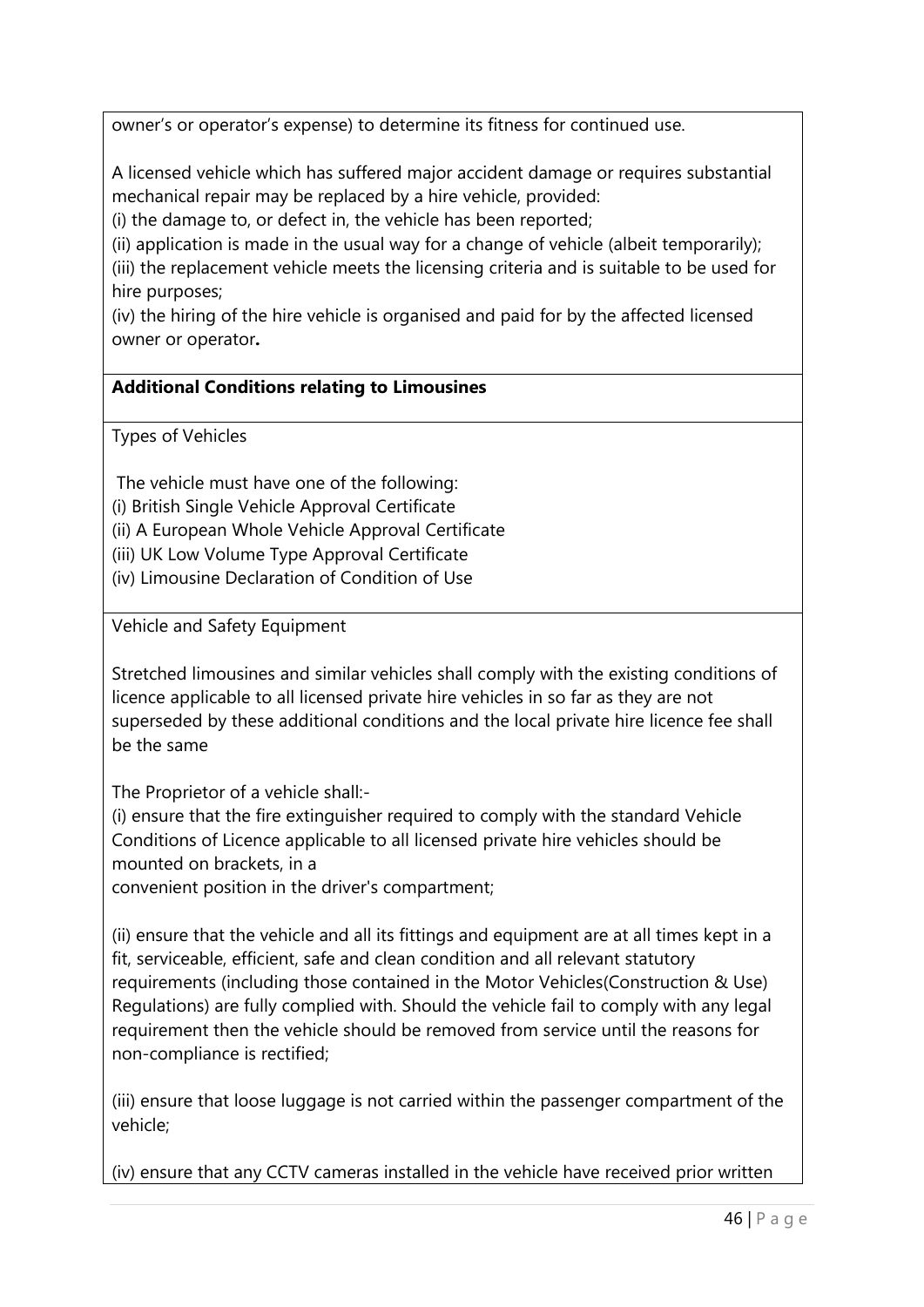owner's or operator's expense) to determine its fitness for continued use.

A licensed vehicle which has suffered major accident damage or requires substantial mechanical repair may be replaced by a hire vehicle, provided:

(i) the damage to, or defect in, the vehicle has been reported;

(ii) application is made in the usual way for a change of vehicle (albeit temporarily);

(iii) the replacement vehicle meets the licensing criteria and is suitable to be used for hire purposes;

(iv) the hiring of the hire vehicle is organised and paid for by the affected licensed owner or operator**.**

## **Additional Conditions relating to Limousines**

Types of Vehicles

The vehicle must have one of the following:

(i) British Single Vehicle Approval Certificate

(ii) A European Whole Vehicle Approval Certificate

(iii) UK Low Volume Type Approval Certificate

(iv) Limousine Declaration of Condition of Use

Vehicle and Safety Equipment

Stretched limousines and similar vehicles shall comply with the existing conditions of licence applicable to all licensed private hire vehicles in so far as they are not superseded by these additional conditions and the local private hire licence fee shall be the same

The Proprietor of a vehicle shall:-

(i) ensure that the fire extinguisher required to comply with the standard Vehicle Conditions of Licence applicable to all licensed private hire vehicles should be mounted on brackets, in a

convenient position in the driver's compartment;

(ii) ensure that the vehicle and all its fittings and equipment are at all times kept in a fit, serviceable, efficient, safe and clean condition and all relevant statutory requirements (including those contained in the Motor Vehicles(Construction & Use) Regulations) are fully complied with. Should the vehicle fail to comply with any legal requirement then the vehicle should be removed from service until the reasons for non-compliance is rectified;

(iii) ensure that loose luggage is not carried within the passenger compartment of the vehicle;

(iv) ensure that any CCTV cameras installed in the vehicle have received prior written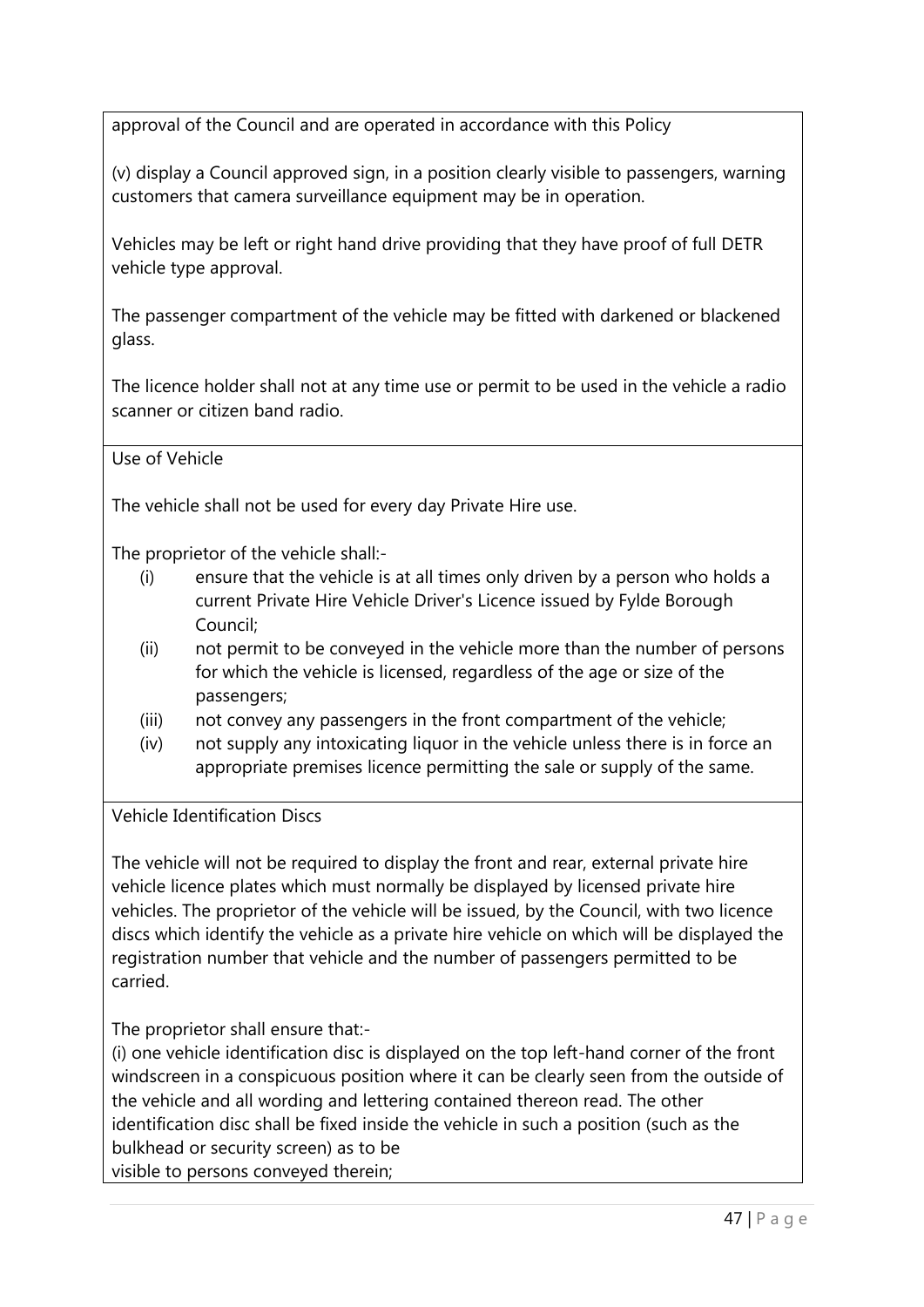approval of the Council and are operated in accordance with this Policy

(v) display a Council approved sign, in a position clearly visible to passengers, warning customers that camera surveillance equipment may be in operation.

Vehicles may be left or right hand drive providing that they have proof of full DETR vehicle type approval.

The passenger compartment of the vehicle may be fitted with darkened or blackened glass.

The licence holder shall not at any time use or permit to be used in the vehicle a radio scanner or citizen band radio.

Use of Vehicle

The vehicle shall not be used for every day Private Hire use.

The proprietor of the vehicle shall:-

- (i) ensure that the vehicle is at all times only driven by a person who holds a current Private Hire Vehicle Driver's Licence issued by Fylde Borough Council;
- (ii) not permit to be conveyed in the vehicle more than the number of persons for which the vehicle is licensed, regardless of the age or size of the passengers;
- (iii) not convey any passengers in the front compartment of the vehicle;
- (iv) not supply any intoxicating liquor in the vehicle unless there is in force an appropriate premises licence permitting the sale or supply of the same.

Vehicle Identification Discs

The vehicle will not be required to display the front and rear, external private hire vehicle licence plates which must normally be displayed by licensed private hire vehicles. The proprietor of the vehicle will be issued, by the Council, with two licence discs which identify the vehicle as a private hire vehicle on which will be displayed the registration number that vehicle and the number of passengers permitted to be carried.

The proprietor shall ensure that:-

(i) one vehicle identification disc is displayed on the top left-hand corner of the front windscreen in a conspicuous position where it can be clearly seen from the outside of the vehicle and all wording and lettering contained thereon read. The other identification disc shall be fixed inside the vehicle in such a position (such as the bulkhead or security screen) as to be visible to persons conveyed therein;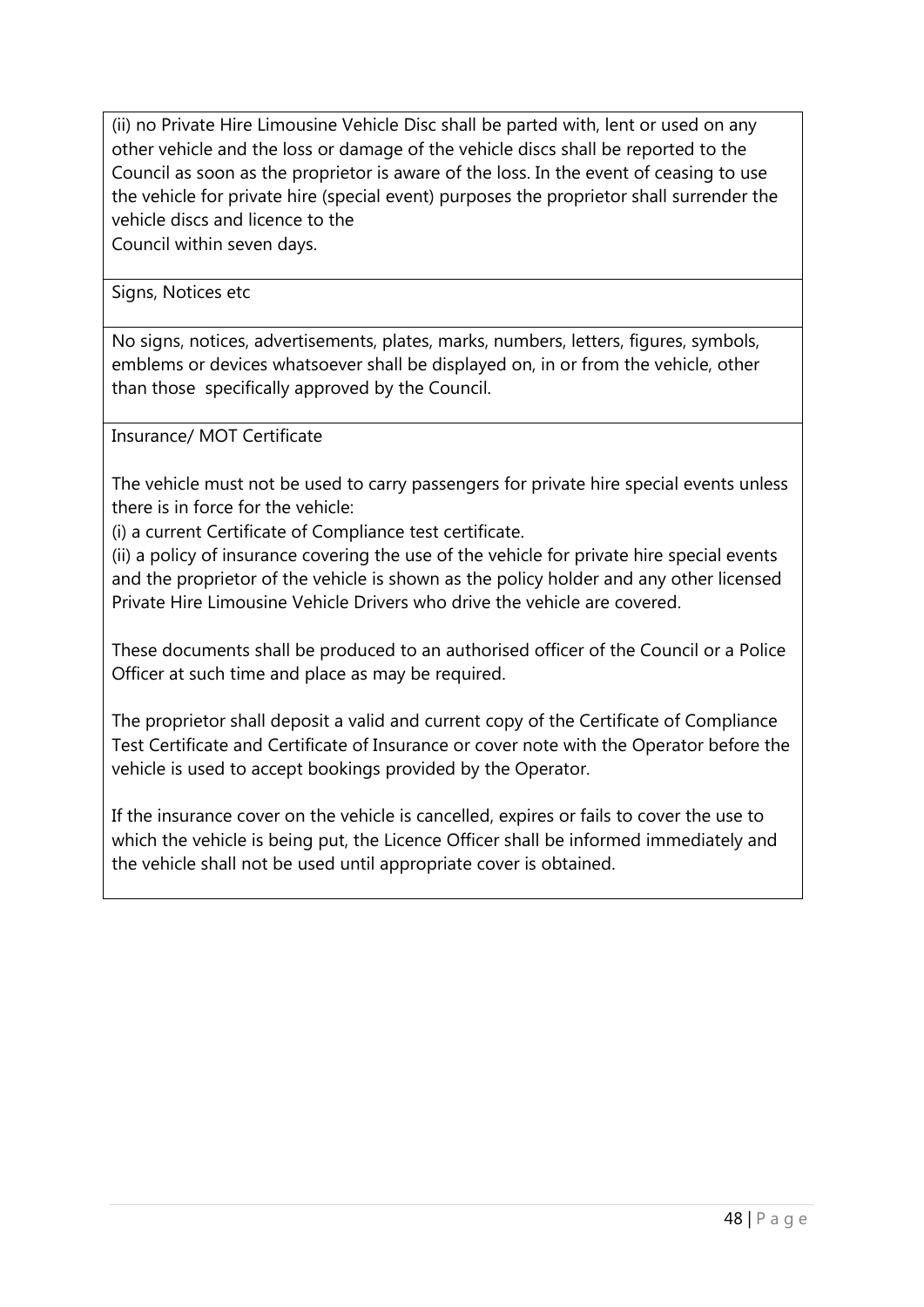(ii) no Private Hire Limousine Vehicle Disc shall be parted with, lent or used on any other vehicle and the loss or damage of the vehicle discs shall be reported to the Council as soon as the proprietor is aware of the loss. In the event of ceasing to use the vehicle for private hire (special event) purposes the proprietor shall surrender the vehicle discs and licence to the

Council within seven days.

Signs, Notices etc

No signs, notices, advertisements, plates, marks, numbers, letters, figures, symbols, emblems or devices whatsoever shall be displayed on, in or from the vehicle, other than those specifically approved by the Council.

Insurance/ MOT Certificate

The vehicle must not be used to carry passengers for private hire special events unless there is in force for the vehicle:

(i) a current Certificate of Compliance test certificate.

(ii) a policy of insurance covering the use of the vehicle for private hire special events and the proprietor of the vehicle is shown as the policy holder and any other licensed Private Hire Limousine Vehicle Drivers who drive the vehicle are covered.

These documents shall be produced to an authorised officer of the Council or a Police Officer at such time and place as may be required.

The proprietor shall deposit a valid and current copy of the Certificate of Compliance Test Certificate and Certificate of Insurance or cover note with the Operator before the vehicle is used to accept bookings provided by the Operator.

If the insurance cover on the vehicle is cancelled, expires or fails to cover the use to which the vehicle is being put, the Licence Officer shall be informed immediately and the vehicle shall not be used until appropriate cover is obtained.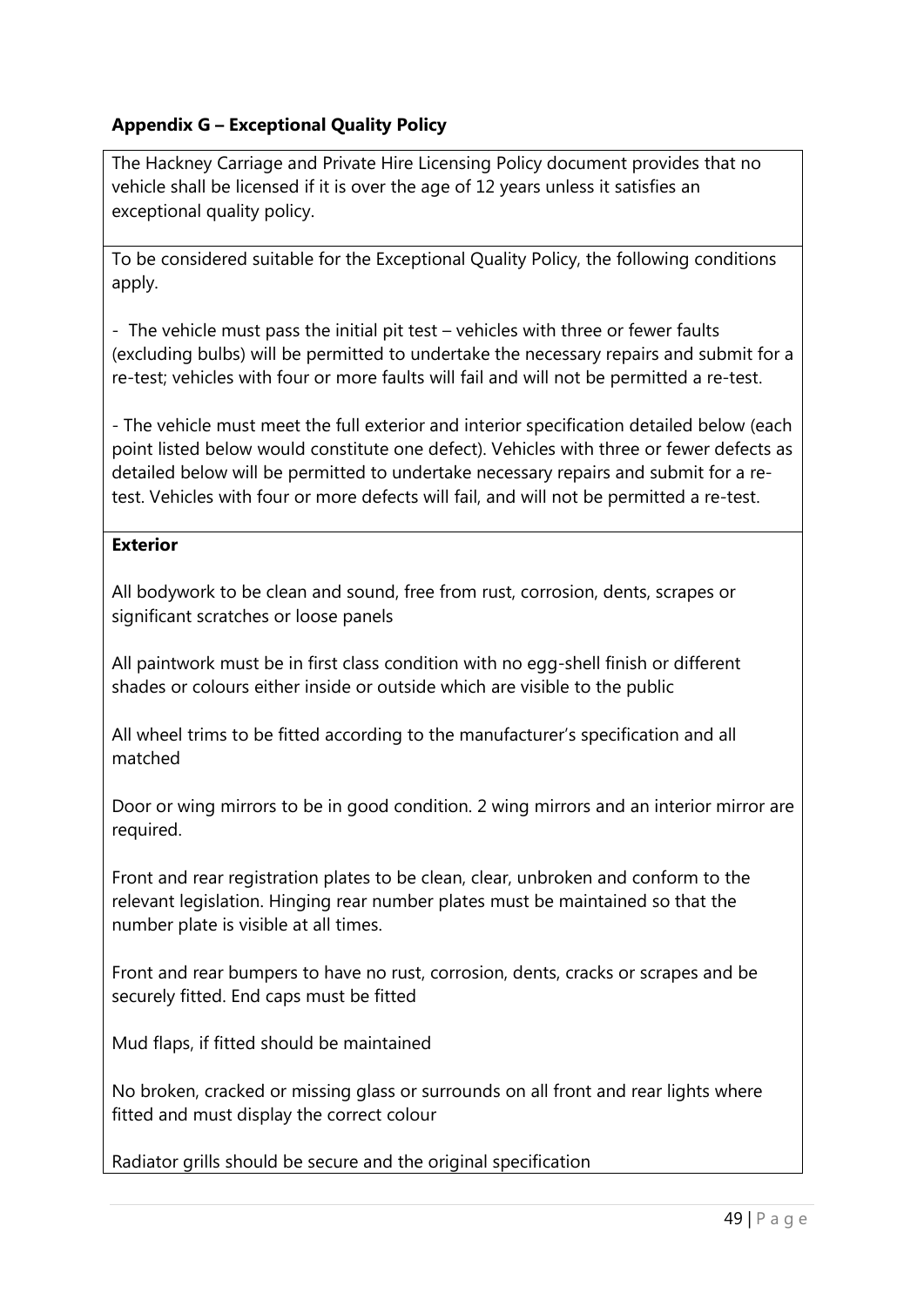# **Appendix G – Exceptional Quality Policy**

The Hackney Carriage and Private Hire Licensing Policy document provides that no vehicle shall be licensed if it is over the age of 12 years unless it satisfies an exceptional quality policy.

To be considered suitable for the Exceptional Quality Policy, the following conditions apply.

- The vehicle must pass the initial pit test – vehicles with three or fewer faults (excluding bulbs) will be permitted to undertake the necessary repairs and submit for a re-test; vehicles with four or more faults will fail and will not be permitted a re-test.

- The vehicle must meet the full exterior and interior specification detailed below (each point listed below would constitute one defect). Vehicles with three or fewer defects as detailed below will be permitted to undertake necessary repairs and submit for a retest. Vehicles with four or more defects will fail, and will not be permitted a re-test.

## **Exterior**

All bodywork to be clean and sound, free from rust, corrosion, dents, scrapes or significant scratches or loose panels

All paintwork must be in first class condition with no egg-shell finish or different shades or colours either inside or outside which are visible to the public

All wheel trims to be fitted according to the manufacturer's specification and all matched

Door or wing mirrors to be in good condition. 2 wing mirrors and an interior mirror are required.

Front and rear registration plates to be clean, clear, unbroken and conform to the relevant legislation. Hinging rear number plates must be maintained so that the number plate is visible at all times.

Front and rear bumpers to have no rust, corrosion, dents, cracks or scrapes and be securely fitted. End caps must be fitted

Mud flaps, if fitted should be maintained

No broken, cracked or missing glass or surrounds on all front and rear lights where fitted and must display the correct colour

Radiator grills should be secure and the original specification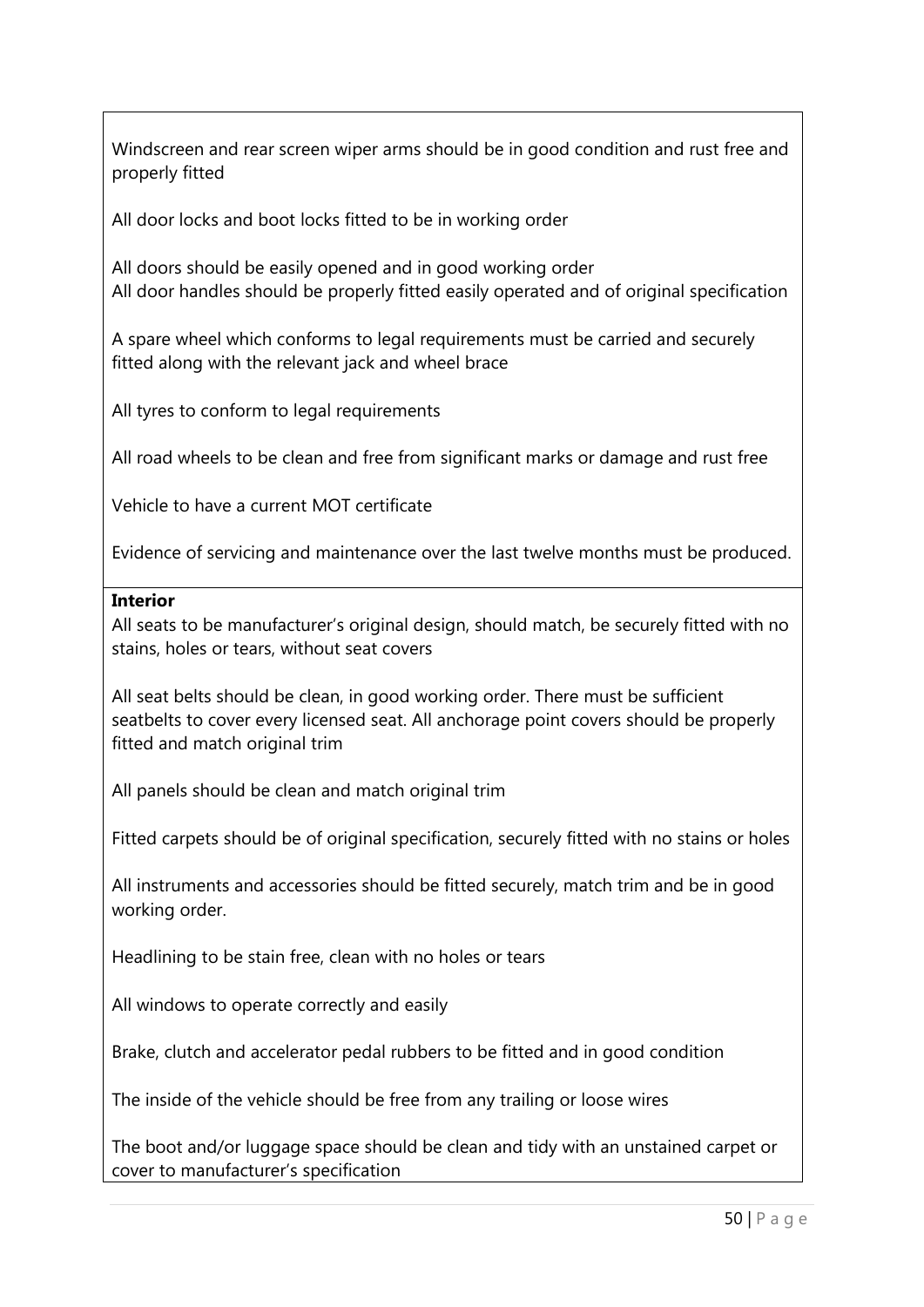Windscreen and rear screen wiper arms should be in good condition and rust free and properly fitted

All door locks and boot locks fitted to be in working order

All doors should be easily opened and in good working order All door handles should be properly fitted easily operated and of original specification

A spare wheel which conforms to legal requirements must be carried and securely fitted along with the relevant jack and wheel brace

All tyres to conform to legal requirements

All road wheels to be clean and free from significant marks or damage and rust free

Vehicle to have a current MOT certificate

Evidence of servicing and maintenance over the last twelve months must be produced.

#### **Interior**

All seats to be manufacturer's original design, should match, be securely fitted with no stains, holes or tears, without seat covers

All seat belts should be clean, in good working order. There must be sufficient seatbelts to cover every licensed seat. All anchorage point covers should be properly fitted and match original trim

All panels should be clean and match original trim

Fitted carpets should be of original specification, securely fitted with no stains or holes

All instruments and accessories should be fitted securely, match trim and be in good working order.

Headlining to be stain free, clean with no holes or tears

All windows to operate correctly and easily

Brake, clutch and accelerator pedal rubbers to be fitted and in good condition

The inside of the vehicle should be free from any trailing or loose wires

The boot and/or luggage space should be clean and tidy with an unstained carpet or cover to manufacturer's specification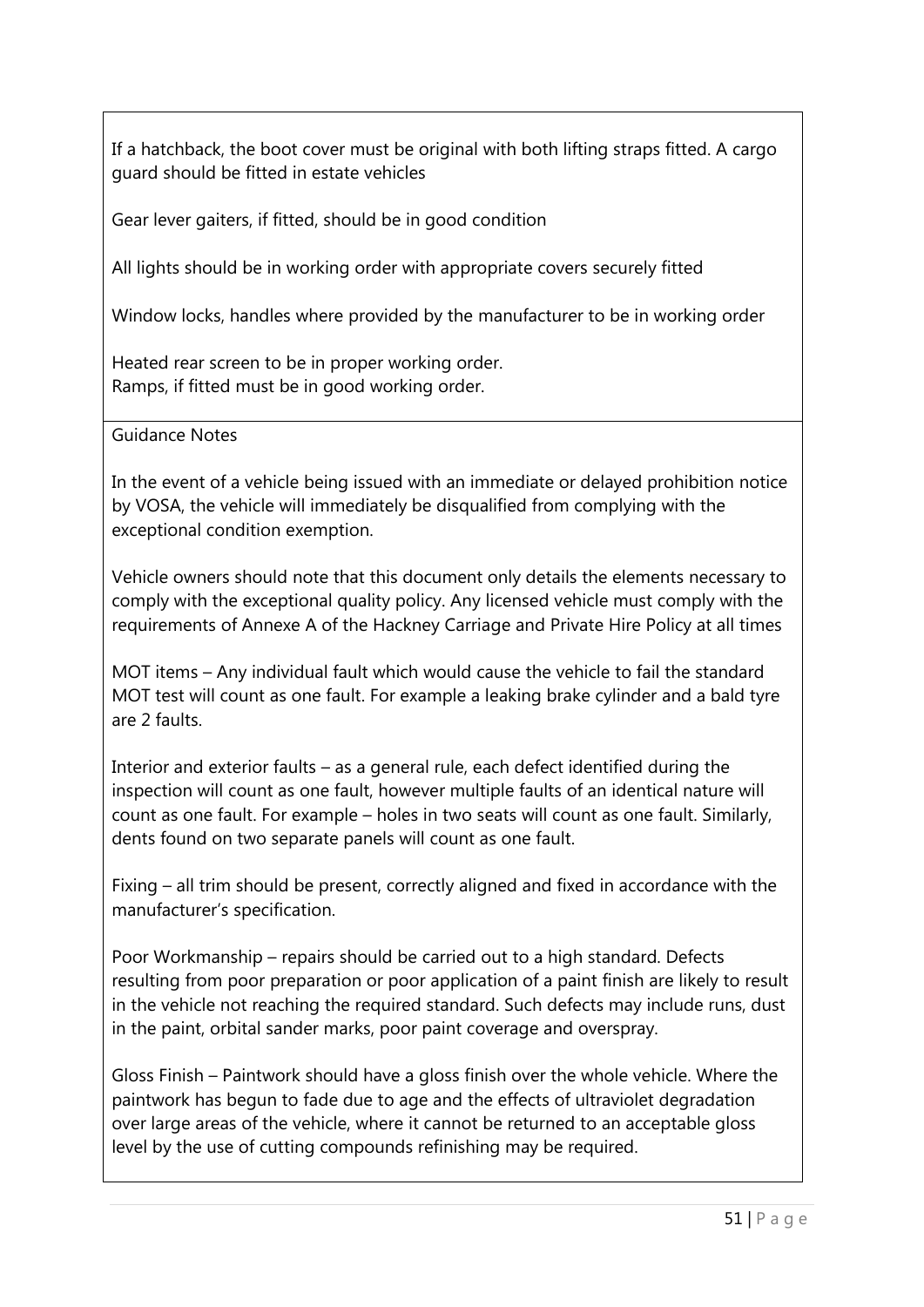If a hatchback, the boot cover must be original with both lifting straps fitted. A cargo guard should be fitted in estate vehicles

Gear lever gaiters, if fitted, should be in good condition

All lights should be in working order with appropriate covers securely fitted

Window locks, handles where provided by the manufacturer to be in working order

Heated rear screen to be in proper working order. Ramps, if fitted must be in good working order.

Guidance Notes

In the event of a vehicle being issued with an immediate or delayed prohibition notice by VOSA, the vehicle will immediately be disqualified from complying with the exceptional condition exemption.

Vehicle owners should note that this document only details the elements necessary to comply with the exceptional quality policy. Any licensed vehicle must comply with the requirements of Annexe A of the Hackney Carriage and Private Hire Policy at all times

MOT items – Any individual fault which would cause the vehicle to fail the standard MOT test will count as one fault. For example a leaking brake cylinder and a bald tyre are 2 faults.

Interior and exterior faults – as a general rule, each defect identified during the inspection will count as one fault, however multiple faults of an identical nature will count as one fault. For example – holes in two seats will count as one fault. Similarly, dents found on two separate panels will count as one fault.

Fixing – all trim should be present, correctly aligned and fixed in accordance with the manufacturer's specification.

Poor Workmanship – repairs should be carried out to a high standard. Defects resulting from poor preparation or poor application of a paint finish are likely to result in the vehicle not reaching the required standard. Such defects may include runs, dust in the paint, orbital sander marks, poor paint coverage and overspray.

Gloss Finish – Paintwork should have a gloss finish over the whole vehicle. Where the paintwork has begun to fade due to age and the effects of ultraviolet degradation over large areas of the vehicle, where it cannot be returned to an acceptable gloss level by the use of cutting compounds refinishing may be required.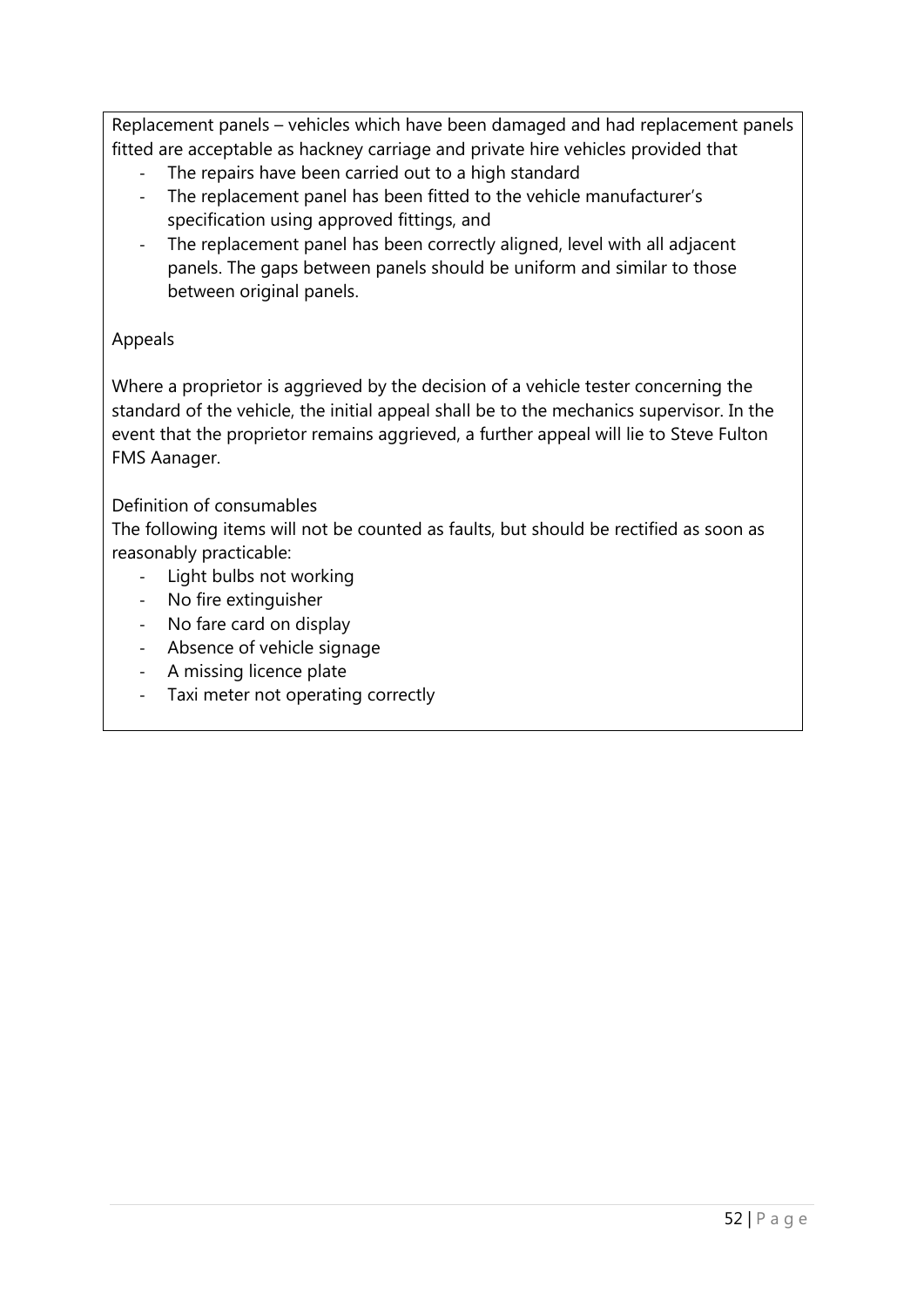Replacement panels – vehicles which have been damaged and had replacement panels fitted are acceptable as hackney carriage and private hire vehicles provided that

- The repairs have been carried out to a high standard
- The replacement panel has been fitted to the vehicle manufacturer's specification using approved fittings, and
- The replacement panel has been correctly aligned, level with all adjacent panels. The gaps between panels should be uniform and similar to those between original panels.

## Appeals

Where a proprietor is aggrieved by the decision of a vehicle tester concerning the standard of the vehicle, the initial appeal shall be to the mechanics supervisor. In the event that the proprietor remains aggrieved, a further appeal will lie to Steve Fulton FMS Aanager.

# Definition of consumables

The following items will not be counted as faults, but should be rectified as soon as reasonably practicable:

- Light bulbs not working
- No fire extinguisher
- No fare card on display
- Absence of vehicle signage
- A missing licence plate
- Taxi meter not operating correctly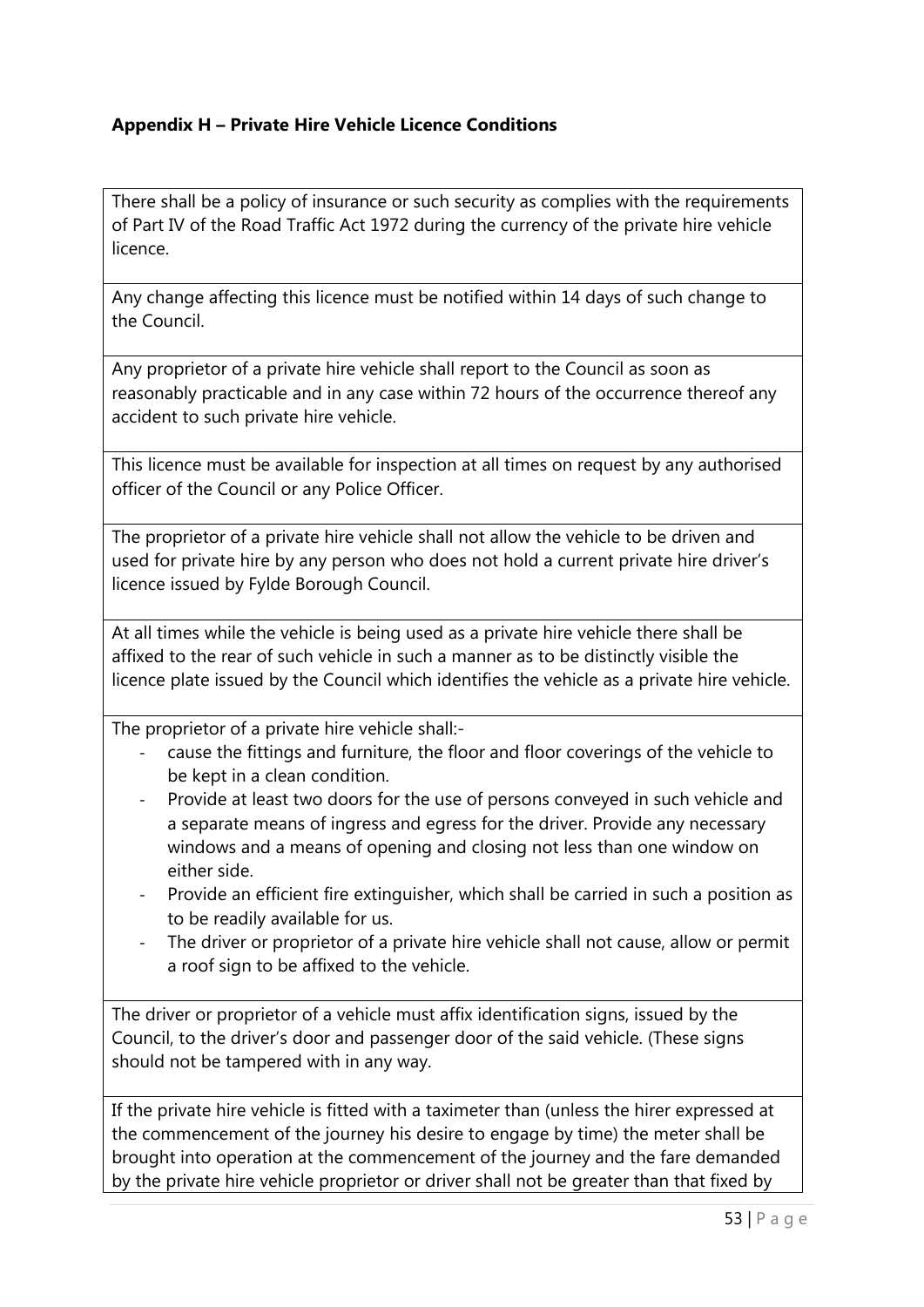## **Appendix H – Private Hire Vehicle Licence Conditions**

There shall be a policy of insurance or such security as complies with the requirements of Part IV of the Road Traffic Act 1972 during the currency of the private hire vehicle licence.

Any change affecting this licence must be notified within 14 days of such change to the Council.

Any proprietor of a private hire vehicle shall report to the Council as soon as reasonably practicable and in any case within 72 hours of the occurrence thereof any accident to such private hire vehicle.

This licence must be available for inspection at all times on request by any authorised officer of the Council or any Police Officer.

The proprietor of a private hire vehicle shall not allow the vehicle to be driven and used for private hire by any person who does not hold a current private hire driver's licence issued by Fylde Borough Council.

At all times while the vehicle is being used as a private hire vehicle there shall be affixed to the rear of such vehicle in such a manner as to be distinctly visible the licence plate issued by the Council which identifies the vehicle as a private hire vehicle.

The proprietor of a private hire vehicle shall:-

- cause the fittings and furniture, the floor and floor coverings of the vehicle to be kept in a clean condition.
- Provide at least two doors for the use of persons conveyed in such vehicle and a separate means of ingress and egress for the driver. Provide any necessary windows and a means of opening and closing not less than one window on either side.
- Provide an efficient fire extinguisher, which shall be carried in such a position as to be readily available for us.
- The driver or proprietor of a private hire vehicle shall not cause, allow or permit a roof sign to be affixed to the vehicle.

The driver or proprietor of a vehicle must affix identification signs, issued by the Council, to the driver's door and passenger door of the said vehicle. (These signs should not be tampered with in any way.

If the private hire vehicle is fitted with a taximeter than (unless the hirer expressed at the commencement of the journey his desire to engage by time) the meter shall be brought into operation at the commencement of the journey and the fare demanded by the private hire vehicle proprietor or driver shall not be greater than that fixed by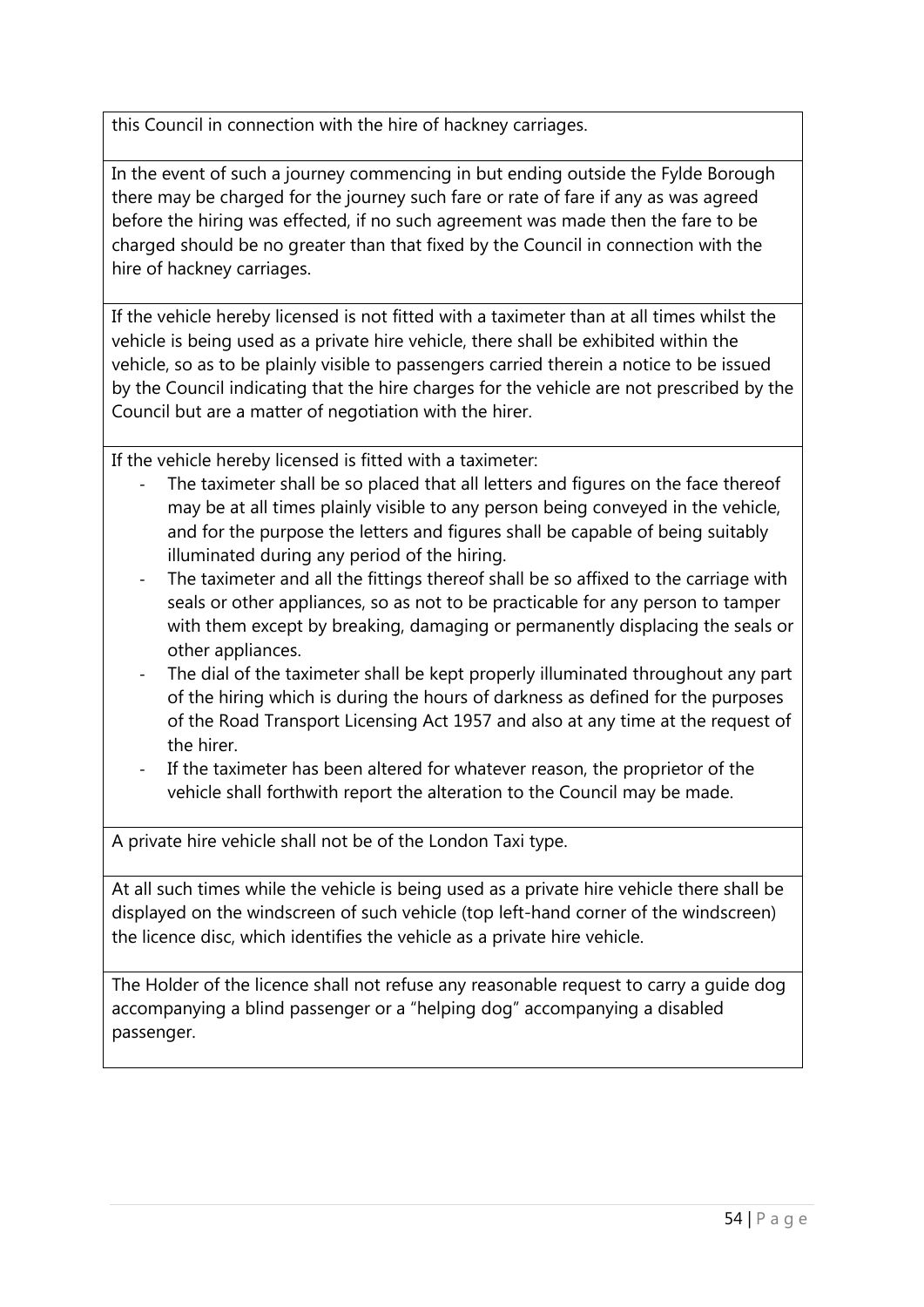this Council in connection with the hire of hackney carriages.

In the event of such a journey commencing in but ending outside the Fylde Borough there may be charged for the journey such fare or rate of fare if any as was agreed before the hiring was effected, if no such agreement was made then the fare to be charged should be no greater than that fixed by the Council in connection with the hire of hackney carriages.

If the vehicle hereby licensed is not fitted with a taximeter than at all times whilst the vehicle is being used as a private hire vehicle, there shall be exhibited within the vehicle, so as to be plainly visible to passengers carried therein a notice to be issued by the Council indicating that the hire charges for the vehicle are not prescribed by the Council but are a matter of negotiation with the hirer.

If the vehicle hereby licensed is fitted with a taximeter:

- The taximeter shall be so placed that all letters and figures on the face thereof may be at all times plainly visible to any person being conveyed in the vehicle, and for the purpose the letters and figures shall be capable of being suitably illuminated during any period of the hiring.
- The taximeter and all the fittings thereof shall be so affixed to the carriage with seals or other appliances, so as not to be practicable for any person to tamper with them except by breaking, damaging or permanently displacing the seals or other appliances.
- The dial of the taximeter shall be kept properly illuminated throughout any part of the hiring which is during the hours of darkness as defined for the purposes of the Road Transport Licensing Act 1957 and also at any time at the request of the hirer.
- If the taximeter has been altered for whatever reason, the proprietor of the vehicle shall forthwith report the alteration to the Council may be made.

A private hire vehicle shall not be of the London Taxi type.

At all such times while the vehicle is being used as a private hire vehicle there shall be displayed on the windscreen of such vehicle (top left-hand corner of the windscreen) the licence disc, which identifies the vehicle as a private hire vehicle.

The Holder of the licence shall not refuse any reasonable request to carry a guide dog accompanying a blind passenger or a "helping dog" accompanying a disabled passenger.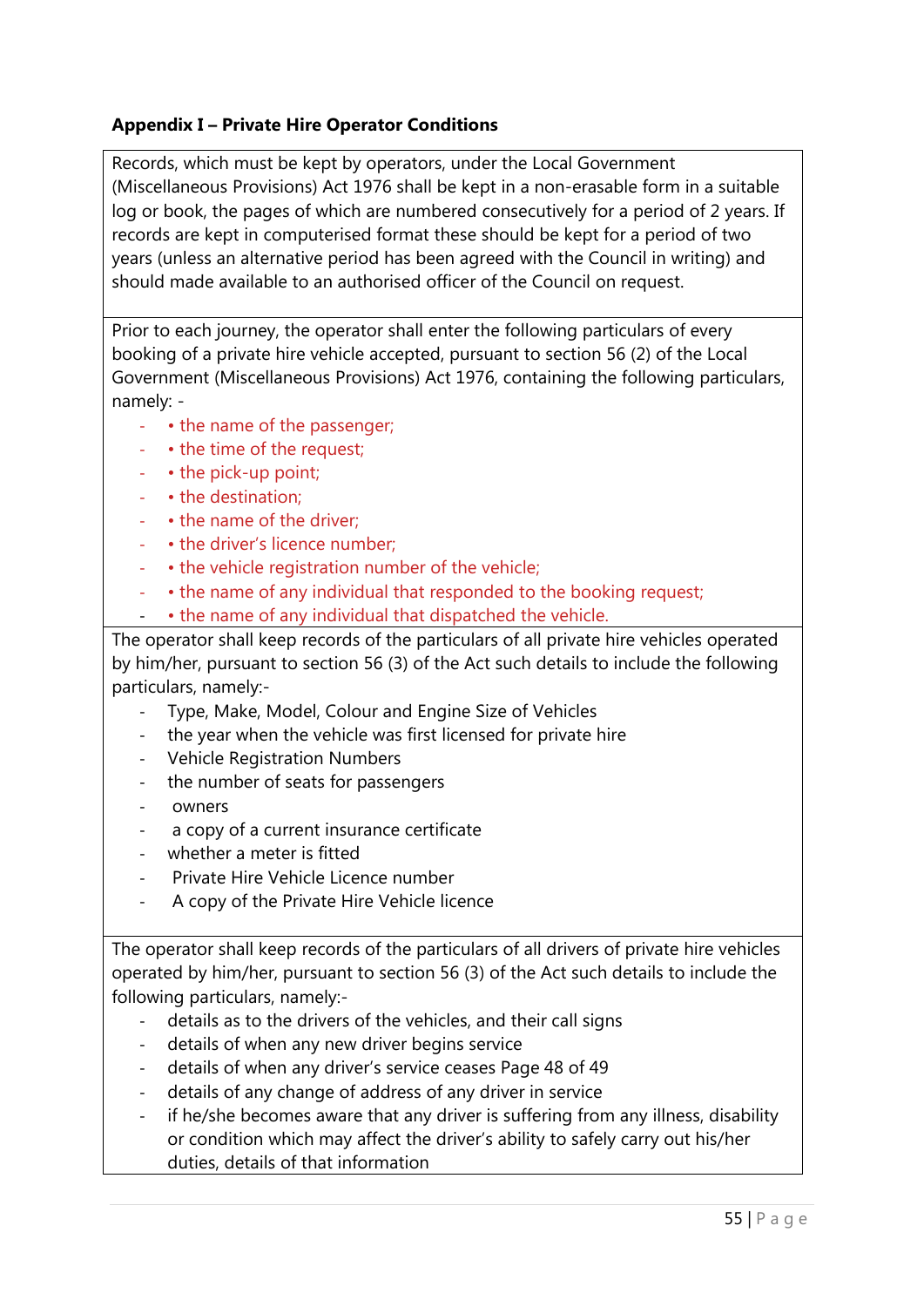# **Appendix I – Private Hire Operator Conditions**

Records, which must be kept by operators, under the Local Government (Miscellaneous Provisions) Act 1976 shall be kept in a non-erasable form in a suitable log or book, the pages of which are numbered consecutively for a period of 2 years. If records are kept in computerised format these should be kept for a period of two years (unless an alternative period has been agreed with the Council in writing) and should made available to an authorised officer of the Council on request.

Prior to each journey, the operator shall enter the following particulars of every booking of a private hire vehicle accepted, pursuant to section 56 (2) of the Local Government (Miscellaneous Provisions) Act 1976, containing the following particulars, namely: -

- • the name of the passenger;
- • the time of the request;
- • the pick-up point;
- • the destination;
- • the name of the driver;
- • the driver's licence number:
- • the vehicle registration number of the vehicle;
- • the name of any individual that responded to the booking request;
- • the name of any individual that dispatched the vehicle.

The operator shall keep records of the particulars of all private hire vehicles operated by him/her, pursuant to section 56 (3) of the Act such details to include the following particulars, namely:-

- Type, Make, Model, Colour and Engine Size of Vehicles
- the year when the vehicle was first licensed for private hire
- Vehicle Registration Numbers
- the number of seats for passengers
- owners
- a copy of a current insurance certificate
- whether a meter is fitted
- Private Hire Vehicle Licence number
- A copy of the Private Hire Vehicle licence

The operator shall keep records of the particulars of all drivers of private hire vehicles operated by him/her, pursuant to section 56 (3) of the Act such details to include the following particulars, namely:-

- details as to the drivers of the vehicles, and their call signs
- details of when any new driver begins service
- details of when any driver's service ceases Page 48 of 49
- details of any change of address of any driver in service
- if he/she becomes aware that any driver is suffering from any illness, disability or condition which may affect the driver's ability to safely carry out his/her duties, details of that information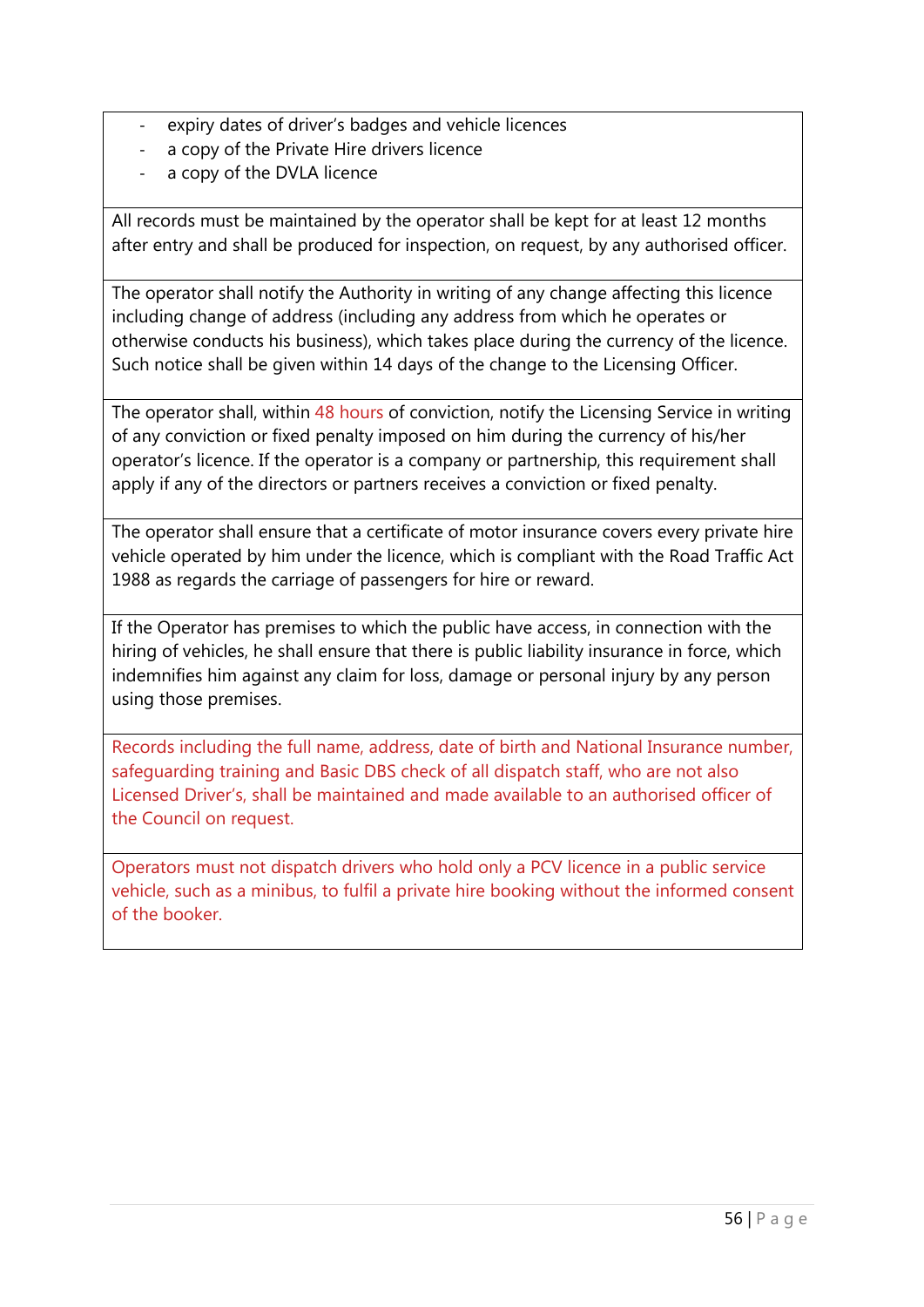- expiry dates of driver's badges and vehicle licences
- a copy of the Private Hire drivers licence
- a copy of the DVLA licence

All records must be maintained by the operator shall be kept for at least 12 months after entry and shall be produced for inspection, on request, by any authorised officer.

The operator shall notify the Authority in writing of any change affecting this licence including change of address (including any address from which he operates or otherwise conducts his business), which takes place during the currency of the licence. Such notice shall be given within 14 days of the change to the Licensing Officer.

The operator shall, within 48 hours of conviction, notify the Licensing Service in writing of any conviction or fixed penalty imposed on him during the currency of his/her operator's licence. If the operator is a company or partnership, this requirement shall apply if any of the directors or partners receives a conviction or fixed penalty.

The operator shall ensure that a certificate of motor insurance covers every private hire vehicle operated by him under the licence, which is compliant with the Road Traffic Act 1988 as regards the carriage of passengers for hire or reward.

If the Operator has premises to which the public have access, in connection with the hiring of vehicles, he shall ensure that there is public liability insurance in force, which indemnifies him against any claim for loss, damage or personal injury by any person using those premises.

Records including the full name, address, date of birth and National Insurance number, safeguarding training and Basic DBS check of all dispatch staff, who are not also Licensed Driver's, shall be maintained and made available to an authorised officer of the Council on request.

Operators must not dispatch drivers who hold only a PCV licence in a public service vehicle, such as a minibus, to fulfil a private hire booking without the informed consent of the booker.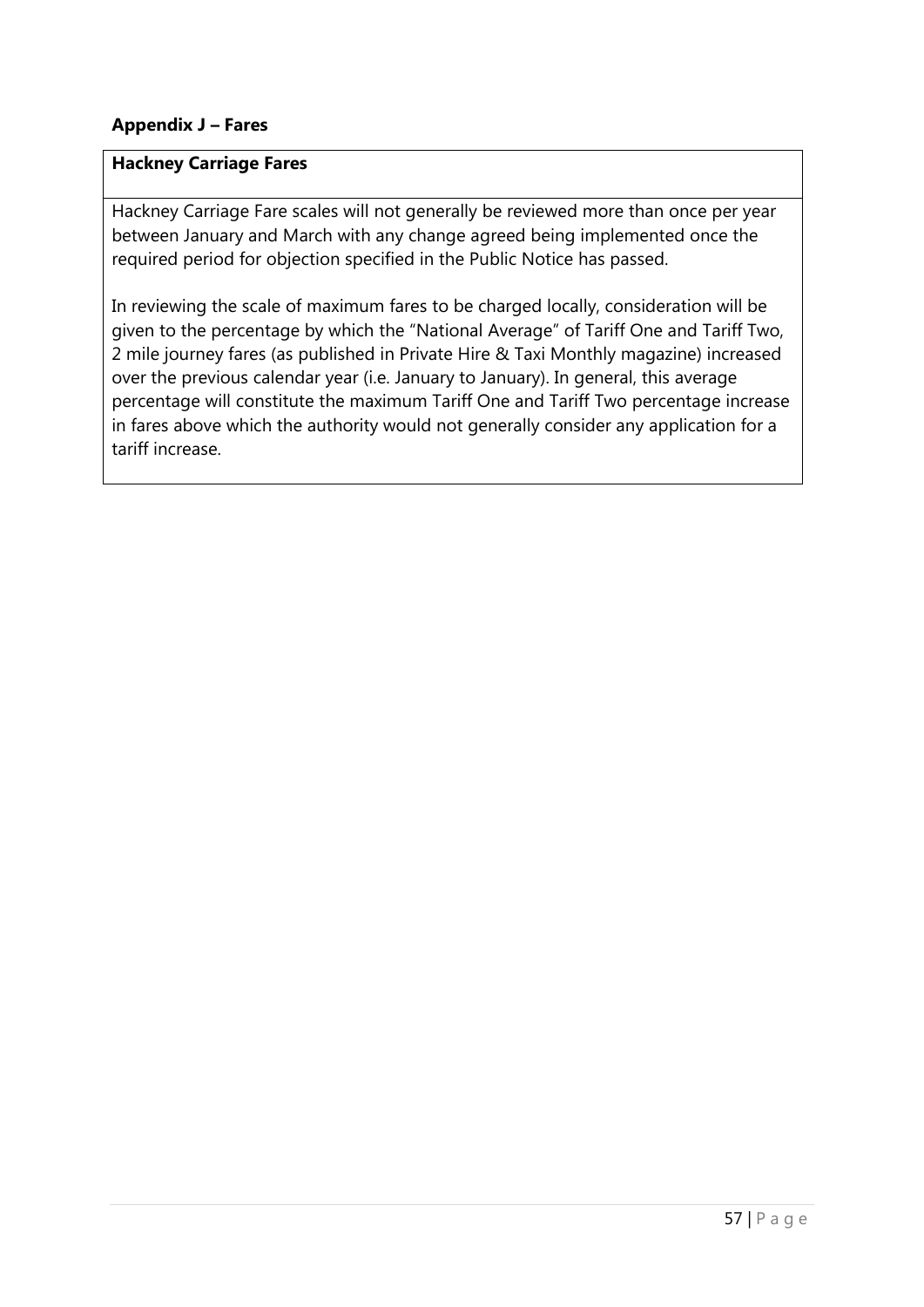## **Appendix J – Fares**

## **Hackney Carriage Fares**

Hackney Carriage Fare scales will not generally be reviewed more than once per year between January and March with any change agreed being implemented once the required period for objection specified in the Public Notice has passed.

In reviewing the scale of maximum fares to be charged locally, consideration will be given to the percentage by which the "National Average" of Tariff One and Tariff Two, 2 mile journey fares (as published in Private Hire & Taxi Monthly magazine) increased over the previous calendar year (i.e. January to January). In general, this average percentage will constitute the maximum Tariff One and Tariff Two percentage increase in fares above which the authority would not generally consider any application for a tariff increase.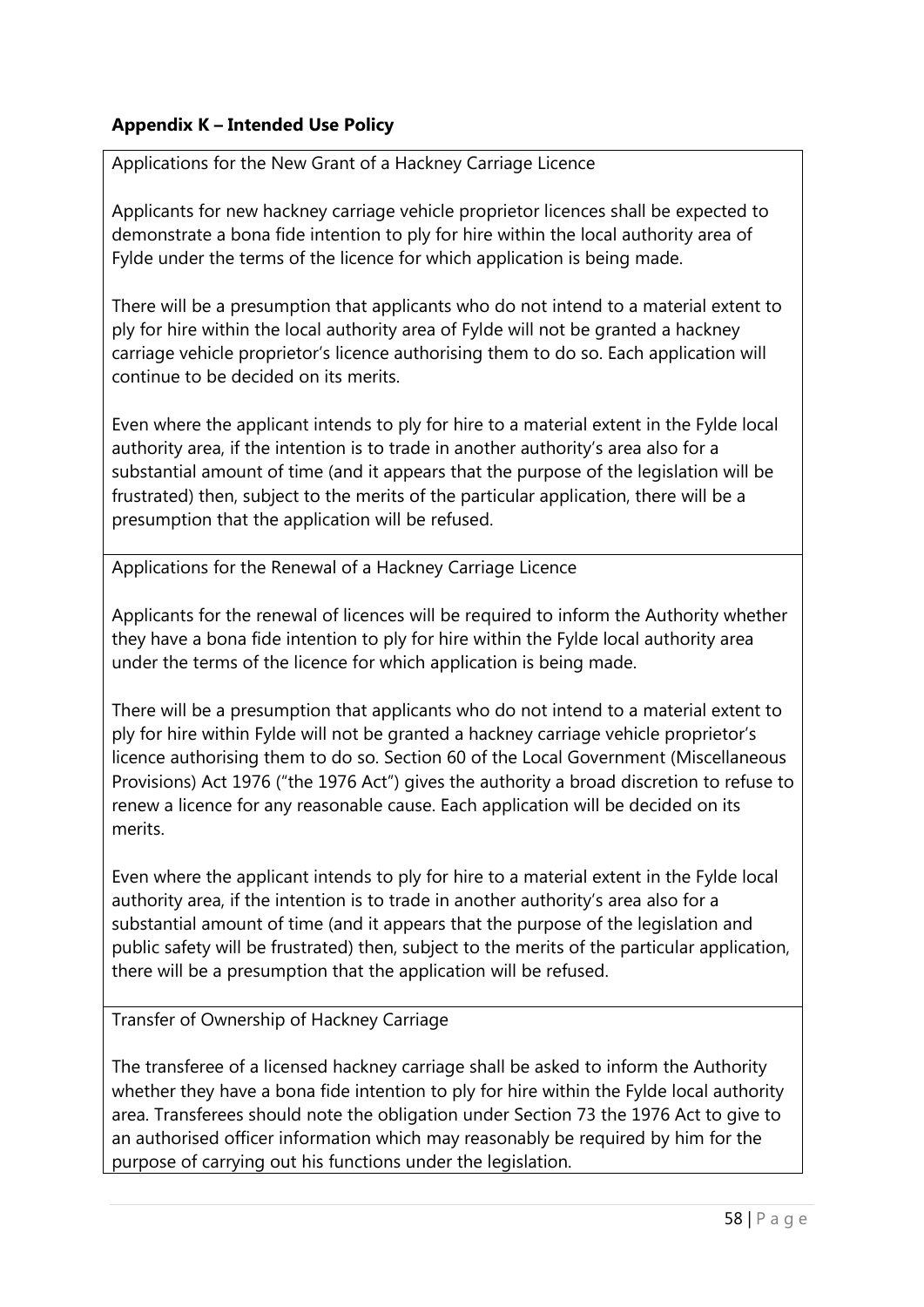# **Appendix K – Intended Use Policy**

Applications for the New Grant of a Hackney Carriage Licence

Applicants for new hackney carriage vehicle proprietor licences shall be expected to demonstrate a bona fide intention to ply for hire within the local authority area of Fylde under the terms of the licence for which application is being made.

There will be a presumption that applicants who do not intend to a material extent to ply for hire within the local authority area of Fylde will not be granted a hackney carriage vehicle proprietor's licence authorising them to do so. Each application will continue to be decided on its merits.

Even where the applicant intends to ply for hire to a material extent in the Fylde local authority area, if the intention is to trade in another authority's area also for a substantial amount of time (and it appears that the purpose of the legislation will be frustrated) then, subject to the merits of the particular application, there will be a presumption that the application will be refused.

Applications for the Renewal of a Hackney Carriage Licence

Applicants for the renewal of licences will be required to inform the Authority whether they have a bona fide intention to ply for hire within the Fylde local authority area under the terms of the licence for which application is being made.

There will be a presumption that applicants who do not intend to a material extent to ply for hire within Fylde will not be granted a hackney carriage vehicle proprietor's licence authorising them to do so. Section 60 of the Local Government (Miscellaneous Provisions) Act 1976 ("the 1976 Act") gives the authority a broad discretion to refuse to renew a licence for any reasonable cause. Each application will be decided on its merits.

Even where the applicant intends to ply for hire to a material extent in the Fylde local authority area, if the intention is to trade in another authority's area also for a substantial amount of time (and it appears that the purpose of the legislation and public safety will be frustrated) then, subject to the merits of the particular application, there will be a presumption that the application will be refused.

Transfer of Ownership of Hackney Carriage

The transferee of a licensed hackney carriage shall be asked to inform the Authority whether they have a bona fide intention to ply for hire within the Fylde local authority area. Transferees should note the obligation under Section 73 the 1976 Act to give to an authorised officer information which may reasonably be required by him for the purpose of carrying out his functions under the legislation.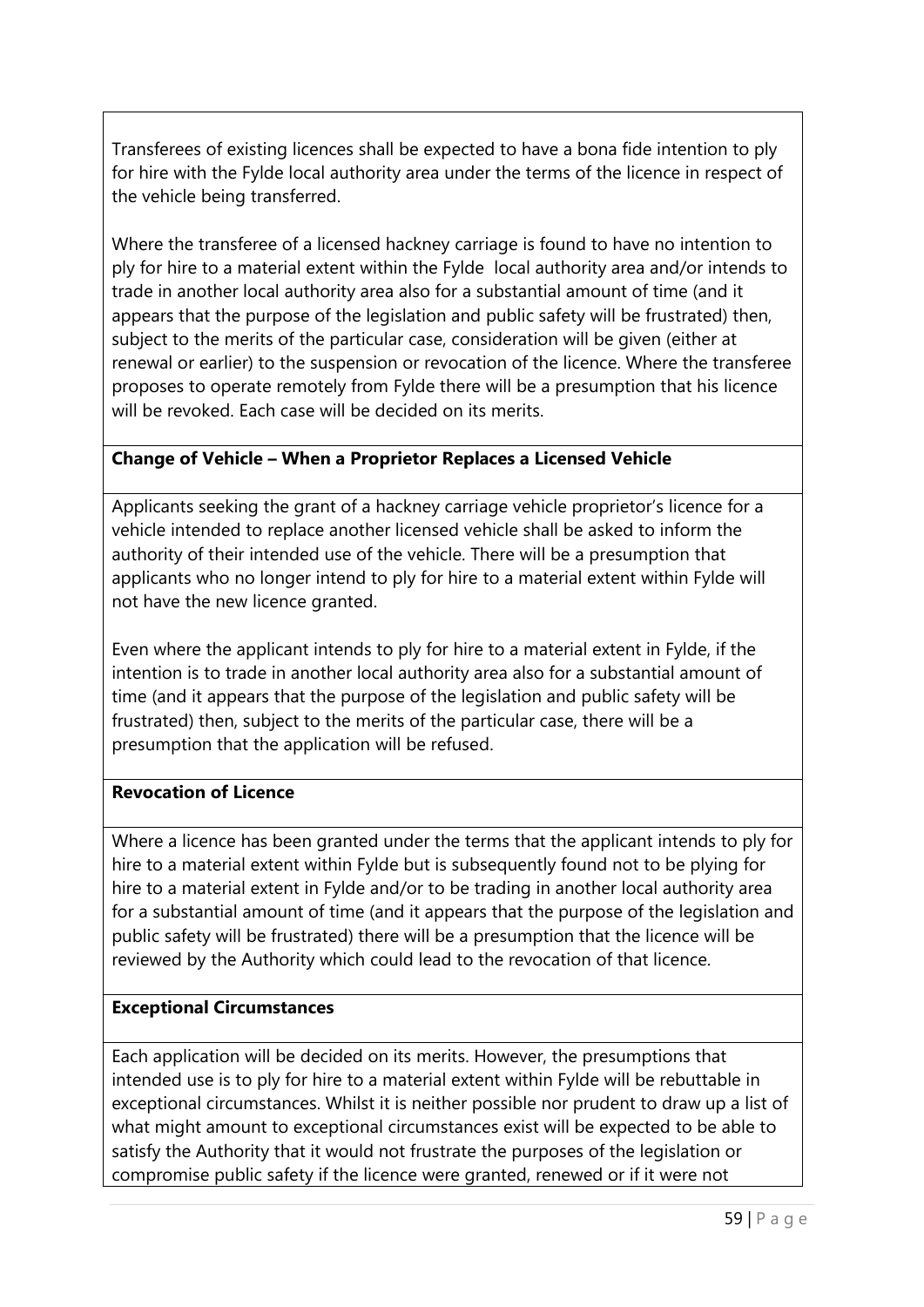Transferees of existing licences shall be expected to have a bona fide intention to ply for hire with the Fylde local authority area under the terms of the licence in respect of the vehicle being transferred.

Where the transferee of a licensed hackney carriage is found to have no intention to ply for hire to a material extent within the Fylde local authority area and/or intends to trade in another local authority area also for a substantial amount of time (and it appears that the purpose of the legislation and public safety will be frustrated) then, subject to the merits of the particular case, consideration will be given (either at renewal or earlier) to the suspension or revocation of the licence. Where the transferee proposes to operate remotely from Fylde there will be a presumption that his licence will be revoked. Each case will be decided on its merits.

## **Change of Vehicle – When a Proprietor Replaces a Licensed Vehicle**

Applicants seeking the grant of a hackney carriage vehicle proprietor's licence for a vehicle intended to replace another licensed vehicle shall be asked to inform the authority of their intended use of the vehicle. There will be a presumption that applicants who no longer intend to ply for hire to a material extent within Fylde will not have the new licence granted.

Even where the applicant intends to ply for hire to a material extent in Fylde, if the intention is to trade in another local authority area also for a substantial amount of time (and it appears that the purpose of the legislation and public safety will be frustrated) then, subject to the merits of the particular case, there will be a presumption that the application will be refused.

## **Revocation of Licence**

Where a licence has been granted under the terms that the applicant intends to ply for hire to a material extent within Fylde but is subsequently found not to be plying for hire to a material extent in Fylde and/or to be trading in another local authority area for a substantial amount of time (and it appears that the purpose of the legislation and public safety will be frustrated) there will be a presumption that the licence will be reviewed by the Authority which could lead to the revocation of that licence.

## **Exceptional Circumstances**

Each application will be decided on its merits. However, the presumptions that intended use is to ply for hire to a material extent within Fylde will be rebuttable in exceptional circumstances. Whilst it is neither possible nor prudent to draw up a list of what might amount to exceptional circumstances exist will be expected to be able to satisfy the Authority that it would not frustrate the purposes of the legislation or compromise public safety if the licence were granted, renewed or if it were not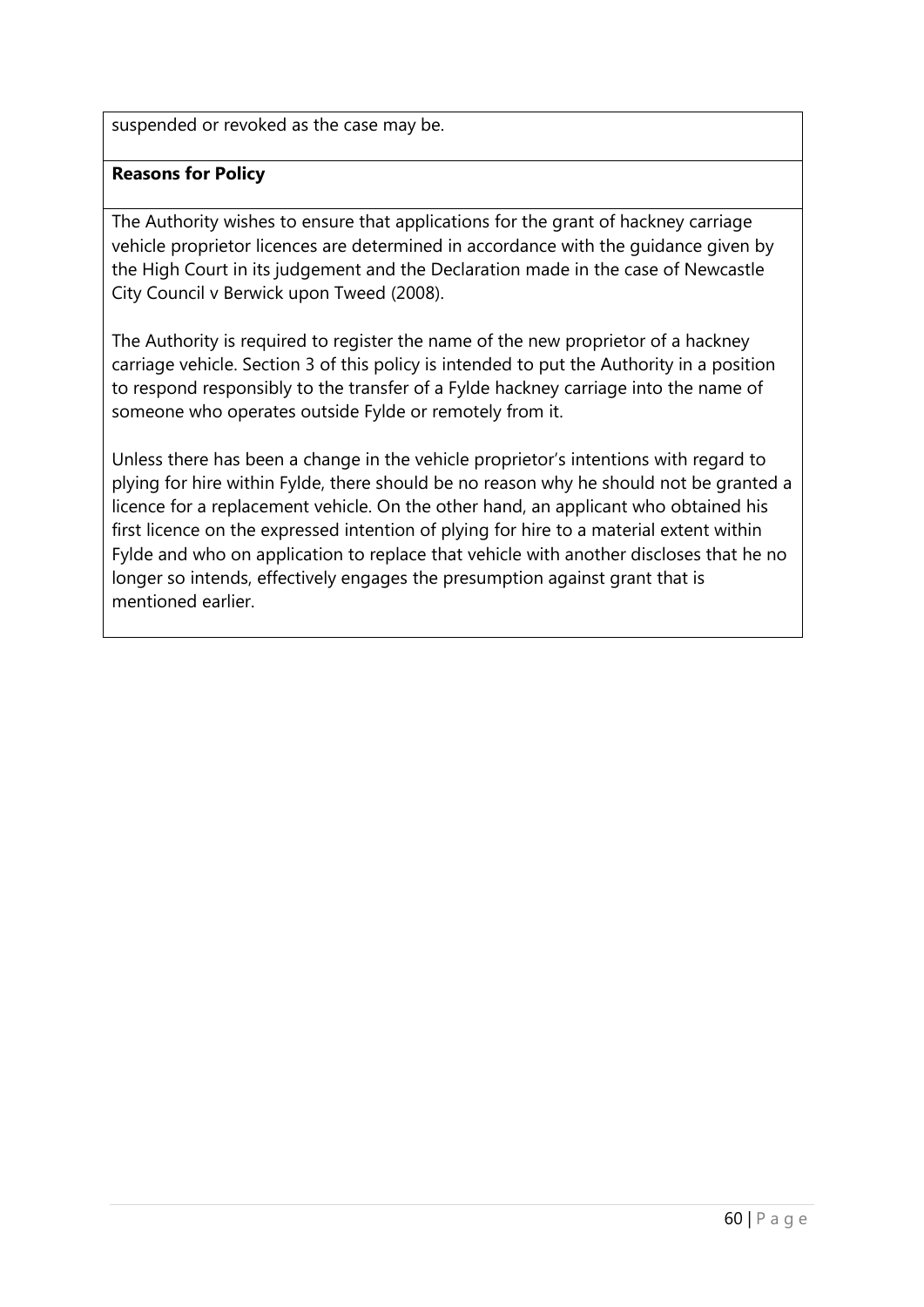suspended or revoked as the case may be.

## **Reasons for Policy**

The Authority wishes to ensure that applications for the grant of hackney carriage vehicle proprietor licences are determined in accordance with the guidance given by the High Court in its judgement and the Declaration made in the case of Newcastle City Council v Berwick upon Tweed (2008).

The Authority is required to register the name of the new proprietor of a hackney carriage vehicle. Section 3 of this policy is intended to put the Authority in a position to respond responsibly to the transfer of a Fylde hackney carriage into the name of someone who operates outside Fylde or remotely from it.

Unless there has been a change in the vehicle proprietor's intentions with regard to plying for hire within Fylde, there should be no reason why he should not be granted a licence for a replacement vehicle. On the other hand, an applicant who obtained his first licence on the expressed intention of plying for hire to a material extent within Fylde and who on application to replace that vehicle with another discloses that he no longer so intends, effectively engages the presumption against grant that is mentioned earlier.